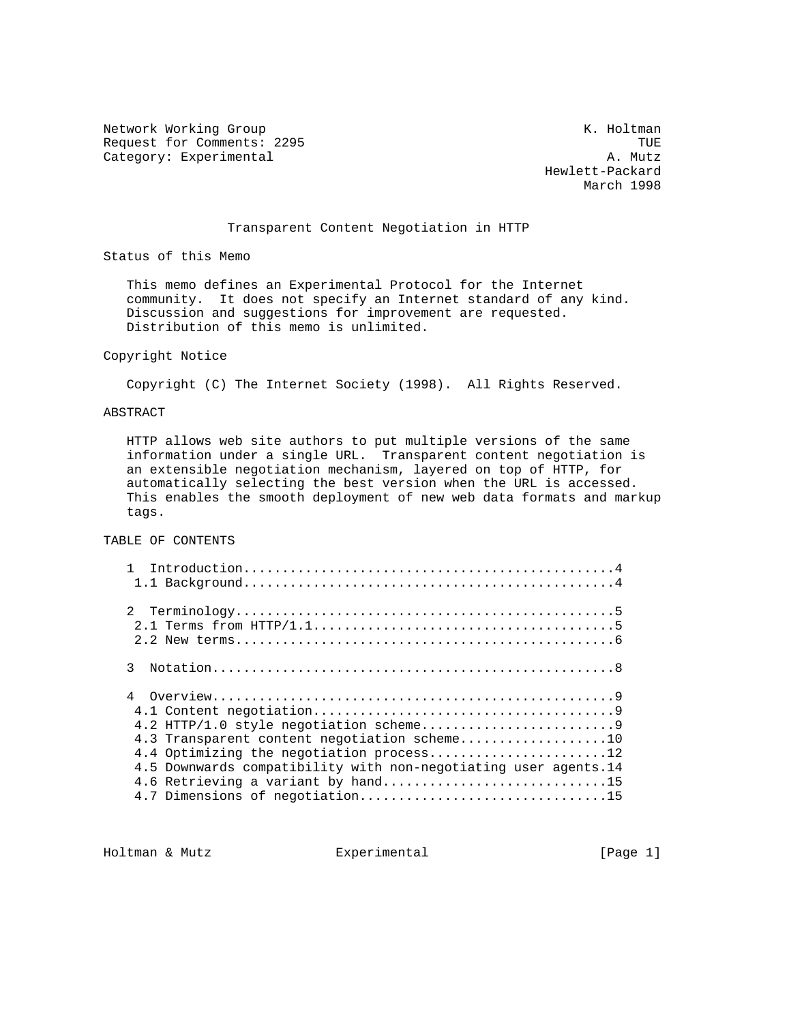Network Working Group Network Working Group Request for Comments: 2295 TUE (2008) TUE Category: Experimental and the Category: Experimental Category: Experimental

 Hewlett-Packard March 1998

# Transparent Content Negotiation in HTTP

Status of this Memo

 This memo defines an Experimental Protocol for the Internet community. It does not specify an Internet standard of any kind. Discussion and suggestions for improvement are requested. Distribution of this memo is unlimited.

# Copyright Notice

Copyright (C) The Internet Society (1998). All Rights Reserved.

# ABSTRACT

 HTTP allows web site authors to put multiple versions of the same information under a single URL. Transparent content negotiation is an extensible negotiation mechanism, layered on top of HTTP, for automatically selecting the best version when the URL is accessed. This enables the smooth deployment of new web data formats and markup tags.

TABLE OF CONTENTS

| 3 |                                                                                                                                                                                                                                      |
|---|--------------------------------------------------------------------------------------------------------------------------------------------------------------------------------------------------------------------------------------|
| 4 | 4.3 Transparent content negotiation scheme10<br>4.4 Optimizing the negotiation process12<br>4.5 Downwards compatibility with non-negotiating user agents.14<br>4.6 Retrieving a variant by hand15<br>4.7 Dimensions of negotiation15 |

Holtman & Mutz  $\qquad \qquad$  Experimental  $\qquad \qquad$  [Page 1]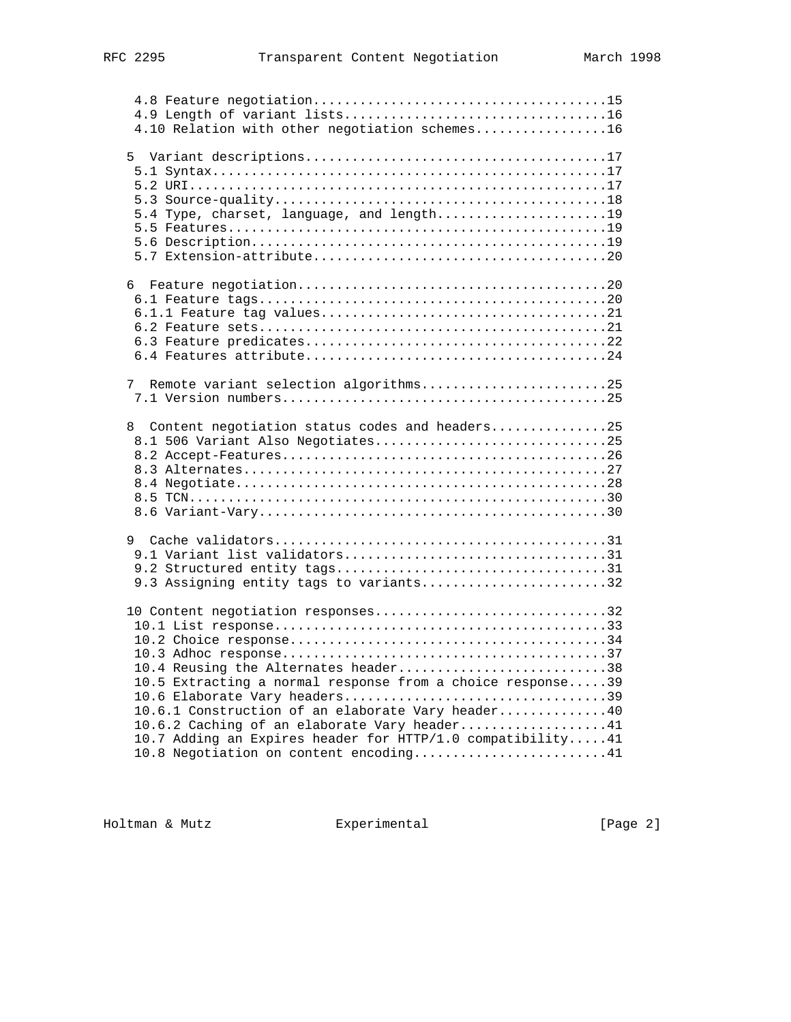| 4.10 Relation with other negotiation schemes16             |
|------------------------------------------------------------|
|                                                            |
|                                                            |
|                                                            |
|                                                            |
|                                                            |
| 5.4 Type, charset, language, and length19                  |
|                                                            |
|                                                            |
|                                                            |
| 6                                                          |
|                                                            |
|                                                            |
|                                                            |
|                                                            |
|                                                            |
| Remote variant selection algorithms25<br>7                 |
|                                                            |
|                                                            |
| Content negotiation status codes and headers25<br>8        |
| 8.1 506 Variant Also Negotiates25                          |
|                                                            |
|                                                            |
|                                                            |
|                                                            |
|                                                            |
| 9                                                          |
|                                                            |
|                                                            |
| 9.3 Assigning entity tags to variants32                    |
|                                                            |
| 10 Content negotiation responses32                         |
|                                                            |
|                                                            |
|                                                            |
| 10.4 Reusing the Alternates header38                       |
| 10.5 Extracting a normal response from a choice response39 |
| 10.6 Elaborate Vary headers39                              |
| 10.6.1 Construction of an elaborate Vary header40          |
| 10.6.2 Caching of an elaborate Vary header41               |
| 10.7 Adding an Expires header for HTTP/1.0 compatibility41 |
| 10.8 Negotiation on content encoding41                     |

Holtman & Mutz **Experimental** Experimental [Page 2]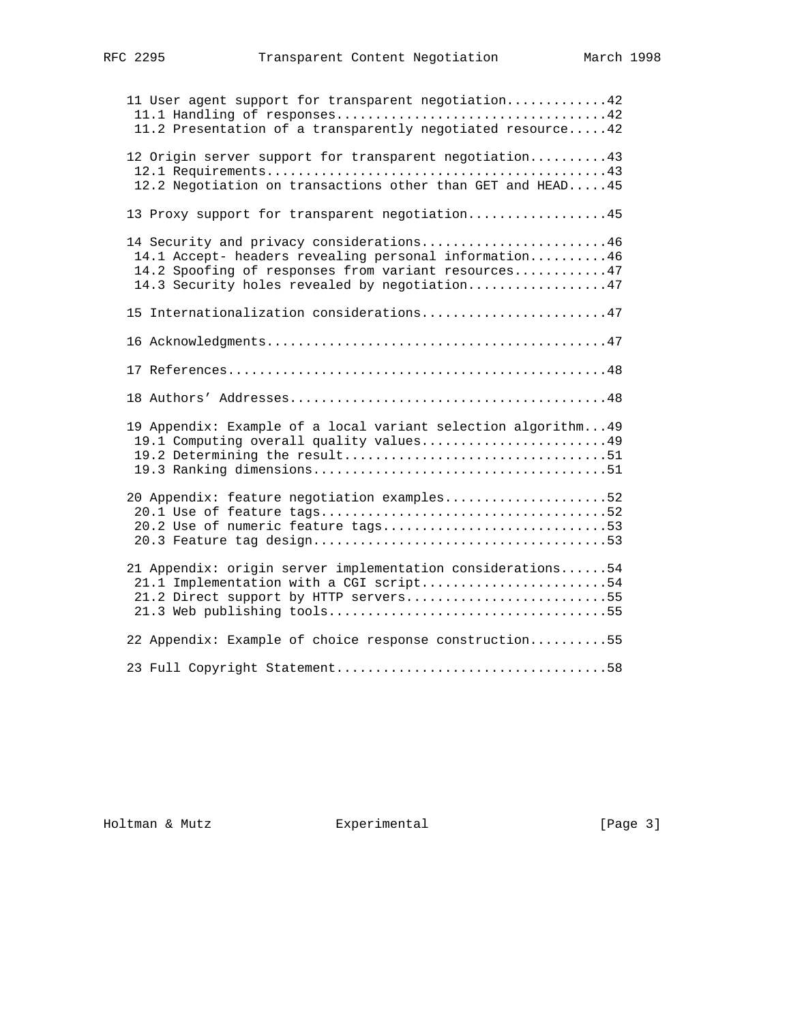| 11 User agent support for transparent negotiation42<br>11.2 Presentation of a transparently negotiated resource42                                                                                         |
|-----------------------------------------------------------------------------------------------------------------------------------------------------------------------------------------------------------|
| 12 Origin server support for transparent negotiation 43<br>12.2 Negotiation on transactions other than GET and HEAD 45                                                                                    |
| 13 Proxy support for transparent negotiation45                                                                                                                                                            |
| 14 Security and privacy considerations46<br>14.1 Accept- headers revealing personal information46<br>14.2 Spoofing of responses from variant resources47<br>14.3 Security holes revealed by negotiation47 |
| 15 Internationalization considerations47                                                                                                                                                                  |
|                                                                                                                                                                                                           |
|                                                                                                                                                                                                           |
|                                                                                                                                                                                                           |
| 19 Appendix: Example of a local variant selection algorithm49<br>19.1 Computing overall quality values49                                                                                                  |
| 20 Appendix: feature negotiation examples52<br>20.2 Use of numeric feature tags53                                                                                                                         |
| 21 Appendix: origin server implementation considerations54<br>21.1 Implementation with a CGI script54<br>21.2 Direct support by HTTP servers55                                                            |
| 22 Appendix: Example of choice response construction55                                                                                                                                                    |
|                                                                                                                                                                                                           |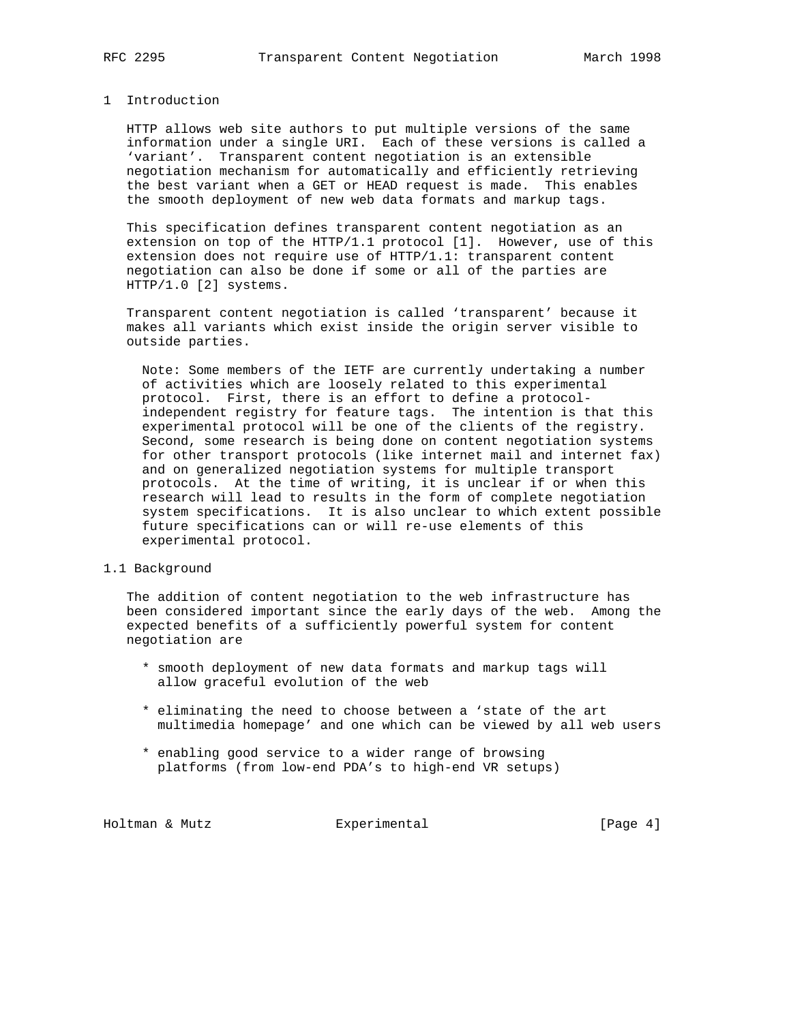# 1 Introduction

 HTTP allows web site authors to put multiple versions of the same information under a single URI. Each of these versions is called a 'variant'. Transparent content negotiation is an extensible negotiation mechanism for automatically and efficiently retrieving the best variant when a GET or HEAD request is made. This enables the smooth deployment of new web data formats and markup tags.

 This specification defines transparent content negotiation as an extension on top of the HTTP/1.1 protocol [1]. However, use of this extension does not require use of HTTP/1.1: transparent content negotiation can also be done if some or all of the parties are HTTP/1.0 [2] systems.

 Transparent content negotiation is called 'transparent' because it makes all variants which exist inside the origin server visible to outside parties.

 Note: Some members of the IETF are currently undertaking a number of activities which are loosely related to this experimental protocol. First, there is an effort to define a protocol independent registry for feature tags. The intention is that this experimental protocol will be one of the clients of the registry. Second, some research is being done on content negotiation systems for other transport protocols (like internet mail and internet fax) and on generalized negotiation systems for multiple transport protocols. At the time of writing, it is unclear if or when this research will lead to results in the form of complete negotiation system specifications. It is also unclear to which extent possible future specifications can or will re-use elements of this experimental protocol.

# 1.1 Background

 The addition of content negotiation to the web infrastructure has been considered important since the early days of the web. Among the expected benefits of a sufficiently powerful system for content negotiation are

- \* smooth deployment of new data formats and markup tags will allow graceful evolution of the web
- \* eliminating the need to choose between a 'state of the art multimedia homepage' and one which can be viewed by all web users
- \* enabling good service to a wider range of browsing platforms (from low-end PDA's to high-end VR setups)

Holtman & Mutz **Experimental** Experimental [Page 4]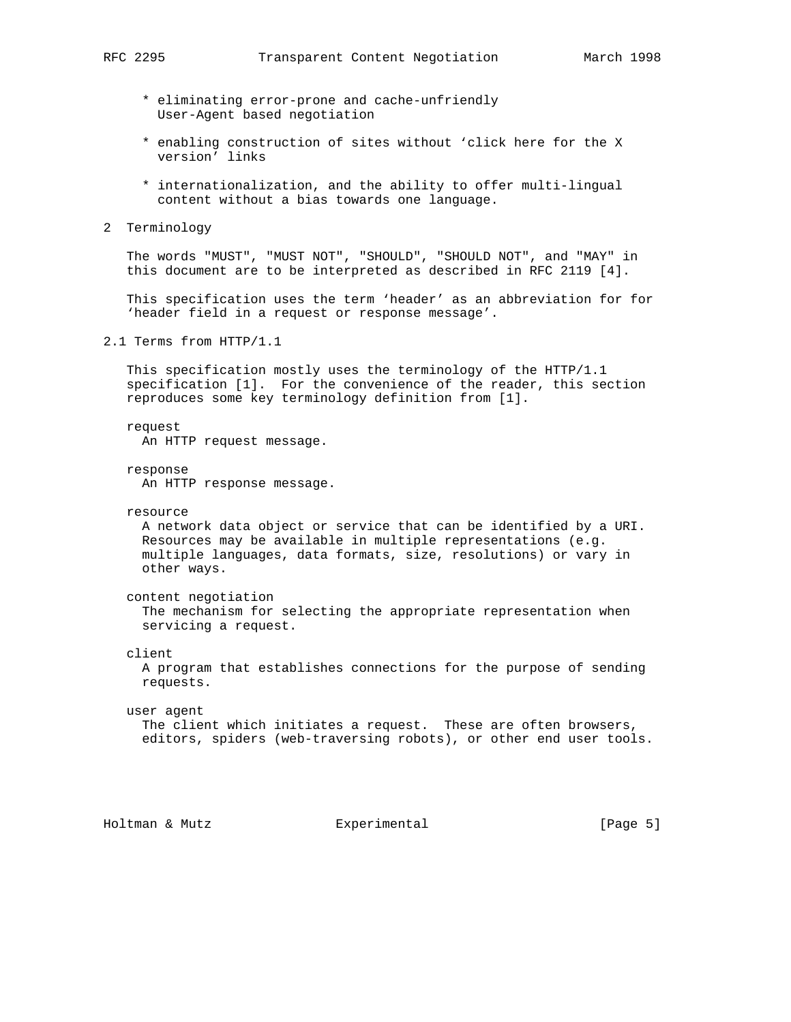- \* eliminating error-prone and cache-unfriendly User-Agent based negotiation
- \* enabling construction of sites without 'click here for the X version' links
- \* internationalization, and the ability to offer multi-lingual content without a bias towards one language.
- 2 Terminology

 The words "MUST", "MUST NOT", "SHOULD", "SHOULD NOT", and "MAY" in this document are to be interpreted as described in RFC 2119 [4].

 This specification uses the term 'header' as an abbreviation for for 'header field in a request or response message'.

2.1 Terms from HTTP/1.1

 This specification mostly uses the terminology of the HTTP/1.1 specification [1]. For the convenience of the reader, this section reproduces some key terminology definition from [1].

 request An HTTP request message.

 response An HTTP response message.

resource

 A network data object or service that can be identified by a URI. Resources may be available in multiple representations (e.g. multiple languages, data formats, size, resolutions) or vary in other ways.

content negotiation

 The mechanism for selecting the appropriate representation when servicing a request.

client

 A program that establishes connections for the purpose of sending requests.

# user agent The client which initiates a request. These are often browsers, editors, spiders (web-traversing robots), or other end user tools.

Holtman & Mutz Experimental [Page 5]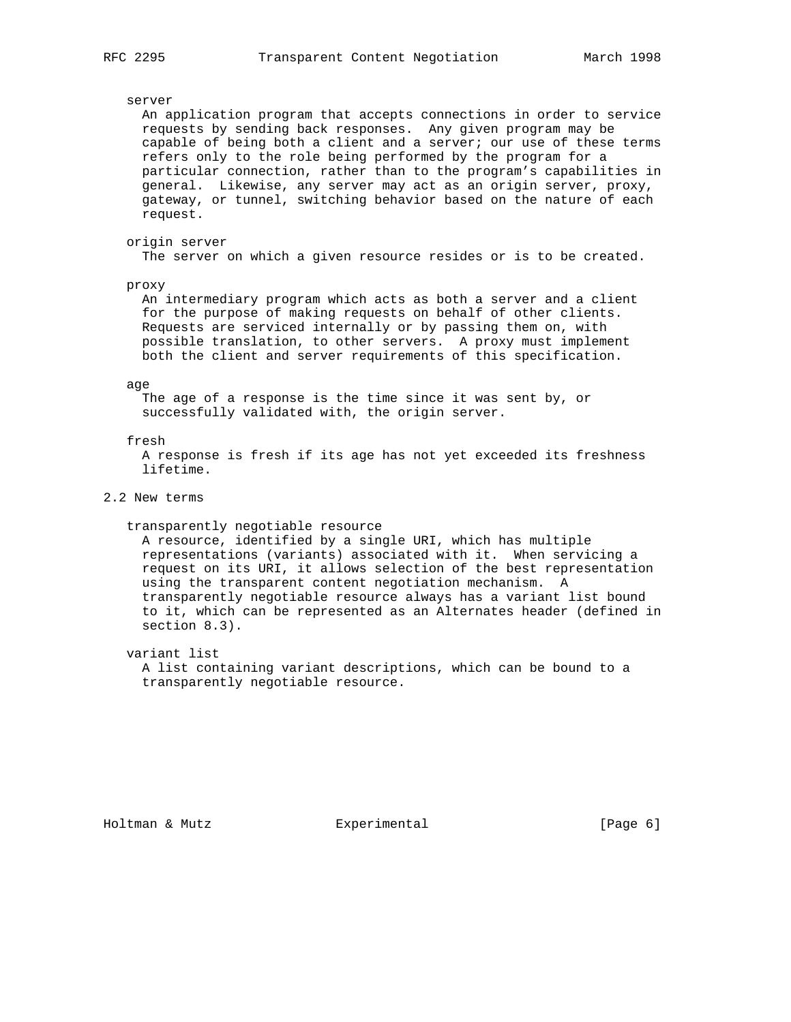## server

 An application program that accepts connections in order to service requests by sending back responses. Any given program may be capable of being both a client and a server; our use of these terms refers only to the role being performed by the program for a particular connection, rather than to the program's capabilities in general. Likewise, any server may act as an origin server, proxy, gateway, or tunnel, switching behavior based on the nature of each request.

# origin server

The server on which a given resource resides or is to be created.

## proxy

 An intermediary program which acts as both a server and a client for the purpose of making requests on behalf of other clients. Requests are serviced internally or by passing them on, with possible translation, to other servers. A proxy must implement both the client and server requirements of this specification.

## age

 The age of a response is the time since it was sent by, or successfully validated with, the origin server.

## fresh

 A response is fresh if its age has not yet exceeded its freshness lifetime.

# 2.2 New terms

## transparently negotiable resource

 A resource, identified by a single URI, which has multiple representations (variants) associated with it. When servicing a request on its URI, it allows selection of the best representation using the transparent content negotiation mechanism. A transparently negotiable resource always has a variant list bound to it, which can be represented as an Alternates header (defined in section 8.3).

## variant list

 A list containing variant descriptions, which can be bound to a transparently negotiable resource.

Holtman & Mutz  $\text{Experimental}$  [Page 6]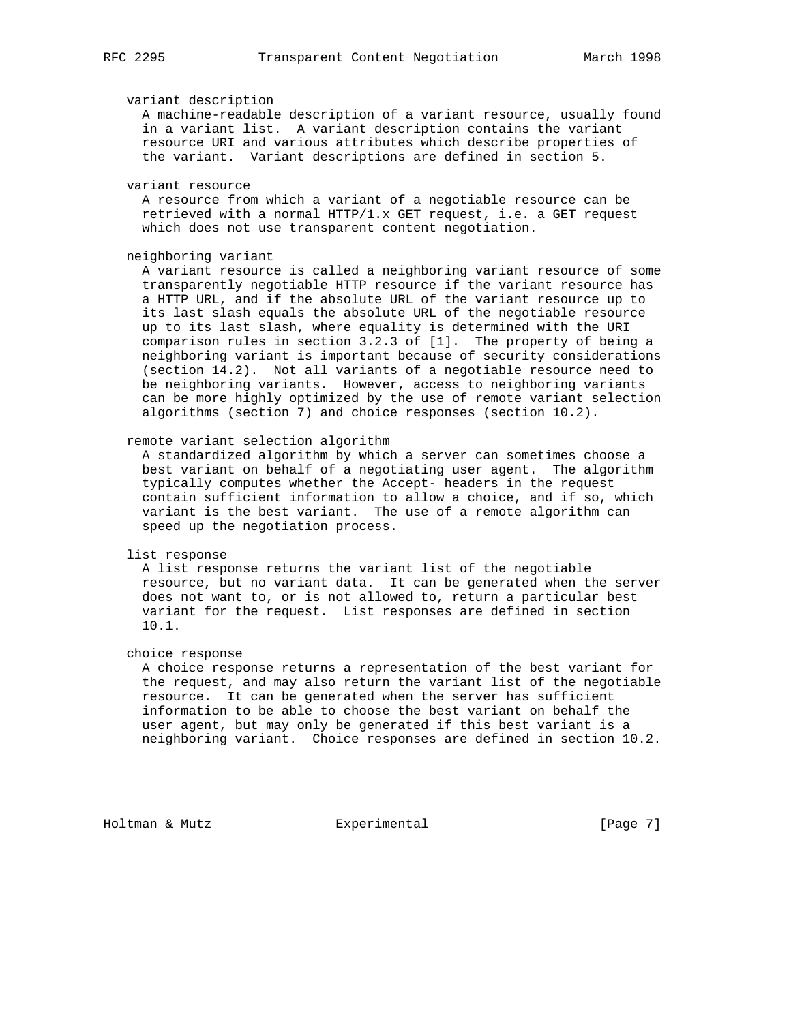## variant description

 A machine-readable description of a variant resource, usually found in a variant list. A variant description contains the variant resource URI and various attributes which describe properties of the variant. Variant descriptions are defined in section 5.

## variant resource

 A resource from which a variant of a negotiable resource can be retrieved with a normal HTTP/1.x GET request, i.e. a GET request which does not use transparent content negotiation.

# neighboring variant

 A variant resource is called a neighboring variant resource of some transparently negotiable HTTP resource if the variant resource has a HTTP URL, and if the absolute URL of the variant resource up to its last slash equals the absolute URL of the negotiable resource up to its last slash, where equality is determined with the URI comparison rules in section 3.2.3 of [1]. The property of being a neighboring variant is important because of security considerations (section 14.2). Not all variants of a negotiable resource need to be neighboring variants. However, access to neighboring variants can be more highly optimized by the use of remote variant selection algorithms (section 7) and choice responses (section 10.2).

# remote variant selection algorithm

 A standardized algorithm by which a server can sometimes choose a best variant on behalf of a negotiating user agent. The algorithm typically computes whether the Accept- headers in the request contain sufficient information to allow a choice, and if so, which variant is the best variant. The use of a remote algorithm can speed up the negotiation process.

## list response

 A list response returns the variant list of the negotiable resource, but no variant data. It can be generated when the server does not want to, or is not allowed to, return a particular best variant for the request. List responses are defined in section 10.1.

## choice response

 A choice response returns a representation of the best variant for the request, and may also return the variant list of the negotiable resource. It can be generated when the server has sufficient information to be able to choose the best variant on behalf the user agent, but may only be generated if this best variant is a neighboring variant. Choice responses are defined in section 10.2.

Holtman & Mutz  $\text{Experimental}$  [Page 7]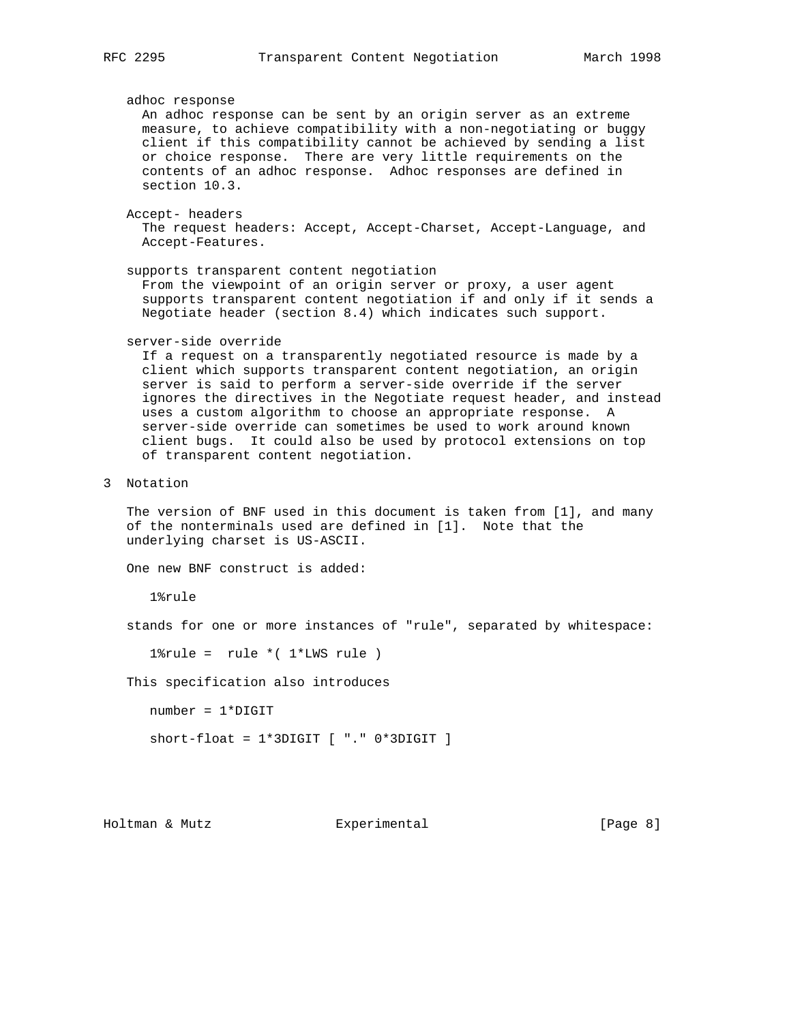adhoc response An adhoc response can be sent by an origin server as an extreme measure, to achieve compatibility with a non-negotiating or buggy client if this compatibility cannot be achieved by sending a list or choice response. There are very little requirements on the contents of an adhoc response. Adhoc responses are defined in section 10.3. Accept- headers The request headers: Accept, Accept-Charset, Accept-Language, and Accept-Features. supports transparent content negotiation From the viewpoint of an origin server or proxy, a user agent supports transparent content negotiation if and only if it sends a Negotiate header (section 8.4) which indicates such support. server-side override If a request on a transparently negotiated resource is made by a client which supports transparent content negotiation, an origin server is said to perform a server-side override if the server ignores the directives in the Negotiate request header, and instead uses a custom algorithm to choose an appropriate response. A server-side override can sometimes be used to work around known client bugs. It could also be used by protocol extensions on top of transparent content negotiation. 3 Notation The version of BNF used in this document is taken from [1], and many of the nonterminals used are defined in [1]. Note that the underlying charset is US-ASCII. One new BNF construct is added: 1%rule stands for one or more instances of "rule", separated by whitespace:  $1$ \*rule = rule \*( $1$ \*LWS rule) This specification also introduces number = 1\*DIGIT  $short$ -float =  $1*3$ DIGIT  $[$  "."  $0*3$ DIGIT  $]$ Holtman & Mutz  $\text{Experimental}$  [Page 8]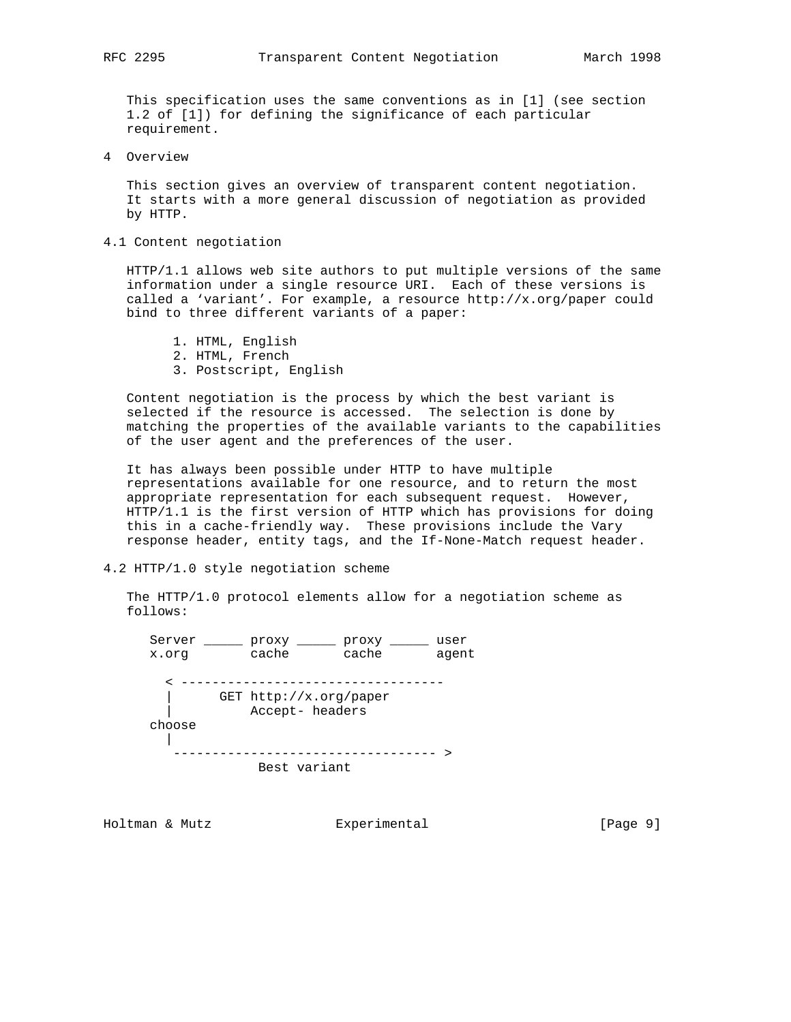This specification uses the same conventions as in [1] (see section 1.2 of [1]) for defining the significance of each particular requirement.

4 Overview

 This section gives an overview of transparent content negotiation. It starts with a more general discussion of negotiation as provided by HTTP.

4.1 Content negotiation

 HTTP/1.1 allows web site authors to put multiple versions of the same information under a single resource URI. Each of these versions is called a 'variant'. For example, a resource http://x.org/paper could bind to three different variants of a paper:

- 1. HTML, English
- 2. HTML, French
- 3. Postscript, English

 Content negotiation is the process by which the best variant is selected if the resource is accessed. The selection is done by matching the properties of the available variants to the capabilities of the user agent and the preferences of the user.

 It has always been possible under HTTP to have multiple representations available for one resource, and to return the most appropriate representation for each subsequent request. However, HTTP/1.1 is the first version of HTTP which has provisions for doing this in a cache-friendly way. These provisions include the Vary response header, entity tags, and the If-None-Match request header.

# 4.2 HTTP/1.0 style negotiation scheme

 The HTTP/1.0 protocol elements allow for a negotiation scheme as follows:



Holtman & Mutz **Experimental** Experimental [Page 9]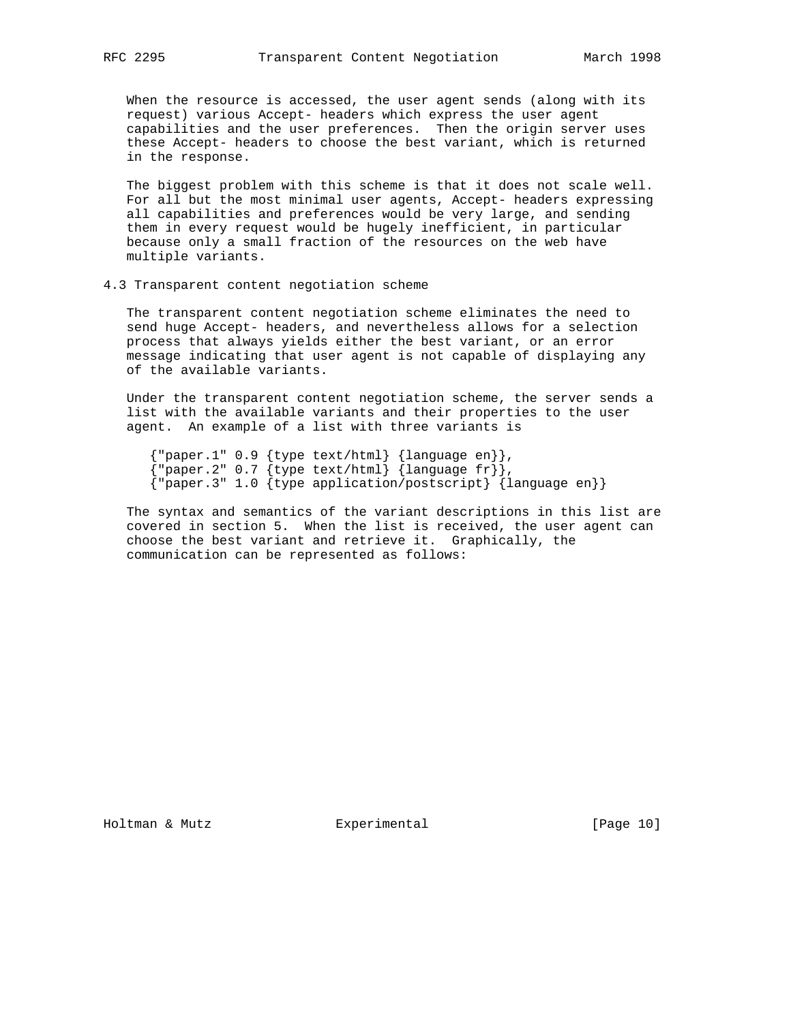When the resource is accessed, the user agent sends (along with its request) various Accept- headers which express the user agent capabilities and the user preferences. Then the origin server uses these Accept- headers to choose the best variant, which is returned in the response.

 The biggest problem with this scheme is that it does not scale well. For all but the most minimal user agents, Accept- headers expressing all capabilities and preferences would be very large, and sending them in every request would be hugely inefficient, in particular because only a small fraction of the resources on the web have multiple variants.

## 4.3 Transparent content negotiation scheme

 The transparent content negotiation scheme eliminates the need to send huge Accept- headers, and nevertheless allows for a selection process that always yields either the best variant, or an error message indicating that user agent is not capable of displaying any of the available variants.

 Under the transparent content negotiation scheme, the server sends a list with the available variants and their properties to the user agent. An example of a list with three variants is

```
 {"paper.1" 0.9 {type text/html} {language en}},
 {"paper.2" 0.7 {type text/html} {language fr}},
      {"paper.3" 1.0 {type application/postscript} {language en}}
```
 The syntax and semantics of the variant descriptions in this list are covered in section 5. When the list is received, the user agent can choose the best variant and retrieve it. Graphically, the communication can be represented as follows: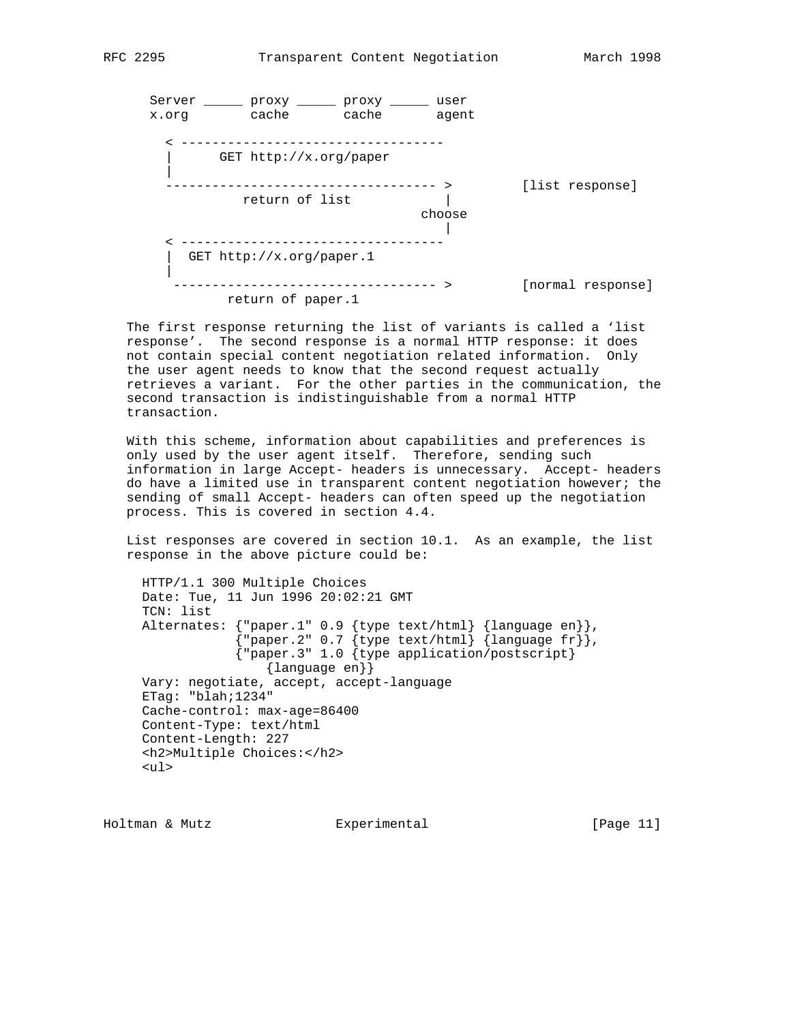

 The first response returning the list of variants is called a 'list response'. The second response is a normal HTTP response: it does not contain special content negotiation related information. Only the user agent needs to know that the second request actually retrieves a variant. For the other parties in the communication, the second transaction is indistinguishable from a normal HTTP transaction.

 With this scheme, information about capabilities and preferences is only used by the user agent itself. Therefore, sending such information in large Accept- headers is unnecessary. Accept- headers do have a limited use in transparent content negotiation however; the sending of small Accept- headers can often speed up the negotiation process. This is covered in section 4.4.

 List responses are covered in section 10.1. As an example, the list response in the above picture could be:

```
 HTTP/1.1 300 Multiple Choices
     Date: Tue, 11 Jun 1996 20:02:21 GMT
     TCN: list
 Alternates: {"paper.1" 0.9 {type text/html} {language en}},
{^{w}} paper.2" 0.7 {^w} text/html} {^w} anguage fr
                 {"paper.3" 1.0 {type application/postscript}
                    {language en}}
     Vary: negotiate, accept, accept-language
     ETag: "blah;1234"
     Cache-control: max-age=86400
     Content-Type: text/html
     Content-Length: 227
     <h2>Multiple Choices:</h2>
     <ul>
```
Holtman & Mutz Experimental [Page 11]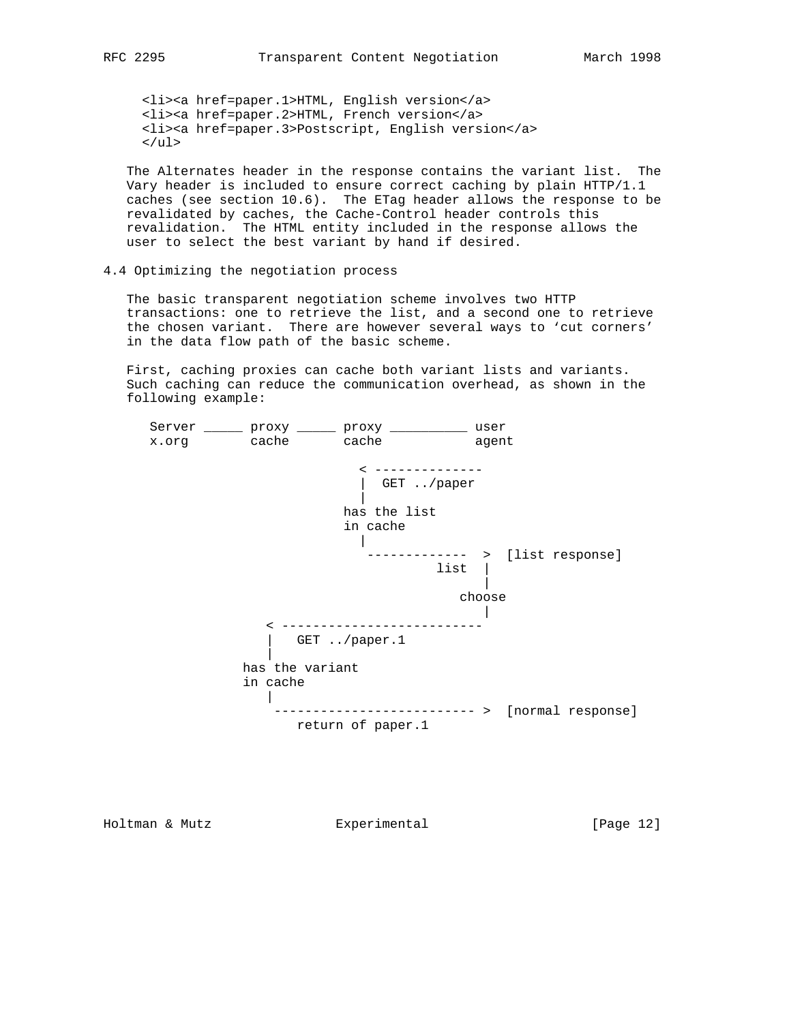<li><a href=paper.1>HTML, English version</a> <li><a href=paper.2>HTML, French version</a> <li><a href=paper.3>Postscript, English version</a>  $\langle$ ul>

 The Alternates header in the response contains the variant list. The Vary header is included to ensure correct caching by plain HTTP/1.1 caches (see section 10.6). The ETag header allows the response to be revalidated by caches, the Cache-Control header controls this revalidation. The HTML entity included in the response allows the user to select the best variant by hand if desired.

4.4 Optimizing the negotiation process

 The basic transparent negotiation scheme involves two HTTP transactions: one to retrieve the list, and a second one to retrieve the chosen variant. There are however several ways to 'cut corners' in the data flow path of the basic scheme.

 First, caching proxies can cache both variant lists and variants. Such caching can reduce the communication overhead, as shown in the following example:



Holtman & Mutz **Experimental** Experimental [Page 12]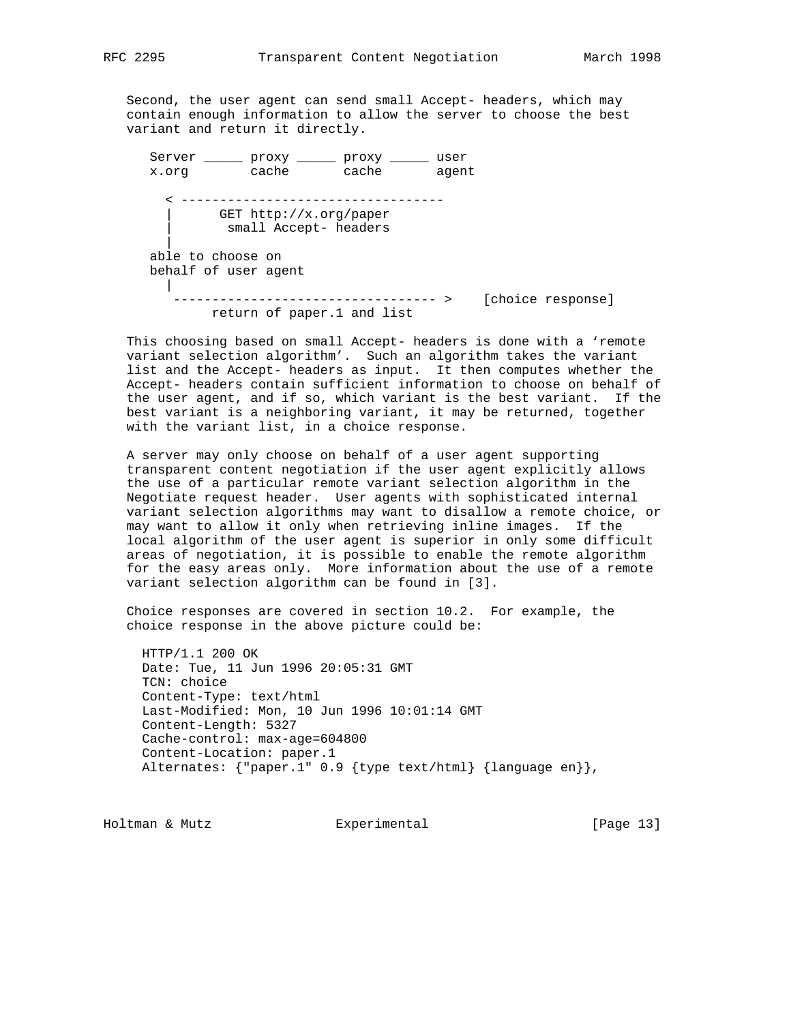Second, the user agent can send small Accept- headers, which may contain enough information to allow the server to choose the best variant and return it directly.

Server \_\_\_\_\_ proxy \_\_\_\_\_ proxy \_\_\_\_\_ user x.org cache cache agent < ---------------------------------- | GET http://x.org/paper small Accept- headers | able to choose on behalf of user agent | ---------------------------------- > [choice response] return of paper.1 and list

 This choosing based on small Accept- headers is done with a 'remote variant selection algorithm'. Such an algorithm takes the variant list and the Accept- headers as input. It then computes whether the Accept- headers contain sufficient information to choose on behalf of the user agent, and if so, which variant is the best variant. If the best variant is a neighboring variant, it may be returned, together with the variant list, in a choice response.

 A server may only choose on behalf of a user agent supporting transparent content negotiation if the user agent explicitly allows the use of a particular remote variant selection algorithm in the Negotiate request header. User agents with sophisticated internal variant selection algorithms may want to disallow a remote choice, or may want to allow it only when retrieving inline images. If the local algorithm of the user agent is superior in only some difficult areas of negotiation, it is possible to enable the remote algorithm for the easy areas only. More information about the use of a remote variant selection algorithm can be found in [3].

 Choice responses are covered in section 10.2. For example, the choice response in the above picture could be:

 HTTP/1.1 200 OK Date: Tue, 11 Jun 1996 20:05:31 GMT TCN: choice Content-Type: text/html Last-Modified: Mon, 10 Jun 1996 10:01:14 GMT Content-Length: 5327 Cache-control: max-age=604800 Content-Location: paper.1 Alternates: {"paper.1" 0.9 {type text/html} {language en}},

Holtman & Mutz **Experimental** Experimental [Page 13]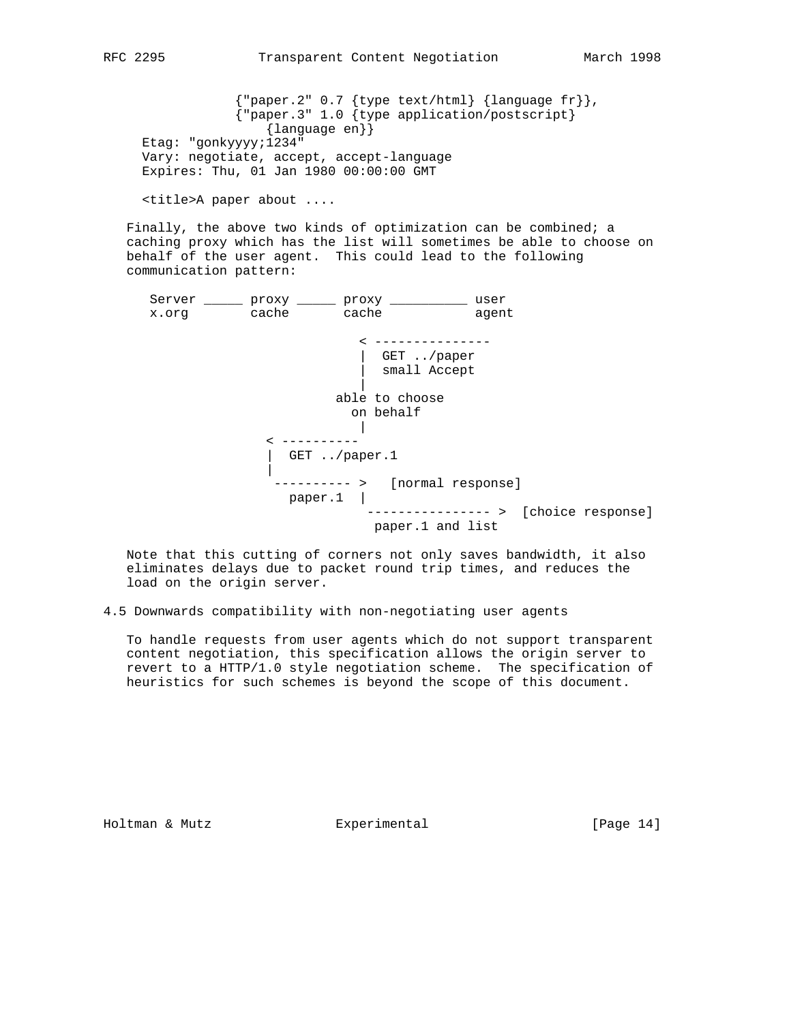${ "paper.2" 0.7 {type text/html} {language fr} },$  {"paper.3" 1.0 {type application/postscript} {language en}} Etag: "gonkyyyy;1234" Vary: negotiate, accept, accept-language Expires: Thu, 01 Jan 1980 00:00:00 GMT

<title>A paper about ....

 Finally, the above two kinds of optimization can be combined; a caching proxy which has the list will sometimes be able to choose on behalf of the user agent. This could lead to the following communication pattern:

 Server \_\_\_\_\_ proxy \_\_\_\_\_ proxy \_\_\_\_\_\_\_\_\_\_ user x.org cache cache agent < --------------- | GET ../paper | small Accept | able to choose on behalf | < ---------- | GET ../paper.1 | ---------- > [normal response] paper.1 | ---------------- > [choice response] paper.1 and list

 Note that this cutting of corners not only saves bandwidth, it also eliminates delays due to packet round trip times, and reduces the load on the origin server.

4.5 Downwards compatibility with non-negotiating user agents

 To handle requests from user agents which do not support transparent content negotiation, this specification allows the origin server to revert to a HTTP/1.0 style negotiation scheme. The specification of heuristics for such schemes is beyond the scope of this document.

Holtman & Mutz Experimental [Page 14]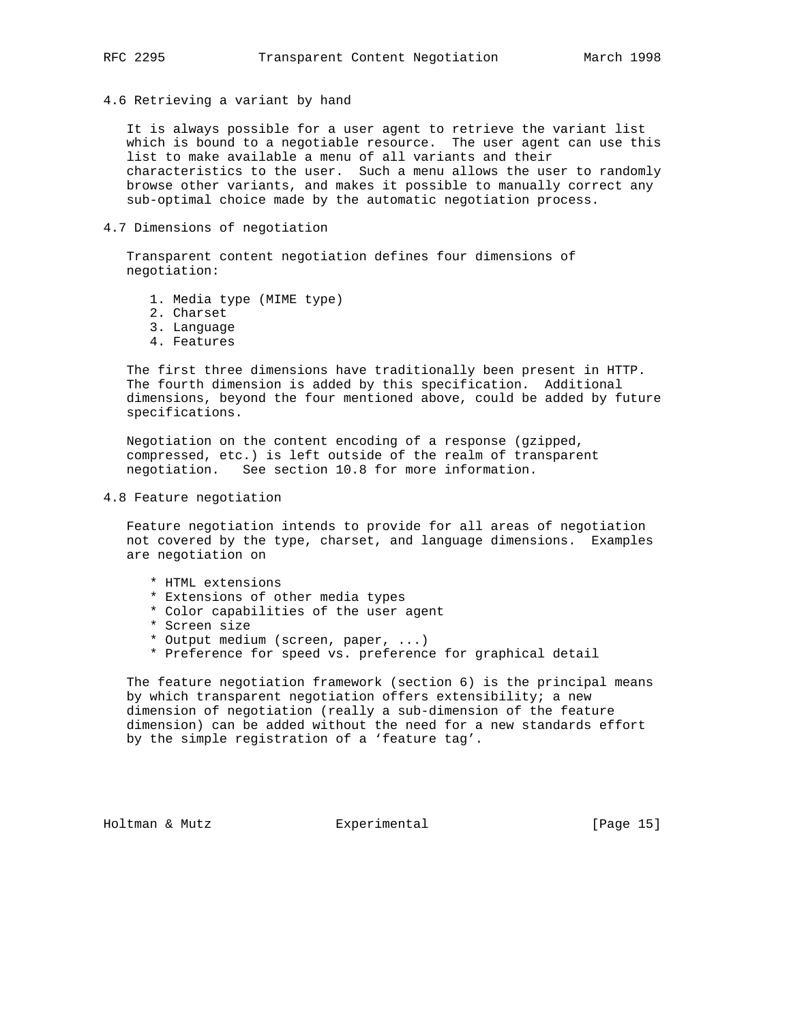4.6 Retrieving a variant by hand

 It is always possible for a user agent to retrieve the variant list which is bound to a negotiable resource. The user agent can use this list to make available a menu of all variants and their characteristics to the user. Such a menu allows the user to randomly browse other variants, and makes it possible to manually correct any sub-optimal choice made by the automatic negotiation process.

4.7 Dimensions of negotiation

 Transparent content negotiation defines four dimensions of negotiation:

- 1. Media type (MIME type)
- 2. Charset
- 3. Language
- 4. Features

 The first three dimensions have traditionally been present in HTTP. The fourth dimension is added by this specification. Additional dimensions, beyond the four mentioned above, could be added by future specifications.

 Negotiation on the content encoding of a response (gzipped, compressed, etc.) is left outside of the realm of transparent negotiation. See section 10.8 for more information.

4.8 Feature negotiation

 Feature negotiation intends to provide for all areas of negotiation not covered by the type, charset, and language dimensions. Examples are negotiation on

- \* HTML extensions
- \* Extensions of other media types
- \* Color capabilities of the user agent
- \* Screen size
- \* Output medium (screen, paper, ...)
- \* Preference for speed vs. preference for graphical detail

 The feature negotiation framework (section 6) is the principal means by which transparent negotiation offers extensibility; a new dimension of negotiation (really a sub-dimension of the feature dimension) can be added without the need for a new standards effort by the simple registration of a 'feature tag'.

Holtman & Mutz Experimental [Page 15]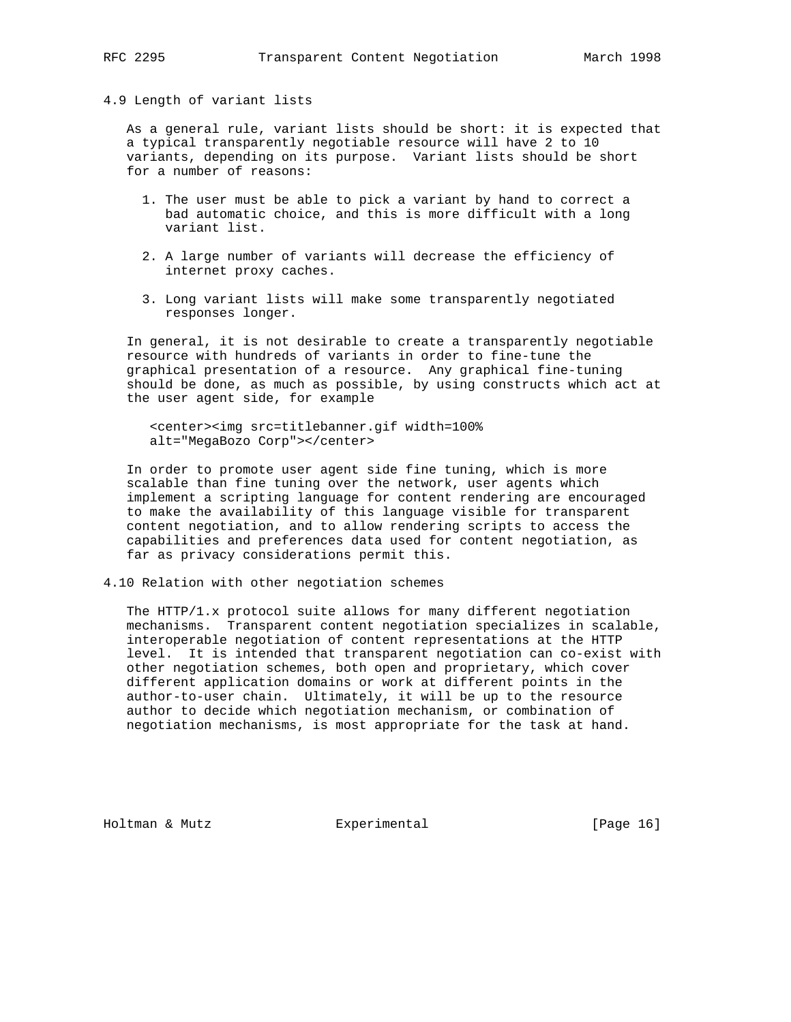4.9 Length of variant lists

 As a general rule, variant lists should be short: it is expected that a typical transparently negotiable resource will have 2 to 10 variants, depending on its purpose. Variant lists should be short for a number of reasons:

- 1. The user must be able to pick a variant by hand to correct a bad automatic choice, and this is more difficult with a long variant list.
- 2. A large number of variants will decrease the efficiency of internet proxy caches.
- 3. Long variant lists will make some transparently negotiated responses longer.

 In general, it is not desirable to create a transparently negotiable resource with hundreds of variants in order to fine-tune the graphical presentation of a resource. Any graphical fine-tuning should be done, as much as possible, by using constructs which act at the user agent side, for example

 <center><img src=titlebanner.gif width=100% alt="MegaBozo Corp"></center>

 In order to promote user agent side fine tuning, which is more scalable than fine tuning over the network, user agents which implement a scripting language for content rendering are encouraged to make the availability of this language visible for transparent content negotiation, and to allow rendering scripts to access the capabilities and preferences data used for content negotiation, as far as privacy considerations permit this.

4.10 Relation with other negotiation schemes

 The HTTP/1.x protocol suite allows for many different negotiation mechanisms. Transparent content negotiation specializes in scalable, interoperable negotiation of content representations at the HTTP level. It is intended that transparent negotiation can co-exist with other negotiation schemes, both open and proprietary, which cover different application domains or work at different points in the author-to-user chain. Ultimately, it will be up to the resource author to decide which negotiation mechanism, or combination of negotiation mechanisms, is most appropriate for the task at hand.

Holtman & Mutz Experimental [Page 16]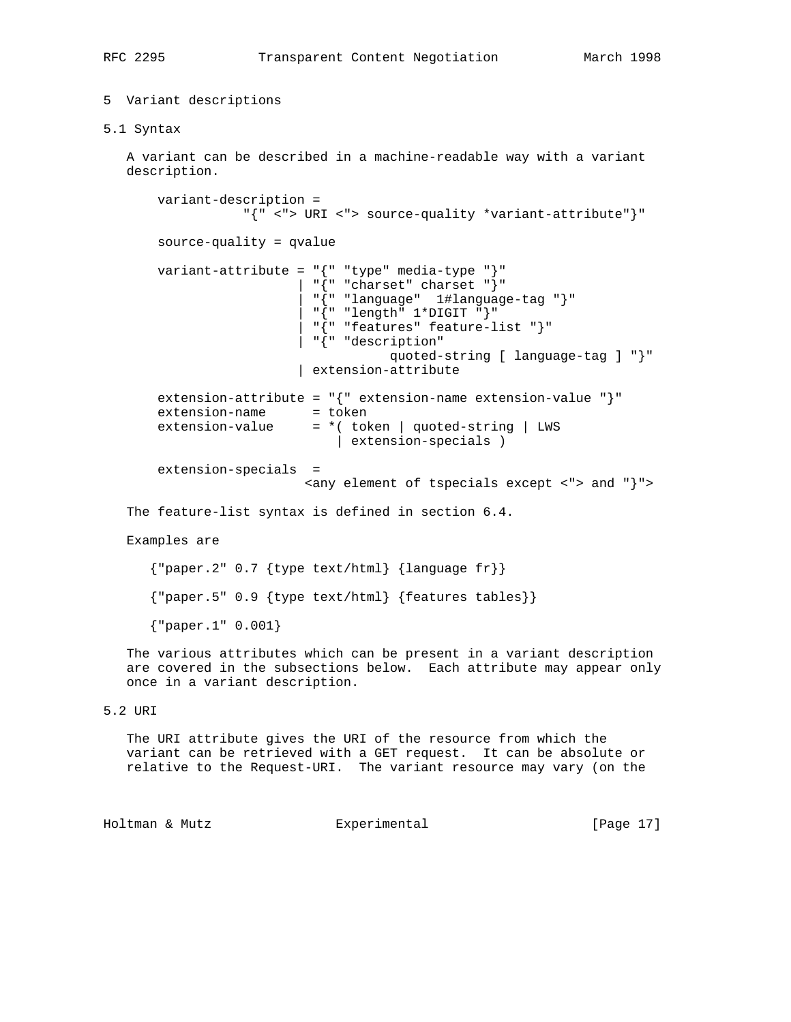# 5 Variant descriptions

5.1 Syntax

 A variant can be described in a machine-readable way with a variant description.

 variant-description = "{" <"> URI <"> source-quality \*variant-attribute"}" source-quality = qvalue variant-attribute = "{" "type" media-type "}"  $"\left\{ " "cluster" \text{ character} " \right\}"$  | "{" "language" 1#language-tag "}"  $"\left\{ " "length" 1*DiffIT" \right\}"$  | "{" "features" feature-list "}" | "{" "description" quoted-string [ language-tag ] "}" | extension-attribute extension-attribute = "{" extension-name extension-value "}" extension-name = token extension-value  $= *$ ( token | quoted-string | LWS | extension-specials ) extension-specials = <any element of tspecials except <"> and "}"> The feature-list syntax is defined in section 6.4. Examples are {"paper.2" 0.7 {type text/html} {language fr}} {"paper.5" 0.9 {type text/html} {features tables}} {"paper.1" 0.001}

 The various attributes which can be present in a variant description are covered in the subsections below. Each attribute may appear only once in a variant description.

# 5.2 URI

 The URI attribute gives the URI of the resource from which the variant can be retrieved with a GET request. It can be absolute or relative to the Request-URI. The variant resource may vary (on the

Holtman & Mutz Experimental [Page 17]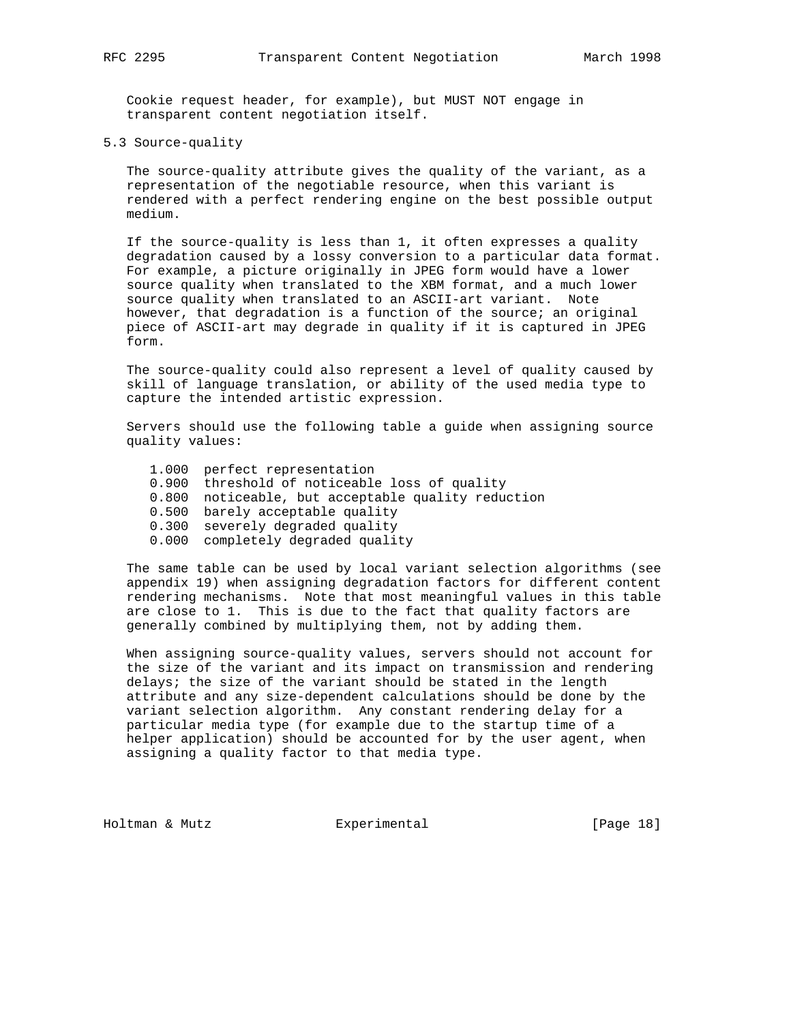Cookie request header, for example), but MUST NOT engage in transparent content negotiation itself.

5.3 Source-quality

 The source-quality attribute gives the quality of the variant, as a representation of the negotiable resource, when this variant is rendered with a perfect rendering engine on the best possible output medium.

 If the source-quality is less than 1, it often expresses a quality degradation caused by a lossy conversion to a particular data format. For example, a picture originally in JPEG form would have a lower source quality when translated to the XBM format, and a much lower source quality when translated to an ASCII-art variant. Note however, that degradation is a function of the source; an original piece of ASCII-art may degrade in quality if it is captured in JPEG form.

 The source-quality could also represent a level of quality caused by skill of language translation, or ability of the used media type to capture the intended artistic expression.

 Servers should use the following table a guide when assigning source quality values:

- 1.000 perfect representation
- 0.900 threshold of noticeable loss of quality
- 0.800 noticeable, but acceptable quality reduction
- 0.500 barely acceptable quality
	- 0.300 severely degraded quality
	- 0.000 completely degraded quality

 The same table can be used by local variant selection algorithms (see appendix 19) when assigning degradation factors for different content rendering mechanisms. Note that most meaningful values in this table are close to 1. This is due to the fact that quality factors are generally combined by multiplying them, not by adding them.

 When assigning source-quality values, servers should not account for the size of the variant and its impact on transmission and rendering delays; the size of the variant should be stated in the length attribute and any size-dependent calculations should be done by the variant selection algorithm. Any constant rendering delay for a particular media type (for example due to the startup time of a helper application) should be accounted for by the user agent, when assigning a quality factor to that media type.

Holtman & Mutz **Experimental** Experimental [Page 18]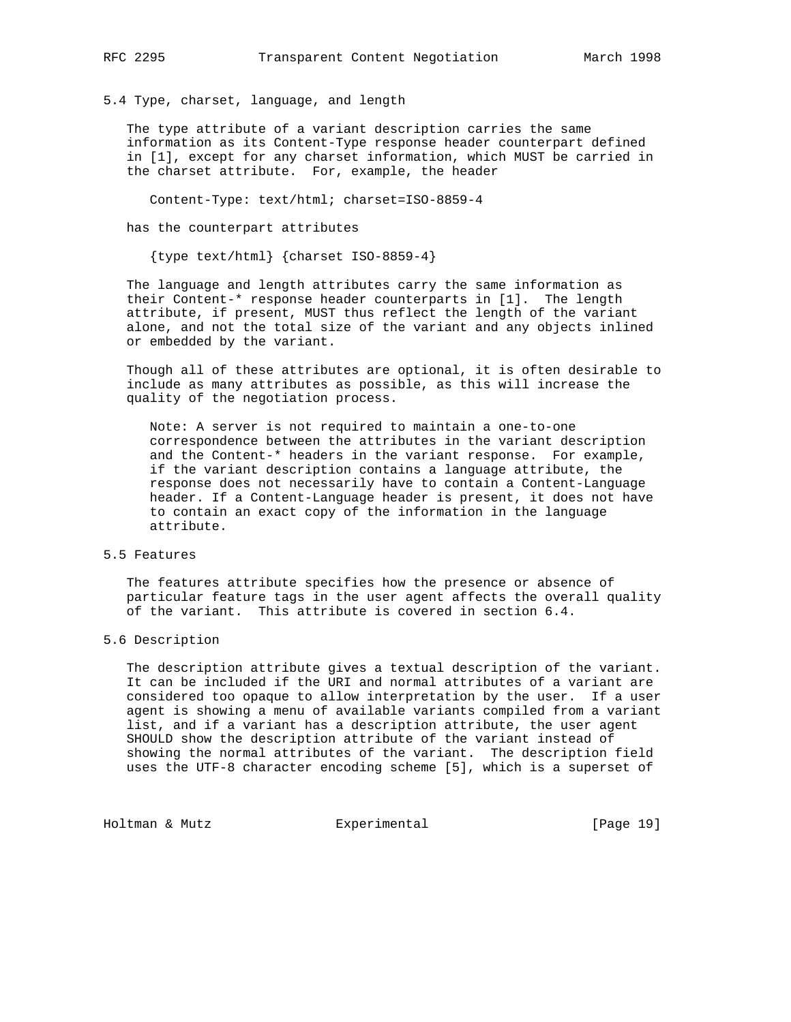5.4 Type, charset, language, and length

 The type attribute of a variant description carries the same information as its Content-Type response header counterpart defined in [1], except for any charset information, which MUST be carried in the charset attribute. For, example, the header

Content-Type: text/html; charset=ISO-8859-4

has the counterpart attributes

{type text/html} {charset ISO-8859-4}

 The language and length attributes carry the same information as their Content-\* response header counterparts in [1]. The length attribute, if present, MUST thus reflect the length of the variant alone, and not the total size of the variant and any objects inlined or embedded by the variant.

 Though all of these attributes are optional, it is often desirable to include as many attributes as possible, as this will increase the quality of the negotiation process.

 Note: A server is not required to maintain a one-to-one correspondence between the attributes in the variant description and the Content-\* headers in the variant response. For example, if the variant description contains a language attribute, the response does not necessarily have to contain a Content-Language header. If a Content-Language header is present, it does not have to contain an exact copy of the information in the language attribute.

# 5.5 Features

 The features attribute specifies how the presence or absence of particular feature tags in the user agent affects the overall quality of the variant. This attribute is covered in section 6.4.

## 5.6 Description

 The description attribute gives a textual description of the variant. It can be included if the URI and normal attributes of a variant are considered too opaque to allow interpretation by the user. If a user agent is showing a menu of available variants compiled from a variant list, and if a variant has a description attribute, the user agent SHOULD show the description attribute of the variant instead of showing the normal attributes of the variant. The description field uses the UTF-8 character encoding scheme [5], which is a superset of

Holtman & Mutz **Experimental** Experimental [Page 19]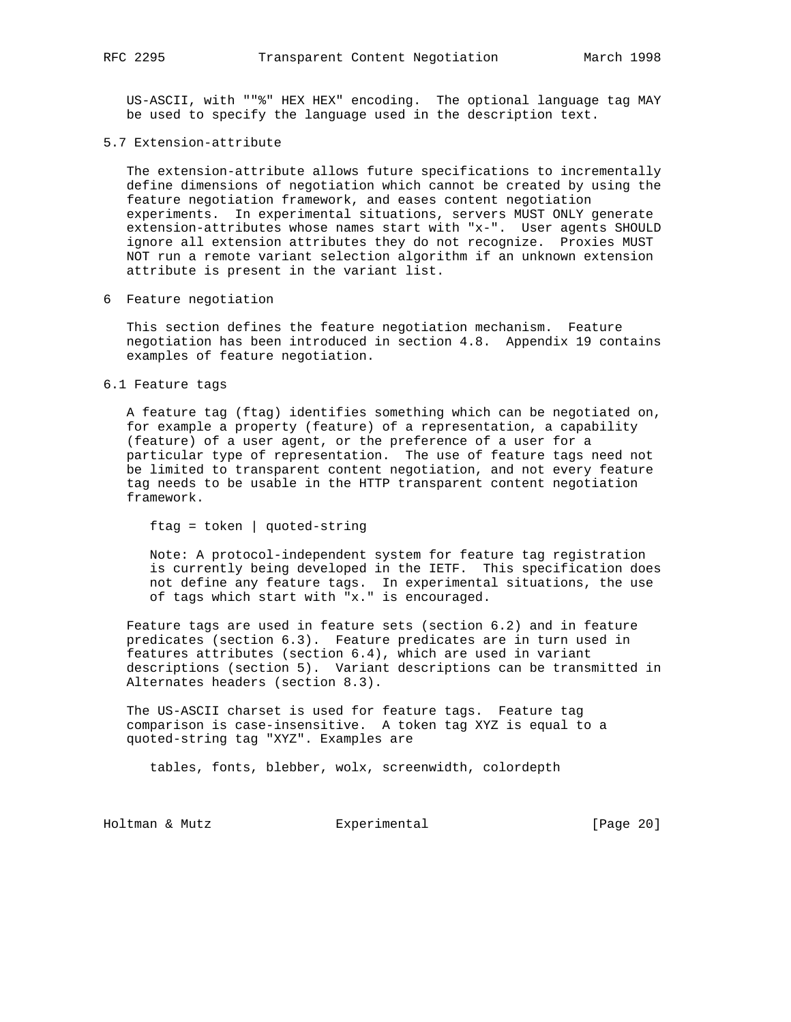US-ASCII, with ""%" HEX HEX" encoding. The optional language tag MAY be used to specify the language used in the description text.

## 5.7 Extension-attribute

 The extension-attribute allows future specifications to incrementally define dimensions of negotiation which cannot be created by using the feature negotiation framework, and eases content negotiation experiments. In experimental situations, servers MUST ONLY generate extension-attributes whose names start with "x-". User agents SHOULD ignore all extension attributes they do not recognize. Proxies MUST NOT run a remote variant selection algorithm if an unknown extension attribute is present in the variant list.

6 Feature negotiation

 This section defines the feature negotiation mechanism. Feature negotiation has been introduced in section 4.8. Appendix 19 contains examples of feature negotiation.

6.1 Feature tags

 A feature tag (ftag) identifies something which can be negotiated on, for example a property (feature) of a representation, a capability (feature) of a user agent, or the preference of a user for a particular type of representation. The use of feature tags need not be limited to transparent content negotiation, and not every feature tag needs to be usable in the HTTP transparent content negotiation framework.

```
 ftag = token | quoted-string
```
 Note: A protocol-independent system for feature tag registration is currently being developed in the IETF. This specification does not define any feature tags. In experimental situations, the use of tags which start with "x." is encouraged.

 Feature tags are used in feature sets (section 6.2) and in feature predicates (section 6.3). Feature predicates are in turn used in features attributes (section 6.4), which are used in variant descriptions (section 5). Variant descriptions can be transmitted in Alternates headers (section 8.3).

 The US-ASCII charset is used for feature tags. Feature tag comparison is case-insensitive. A token tag XYZ is equal to a quoted-string tag "XYZ". Examples are

tables, fonts, blebber, wolx, screenwidth, colordepth

Holtman & Mutz Experimental [Page 20]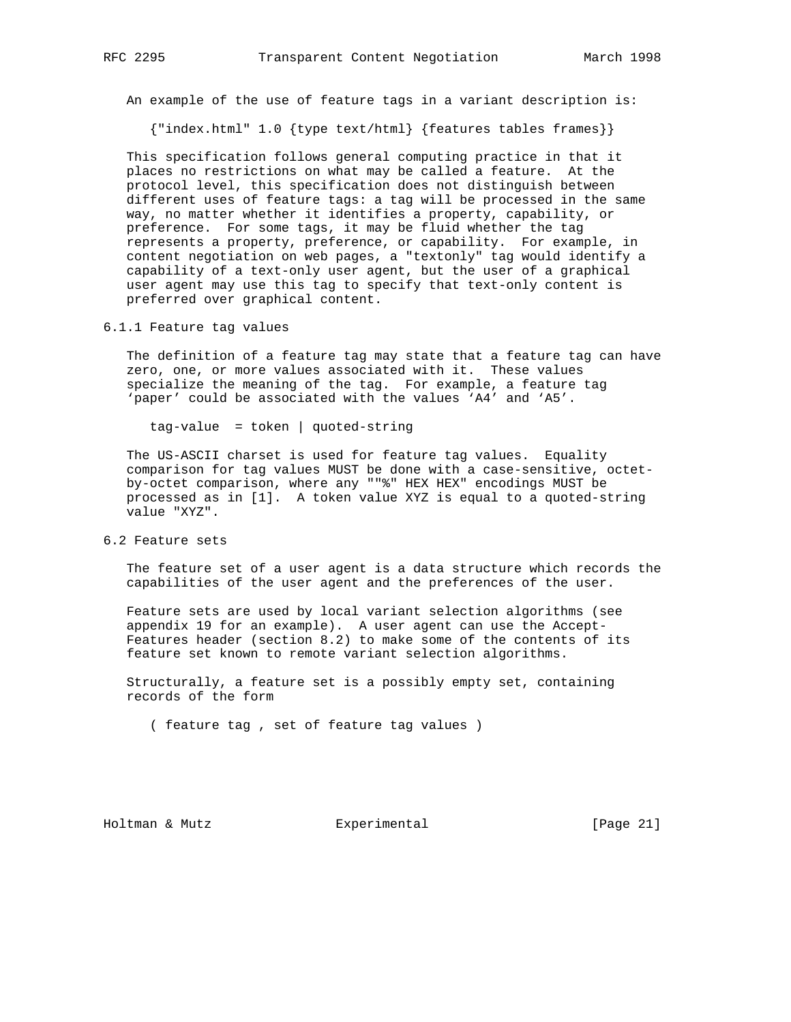An example of the use of feature tags in a variant description is:

{"index.html" 1.0 {type text/html} {features tables frames}}

 This specification follows general computing practice in that it places no restrictions on what may be called a feature. At the protocol level, this specification does not distinguish between different uses of feature tags: a tag will be processed in the same way, no matter whether it identifies a property, capability, or preference. For some tags, it may be fluid whether the tag represents a property, preference, or capability. For example, in content negotiation on web pages, a "textonly" tag would identify a capability of a text-only user agent, but the user of a graphical user agent may use this tag to specify that text-only content is preferred over graphical content.

6.1.1 Feature tag values

 The definition of a feature tag may state that a feature tag can have zero, one, or more values associated with it. These values specialize the meaning of the tag. For example, a feature tag 'paper' could be associated with the values 'A4' and 'A5'.

tag-value = token | quoted-string

 The US-ASCII charset is used for feature tag values. Equality comparison for tag values MUST be done with a case-sensitive, octet by-octet comparison, where any ""%" HEX HEX" encodings MUST be processed as in [1]. A token value XYZ is equal to a quoted-string value "XYZ".

6.2 Feature sets

 The feature set of a user agent is a data structure which records the capabilities of the user agent and the preferences of the user.

 Feature sets are used by local variant selection algorithms (see appendix 19 for an example). A user agent can use the Accept- Features header (section 8.2) to make some of the contents of its feature set known to remote variant selection algorithms.

 Structurally, a feature set is a possibly empty set, containing records of the form

( feature tag , set of feature tag values )

Holtman & Mutz Experimental [Page 21]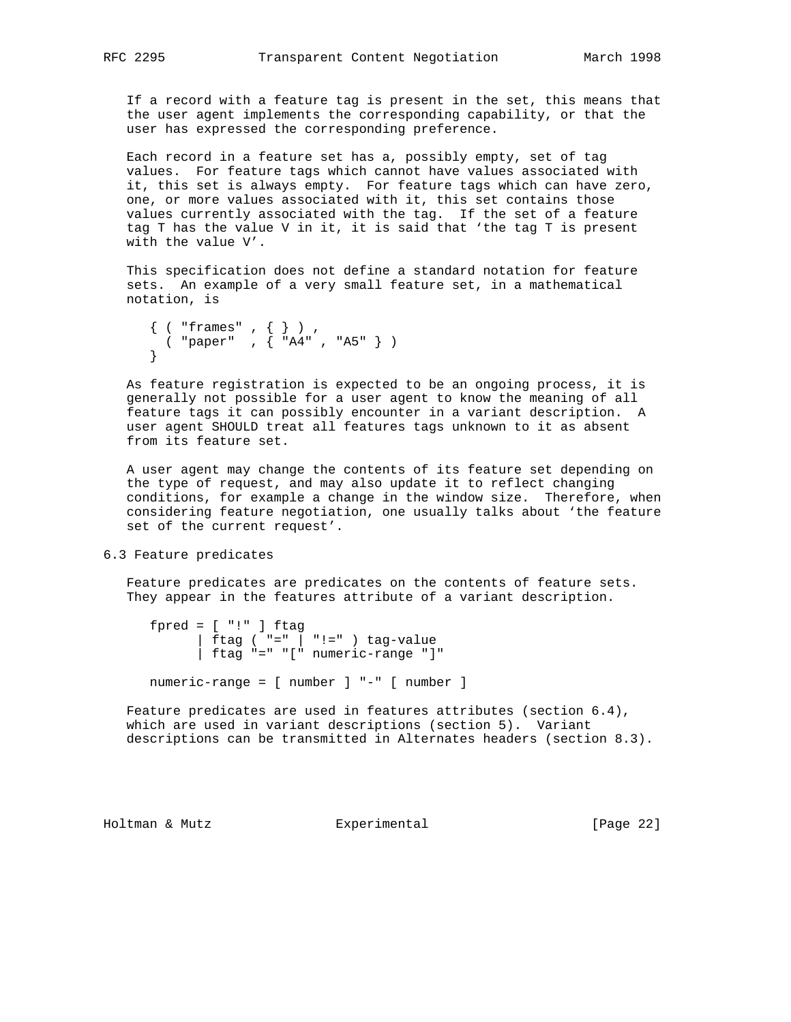If a record with a feature tag is present in the set, this means that the user agent implements the corresponding capability, or that the user has expressed the corresponding preference.

 Each record in a feature set has a, possibly empty, set of tag values. For feature tags which cannot have values associated with it, this set is always empty. For feature tags which can have zero, one, or more values associated with it, this set contains those values currently associated with the tag. If the set of a feature tag T has the value V in it, it is said that 'the tag T is present with the value V'.

 This specification does not define a standard notation for feature sets. An example of a very small feature set, in a mathematical notation, is

```
 { ( "frames" , { } ) ,
 ( "paper" , { "A4" , "A5" } )
     }
```
 As feature registration is expected to be an ongoing process, it is generally not possible for a user agent to know the meaning of all feature tags it can possibly encounter in a variant description. A user agent SHOULD treat all features tags unknown to it as absent from its feature set.

 A user agent may change the contents of its feature set depending on the type of request, and may also update it to reflect changing conditions, for example a change in the window size. Therefore, when considering feature negotiation, one usually talks about 'the feature set of the current request'.

6.3 Feature predicates

 Feature predicates are predicates on the contents of feature sets. They appear in the features attribute of a variant description.

 $fpred = [ "!" ] ftag$ | ftag (  $"=" \mid$   $" := " \mid " != " )$  tag-value | ftag "=" "[" numeric-range "]"

numeric-range = [ number ] "-" [ number ]

 Feature predicates are used in features attributes (section 6.4), which are used in variant descriptions (section 5). Variant descriptions can be transmitted in Alternates headers (section 8.3).

Holtman & Mutz Experimental [Page 22]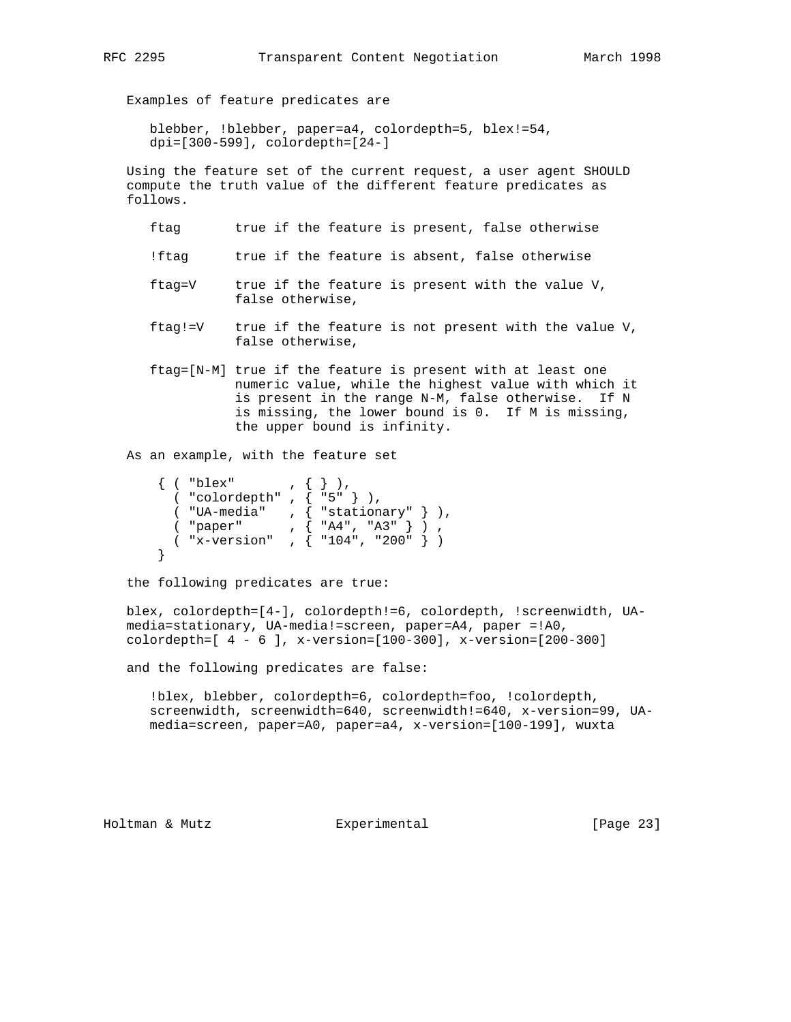Examples of feature predicates are

 blebber, !blebber, paper=a4, colordepth=5, blex!=54, dpi=[300-599], colordepth=[24-]

 Using the feature set of the current request, a user agent SHOULD compute the truth value of the different feature predicates as follows.

- ftag true if the feature is present, false otherwise
- !ftag true if the feature is absent, false otherwise
- ftag=V true if the feature is present with the value V, false otherwise,
- ftag!=V true if the feature is not present with the value V, false otherwise,
- ftag=[N-M] true if the feature is present with at least one numeric value, while the highest value with which it is present in the range N-M, false otherwise. If N is missing, the lower bound is 0. If M is missing, the upper bound is infinity.

As an example, with the feature set

| ( "blex"       |  |                             |  |
|----------------|--|-----------------------------|--|
| ( "colordepth" |  | ${1, 5, 1}$                 |  |
| ( "UA-media"   |  | , $\{$ "stationary" $\}$ ), |  |
| ( "paper"      |  | , $\{$ "A4", "A3" }         |  |
| ( "x-version"  |  | , $\{$ "104", "200"         |  |
|                |  |                             |  |

the following predicates are true:

 blex, colordepth=[4-], colordepth!=6, colordepth, !screenwidth, UA media=stationary, UA-media!=screen, paper=A4, paper =!A0, colordepth=[ 4 - 6 ], x-version=[100-300], x-version=[200-300]

and the following predicates are false:

 !blex, blebber, colordepth=6, colordepth=foo, !colordepth, screenwidth, screenwidth=640, screenwidth!=640, x-version=99, UA media=screen, paper=A0, paper=a4, x-version=[100-199], wuxta

Holtman & Mutz Experimental [Page 23]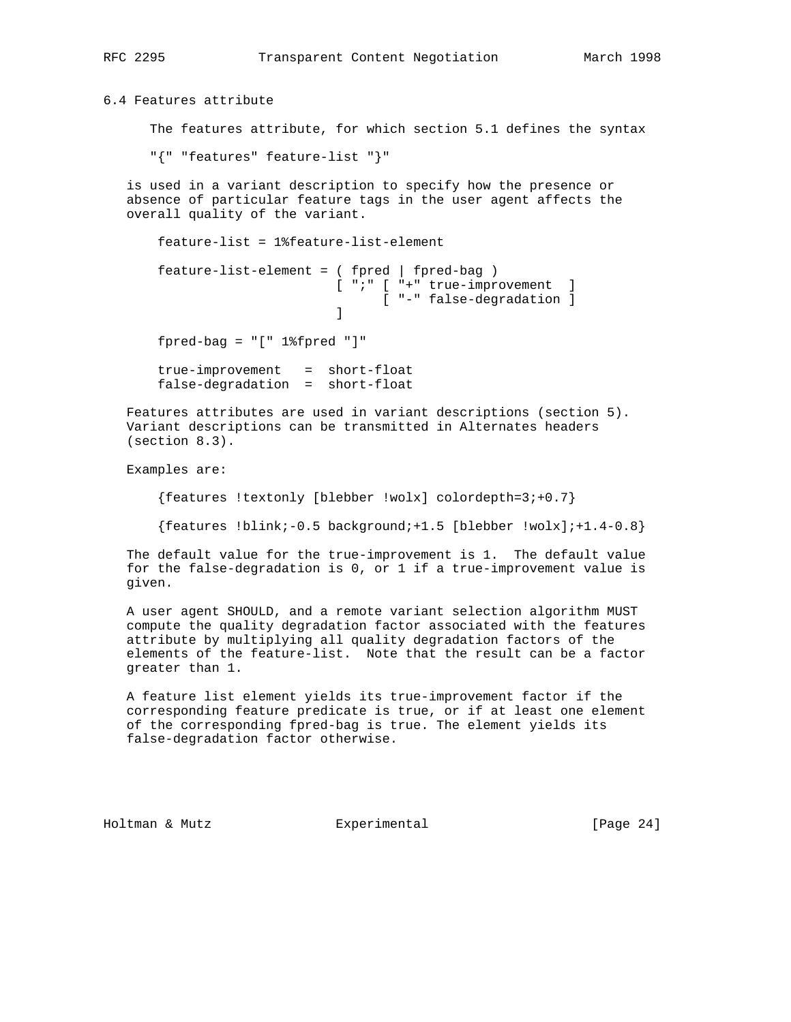6.4 Features attribute

The features attribute, for which section 5.1 defines the syntax

"{" "features" feature-list "}"

 is used in a variant description to specify how the presence or absence of particular feature tags in the user agent affects the overall quality of the variant.

```
 feature-list = 1%feature-list-element
         feature-list-element = ( fpred | fpred-bag )
                                       [ ";" [ "+" true-improvement ]
                                              [ "-" false-degradation ]
design to the control of the control of the control of the control of the control of the control of the control of
          fpred-bag = "[" 1%fpred "]"
          true-improvement = short-float
         false-degradation = short-float
```
 Features attributes are used in variant descriptions (section 5). Variant descriptions can be transmitted in Alternates headers (section 8.3).

Examples are:

 ${features \texttt{textonly} \texttt{[blebber \texttt{!} would colordepth=3;+0.7}}$ 

 ${features 1.01nk; -0.5 background; +1.5 [blebber 1.01k]; +1.4-0.8}$ 

 The default value for the true-improvement is 1. The default value for the false-degradation is 0, or 1 if a true-improvement value is given.

 A user agent SHOULD, and a remote variant selection algorithm MUST compute the quality degradation factor associated with the features attribute by multiplying all quality degradation factors of the elements of the feature-list. Note that the result can be a factor greater than 1.

 A feature list element yields its true-improvement factor if the corresponding feature predicate is true, or if at least one element of the corresponding fpred-bag is true. The element yields its false-degradation factor otherwise.

Holtman & Mutz Experimental [Page 24]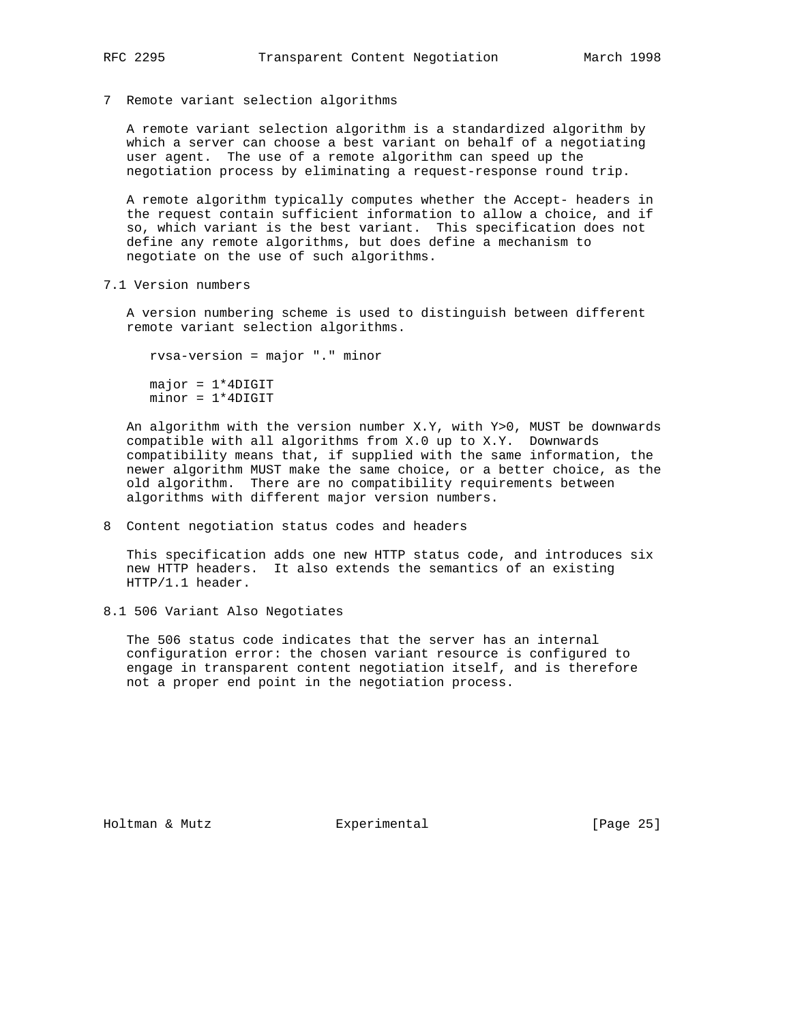7 Remote variant selection algorithms

 A remote variant selection algorithm is a standardized algorithm by which a server can choose a best variant on behalf of a negotiating user agent. The use of a remote algorithm can speed up the negotiation process by eliminating a request-response round trip.

 A remote algorithm typically computes whether the Accept- headers in the request contain sufficient information to allow a choice, and if so, which variant is the best variant. This specification does not define any remote algorithms, but does define a mechanism to negotiate on the use of such algorithms.

7.1 Version numbers

 A version numbering scheme is used to distinguish between different remote variant selection algorithms.

 rvsa-version = major "." minor  $major = 1*4DIGIT$  $minor = 1*4DIGIT$ 

 An algorithm with the version number X.Y, with Y>0, MUST be downwards compatible with all algorithms from X.0 up to X.Y. Downwards compatibility means that, if supplied with the same information, the newer algorithm MUST make the same choice, or a better choice, as the old algorithm. There are no compatibility requirements between algorithms with different major version numbers.

8 Content negotiation status codes and headers

 This specification adds one new HTTP status code, and introduces six new HTTP headers. It also extends the semantics of an existing HTTP/1.1 header.

8.1 506 Variant Also Negotiates

 The 506 status code indicates that the server has an internal configuration error: the chosen variant resource is configured to engage in transparent content negotiation itself, and is therefore not a proper end point in the negotiation process.

Holtman & Mutz Experimental [Page 25]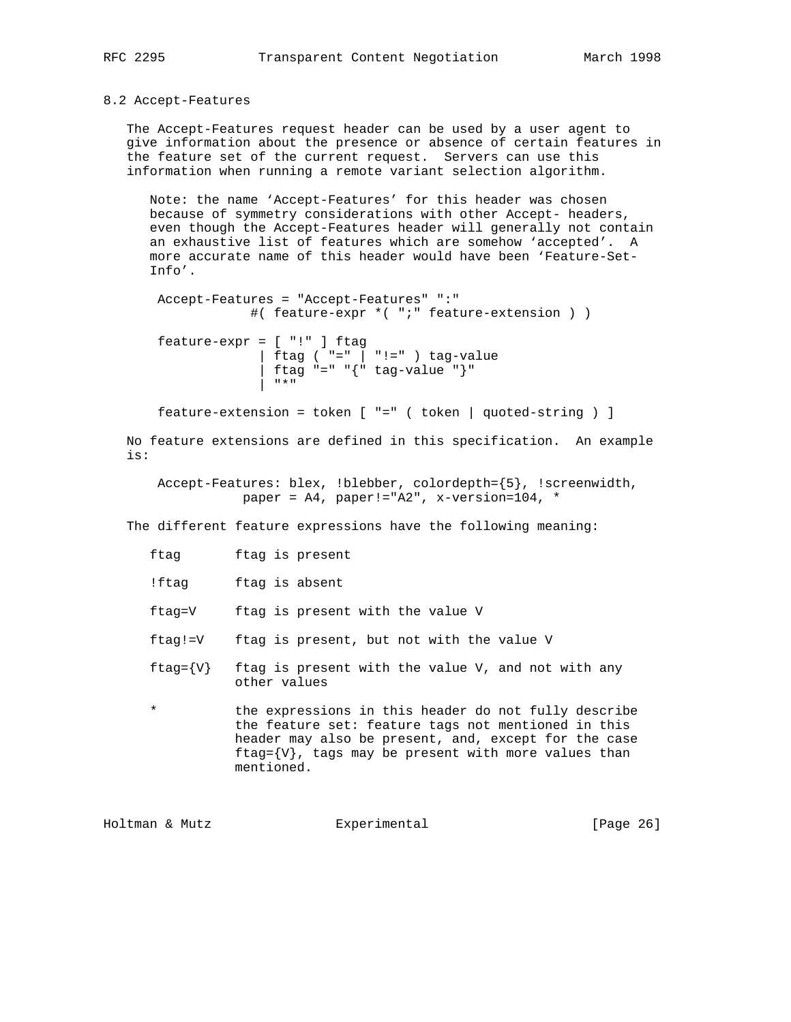## 8.2 Accept-Features

 The Accept-Features request header can be used by a user agent to give information about the presence or absence of certain features in the feature set of the current request. Servers can use this information when running a remote variant selection algorithm.

 Note: the name 'Accept-Features' for this header was chosen because of symmetry considerations with other Accept- headers, even though the Accept-Features header will generally not contain an exhaustive list of features which are somehow 'accepted'. A more accurate name of this header would have been 'Feature-Set- Info'.

 Accept-Features = "Accept-Features" ":" #( feature-expr \*( ";" feature-extension ) )

 feature-expr = [ "!" ] ftag | ftag ( "=" | "!=" ) tag-value  $\int \frac{1}{\pi} \tan^{-1} x dx = \int \frac{1}{\pi} \tan^{-1} x dx$  = " $\int \frac{1}{\pi} \tan^{-1} x dx$ " | "\*"

feature-extension = token [ "=" ( token | quoted-string ) ]

 No feature extensions are defined in this specification. An example is:

 Accept-Features: blex, !blebber, colordepth={5}, !screenwidth, paper = A4, paper!="A2", x-version=104, \*

The different feature expressions have the following meaning:

- !ftag ftag is absent
- ftag=V ftag is present with the value V
- ftag!=V ftag is present, but not with the value V
- ftag= $\{V\}$  ftag is present with the value V, and not with any other values
- \* the expressions in this header do not fully describe the feature set: feature tags not mentioned in this header may also be present, and, except for the case ftag= $\{V\}$ , tags may be present with more values than mentioned.

Holtman & Mutz Experimental [Page 26]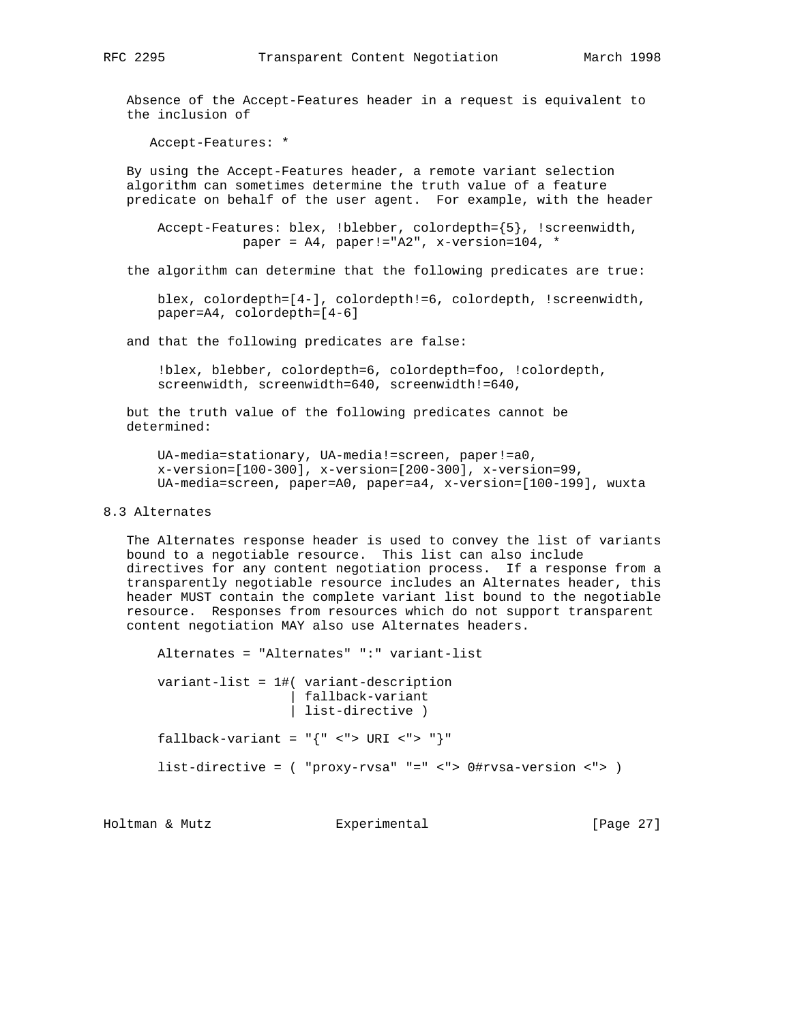Absence of the Accept-Features header in a request is equivalent to the inclusion of

Accept-Features: \*

 By using the Accept-Features header, a remote variant selection algorithm can sometimes determine the truth value of a feature predicate on behalf of the user agent. For example, with the header

 Accept-Features: blex, !blebber, colordepth={5}, !screenwidth, paper = A4, paper!="A2", x-version=104, \*

the algorithm can determine that the following predicates are true:

 blex, colordepth=[4-], colordepth!=6, colordepth, !screenwidth, paper=A4, colordepth=[4-6]

and that the following predicates are false:

 !blex, blebber, colordepth=6, colordepth=foo, !colordepth, screenwidth, screenwidth=640, screenwidth!=640,

 but the truth value of the following predicates cannot be determined:

 UA-media=stationary, UA-media!=screen, paper!=a0, x-version=[100-300], x-version=[200-300], x-version=99, UA-media=screen, paper=A0, paper=a4, x-version=[100-199], wuxta

# 8.3 Alternates

 The Alternates response header is used to convey the list of variants bound to a negotiable resource. This list can also include directives for any content negotiation process. If a response from a transparently negotiable resource includes an Alternates header, this header MUST contain the complete variant list bound to the negotiable resource. Responses from resources which do not support transparent content negotiation MAY also use Alternates headers.

 Alternates = "Alternates" ":" variant-list variant-list = 1#( variant-description | fallback-variant | list-directive ) fallback-variant =  $\lceil {\lceil {\cdot} \rceil \cdot \lceil {\cdot} \rceil \cdot \lceil {\cdot} \rceil \cdot \lceil {\cdot} \rceil \rceil}$ list-directive = ( "proxy-rvsa" "=" <"> 0#rvsa-version <"> )

Holtman & Mutz Experimental [Page 27]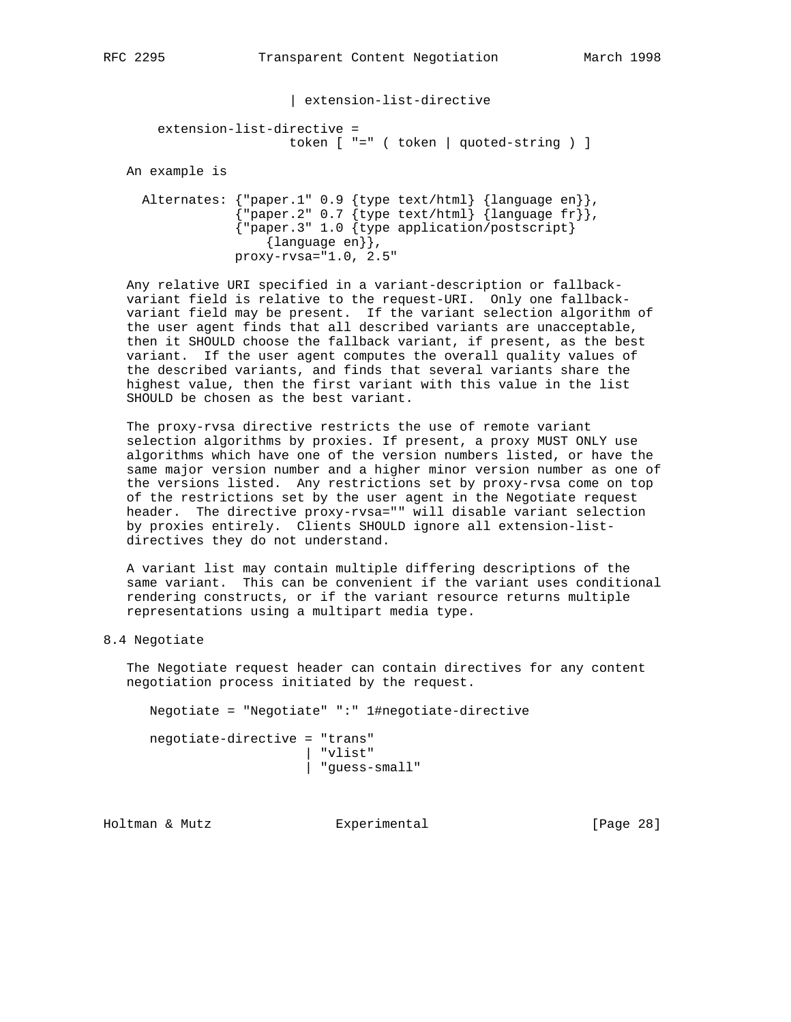| extension-list-directive

# extension-list-directive = token [ "=" ( token | quoted-string ) ]

An example is

 Alternates: {"paper.1" 0.9 {type text/html} {language en}},  ${\{ \texttt{upper.2" 0.7 } \{ \texttt{type text /html} \} }$  {language fr}}, {"paper.3" 1.0 {type application/postscript} {language en}}, proxy-rvsa="1.0, 2.5"

 Any relative URI specified in a variant-description or fallback variant field is relative to the request-URI. Only one fallback variant field may be present. If the variant selection algorithm of the user agent finds that all described variants are unacceptable, then it SHOULD choose the fallback variant, if present, as the best variant. If the user agent computes the overall quality values of the described variants, and finds that several variants share the highest value, then the first variant with this value in the list SHOULD be chosen as the best variant.

 The proxy-rvsa directive restricts the use of remote variant selection algorithms by proxies. If present, a proxy MUST ONLY use algorithms which have one of the version numbers listed, or have the same major version number and a higher minor version number as one of the versions listed. Any restrictions set by proxy-rvsa come on top of the restrictions set by the user agent in the Negotiate request header. The directive proxy-rvsa="" will disable variant selection by proxies entirely. Clients SHOULD ignore all extension-list directives they do not understand.

 A variant list may contain multiple differing descriptions of the same variant. This can be convenient if the variant uses conditional rendering constructs, or if the variant resource returns multiple representations using a multipart media type.

8.4 Negotiate

 The Negotiate request header can contain directives for any content negotiation process initiated by the request.

Negotiate = "Negotiate" ":" 1#negotiate-directive

 negotiate-directive = "trans" | "vlist" | "guess-small"

Holtman & Mutz Experimental [Page 28]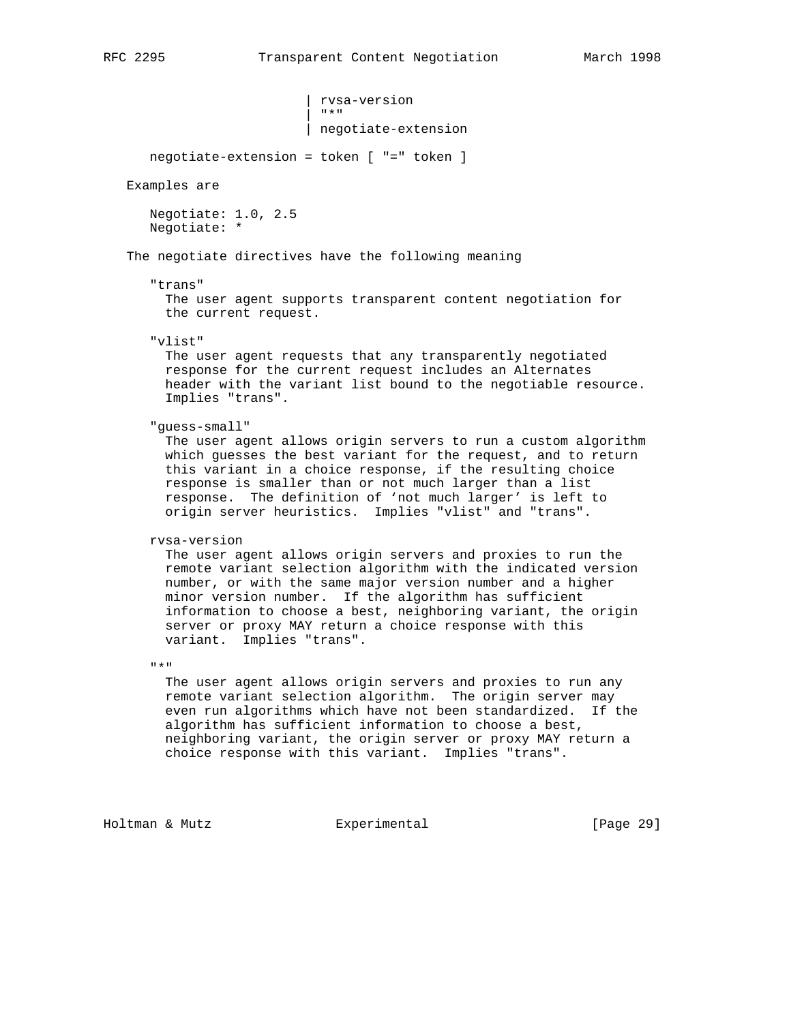| rvsa-version<br>| "\*"  $\begin{array}{|c|c|c|c|c|c|}\n\hline\nm \star m \quad\quad & \quad m \star m \\\hline\n\end{array}$ | negotiate-extension

negotiate-extension = token [ "=" token ]

Examples are

 Negotiate: 1.0, 2.5 Negotiate: \*

The negotiate directives have the following meaning

### "trans"

 The user agent supports transparent content negotiation for the current request.

"vlist"

 The user agent requests that any transparently negotiated response for the current request includes an Alternates header with the variant list bound to the negotiable resource. Implies "trans".

"guess-small"

 The user agent allows origin servers to run a custom algorithm which guesses the best variant for the request, and to return this variant in a choice response, if the resulting choice response is smaller than or not much larger than a list response. The definition of 'not much larger' is left to origin server heuristics. Implies "vlist" and "trans".

```
 rvsa-version
```
 The user agent allows origin servers and proxies to run the remote variant selection algorithm with the indicated version number, or with the same major version number and a higher minor version number. If the algorithm has sufficient information to choose a best, neighboring variant, the origin server or proxy MAY return a choice response with this variant. Implies "trans".

 $\mathbf{u} \star \mathbf{u}$ 

 The user agent allows origin servers and proxies to run any remote variant selection algorithm. The origin server may even run algorithms which have not been standardized. If the algorithm has sufficient information to choose a best, neighboring variant, the origin server or proxy MAY return a choice response with this variant. Implies "trans".

Holtman & Mutz Experimental [Page 29]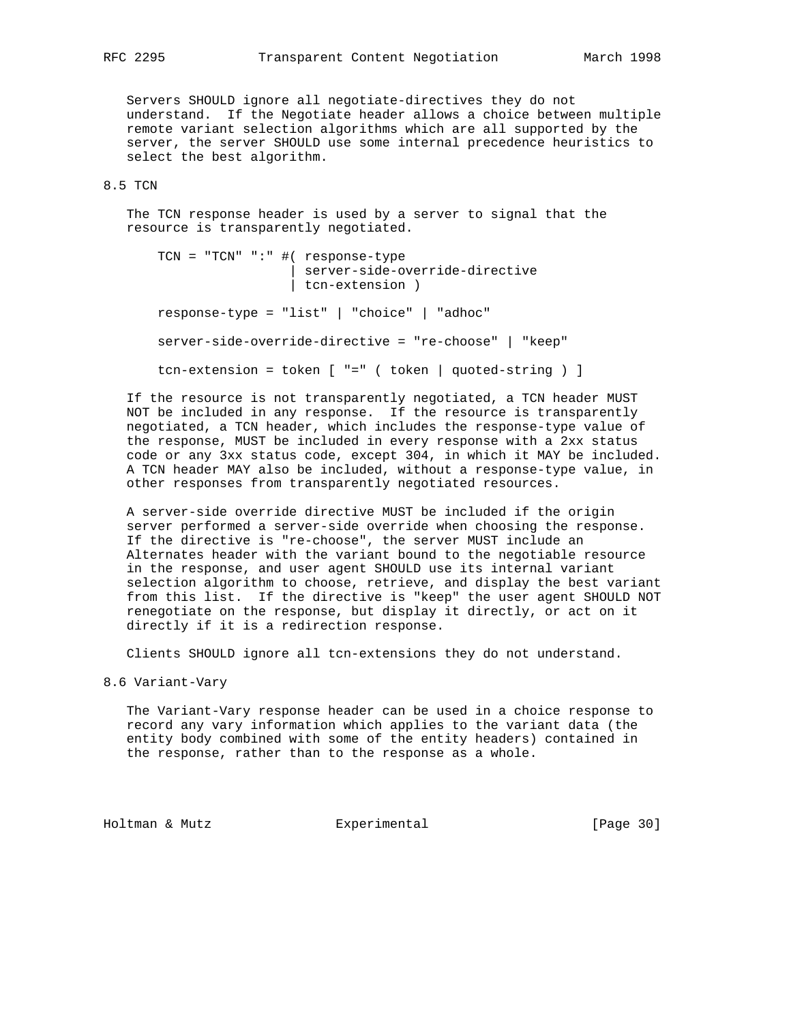Servers SHOULD ignore all negotiate-directives they do not understand. If the Negotiate header allows a choice between multiple remote variant selection algorithms which are all supported by the server, the server SHOULD use some internal precedence heuristics to select the best algorithm.

# 8.5 TCN

 The TCN response header is used by a server to signal that the resource is transparently negotiated.

 TCN = "TCN" ":" #( response-type | server-side-override-directive | tcn-extension ) response-type = "list" | "choice" | "adhoc" server-side-override-directive = "re-choose" | "keep" tcn-extension = token [ "=" ( token | quoted-string ) ]

 If the resource is not transparently negotiated, a TCN header MUST NOT be included in any response. If the resource is transparently negotiated, a TCN header, which includes the response-type value of the response, MUST be included in every response with a 2xx status code or any 3xx status code, except 304, in which it MAY be included. A TCN header MAY also be included, without a response-type value, in other responses from transparently negotiated resources.

 A server-side override directive MUST be included if the origin server performed a server-side override when choosing the response. If the directive is "re-choose", the server MUST include an Alternates header with the variant bound to the negotiable resource in the response, and user agent SHOULD use its internal variant selection algorithm to choose, retrieve, and display the best variant from this list. If the directive is "keep" the user agent SHOULD NOT renegotiate on the response, but display it directly, or act on it directly if it is a redirection response.

Clients SHOULD ignore all tcn-extensions they do not understand.

8.6 Variant-Vary

 The Variant-Vary response header can be used in a choice response to record any vary information which applies to the variant data (the entity body combined with some of the entity headers) contained in the response, rather than to the response as a whole.

Holtman & Mutz **Experimental** Experimental [Page 30]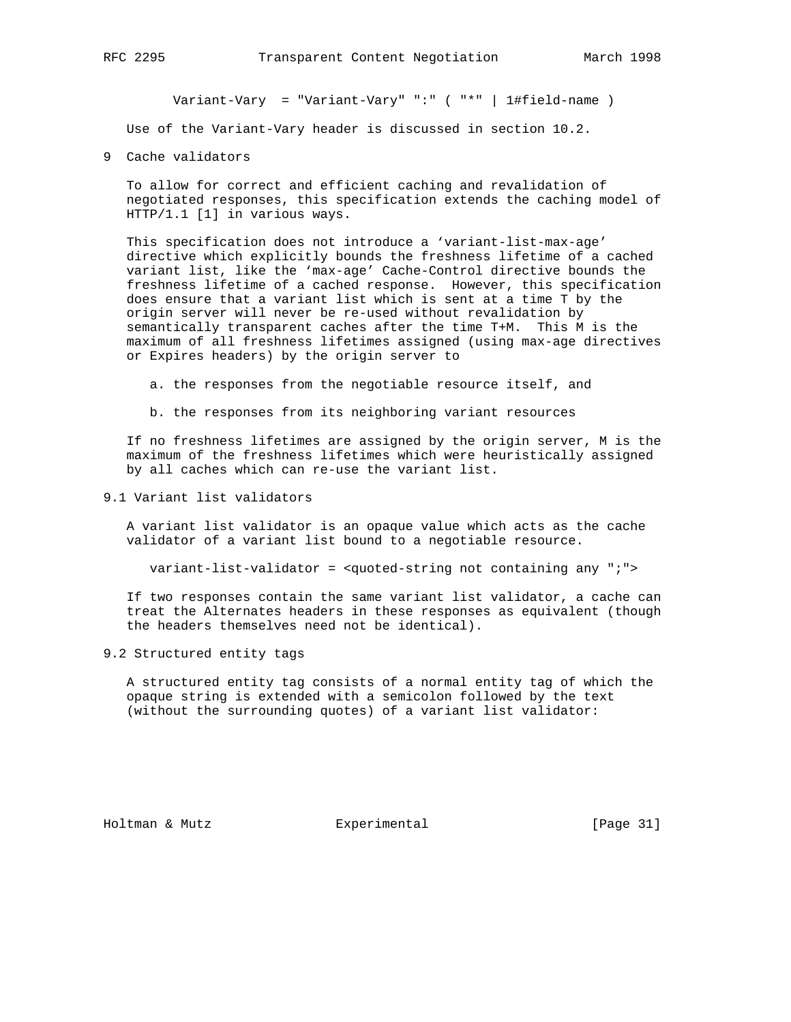Variant-Vary = "Variant-Vary" ":" ( "\*" | 1#field-name )

Use of the Variant-Vary header is discussed in section 10.2.

9 Cache validators

 To allow for correct and efficient caching and revalidation of negotiated responses, this specification extends the caching model of HTTP/1.1 [1] in various ways.

 This specification does not introduce a 'variant-list-max-age' directive which explicitly bounds the freshness lifetime of a cached variant list, like the 'max-age' Cache-Control directive bounds the freshness lifetime of a cached response. However, this specification does ensure that a variant list which is sent at a time T by the origin server will never be re-used without revalidation by semantically transparent caches after the time T+M. This M is the maximum of all freshness lifetimes assigned (using max-age directives or Expires headers) by the origin server to

a. the responses from the negotiable resource itself, and

b. the responses from its neighboring variant resources

 If no freshness lifetimes are assigned by the origin server, M is the maximum of the freshness lifetimes which were heuristically assigned by all caches which can re-use the variant list.

9.1 Variant list validators

 A variant list validator is an opaque value which acts as the cache validator of a variant list bound to a negotiable resource.

variant-list-validator = <quoted-string not containing any ";">

 If two responses contain the same variant list validator, a cache can treat the Alternates headers in these responses as equivalent (though the headers themselves need not be identical).

9.2 Structured entity tags

 A structured entity tag consists of a normal entity tag of which the opaque string is extended with a semicolon followed by the text (without the surrounding quotes) of a variant list validator:

Holtman & Mutz Experimental [Page 31]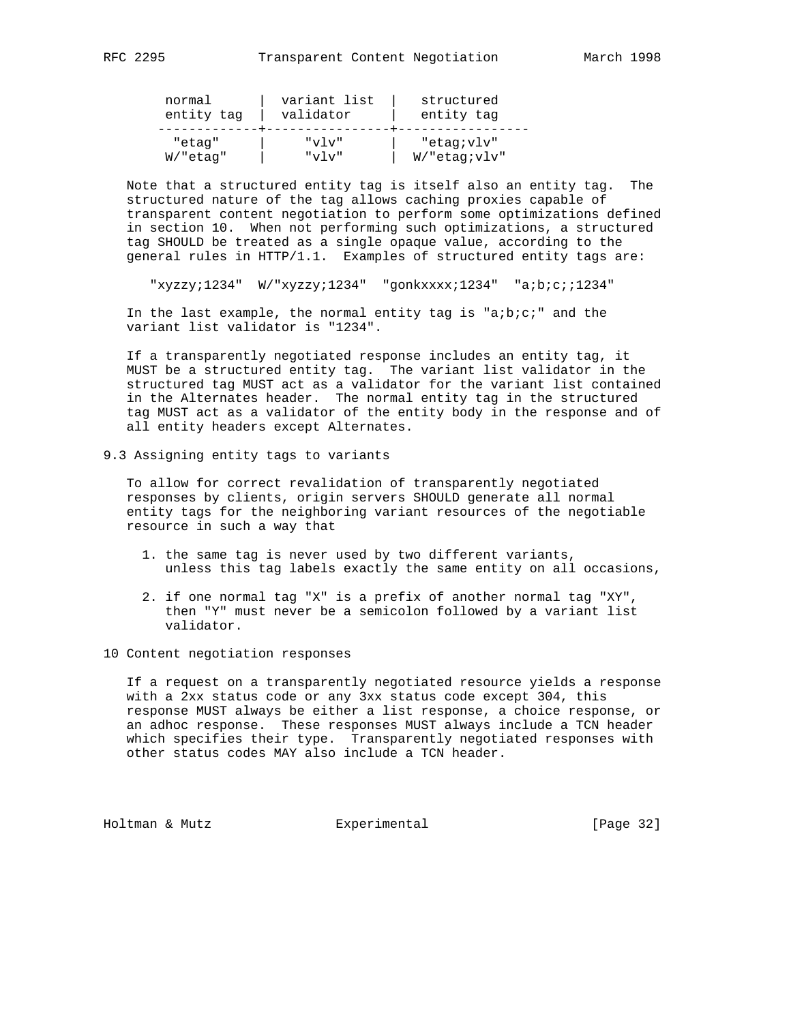| normal      | variant list | structured          |
|-------------|--------------|---------------------|
| entity tag  | validator    | entity tag          |
| "etag"      | "ע⊺ע"        | "etag;vlv"          |
| $W$ /"etag" | " $v \tau$   | $W/$ "etag; $vlv$ " |

 Note that a structured entity tag is itself also an entity tag. The structured nature of the tag allows caching proxies capable of transparent content negotiation to perform some optimizations defined in section 10. When not performing such optimizations, a structured tag SHOULD be treated as a single opaque value, according to the general rules in HTTP/1.1. Examples of structured entity tags are:

"xyzzy;1234" W/"xyzzy;1234" "gonkxxxx;1234" "a;b;c;;1234"

 In the last example, the normal entity tag is "a;b;c;" and the variant list validator is "1234".

 If a transparently negotiated response includes an entity tag, it MUST be a structured entity tag. The variant list validator in the structured tag MUST act as a validator for the variant list contained in the Alternates header. The normal entity tag in the structured tag MUST act as a validator of the entity body in the response and of all entity headers except Alternates.

9.3 Assigning entity tags to variants

 To allow for correct revalidation of transparently negotiated responses by clients, origin servers SHOULD generate all normal entity tags for the neighboring variant resources of the negotiable resource in such a way that

- 1. the same tag is never used by two different variants, unless this tag labels exactly the same entity on all occasions,
- 2. if one normal tag "X" is a prefix of another normal tag "XY", then "Y" must never be a semicolon followed by a variant list validator.
- 10 Content negotiation responses

 If a request on a transparently negotiated resource yields a response with a 2xx status code or any 3xx status code except 304, this response MUST always be either a list response, a choice response, or an adhoc response. These responses MUST always include a TCN header which specifies their type. Transparently negotiated responses with other status codes MAY also include a TCN header.

Holtman & Mutz **Experimental** Experimental [Page 32]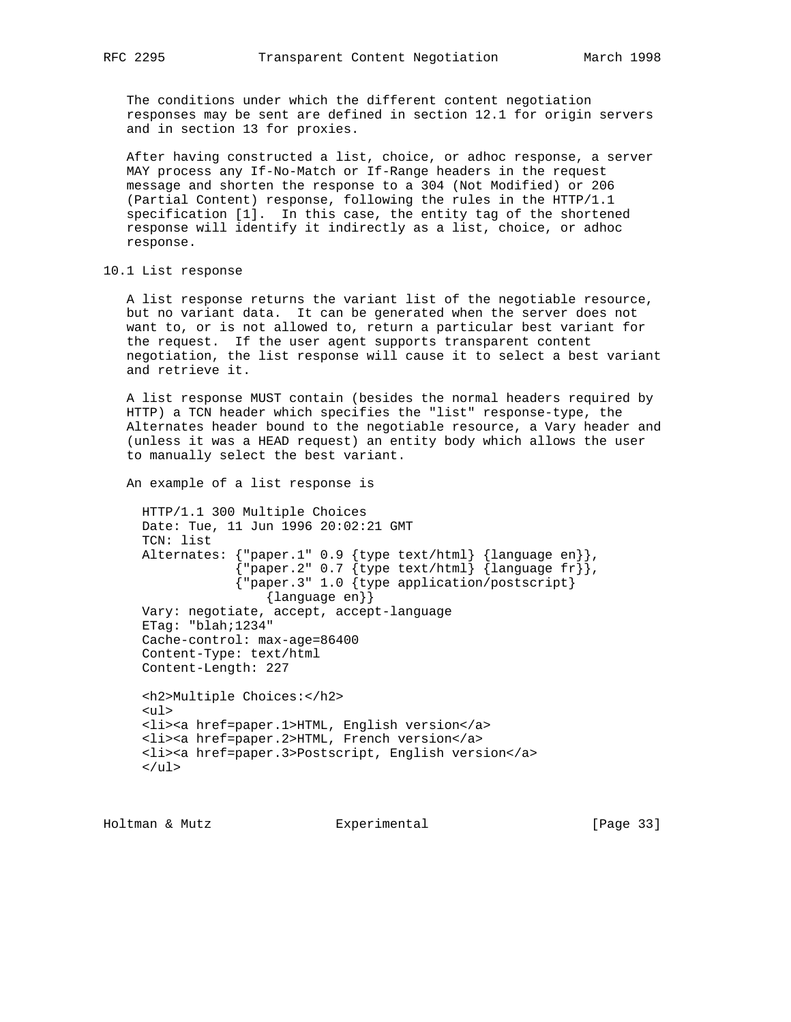The conditions under which the different content negotiation responses may be sent are defined in section 12.1 for origin servers and in section 13 for proxies.

 After having constructed a list, choice, or adhoc response, a server MAY process any If-No-Match or If-Range headers in the request message and shorten the response to a 304 (Not Modified) or 206 (Partial Content) response, following the rules in the HTTP/1.1 specification [1]. In this case, the entity tag of the shortened response will identify it indirectly as a list, choice, or adhoc response.

# 10.1 List response

 A list response returns the variant list of the negotiable resource, but no variant data. It can be generated when the server does not want to, or is not allowed to, return a particular best variant for the request. If the user agent supports transparent content negotiation, the list response will cause it to select a best variant and retrieve it.

 A list response MUST contain (besides the normal headers required by HTTP) a TCN header which specifies the "list" response-type, the Alternates header bound to the negotiable resource, a Vary header and (unless it was a HEAD request) an entity body which allows the user to manually select the best variant.

An example of a list response is

 HTTP/1.1 300 Multiple Choices Date: Tue, 11 Jun 1996 20:02:21 GMT TCN: list Alternates: {"paper.1" 0.9 {type text/html} {language en}},  ${$ "paper.2" 0.7  ${type text/html}$   ${language fr},$  {"paper.3" 1.0 {type application/postscript} {language en}} Vary: negotiate, accept, accept-language ETag: "blah;1234" Cache-control: max-age=86400 Content-Type: text/html Content-Length: 227 <h2>Multiple Choices:</h2> <ul> <li><a href=paper.1>HTML, English version</a> <li><a href=paper.2>HTML, French version</a> <li><a href=paper.3>Postscript, English version</a>  $\langle$ /ul>

Holtman & Mutz Experimental [Page 33]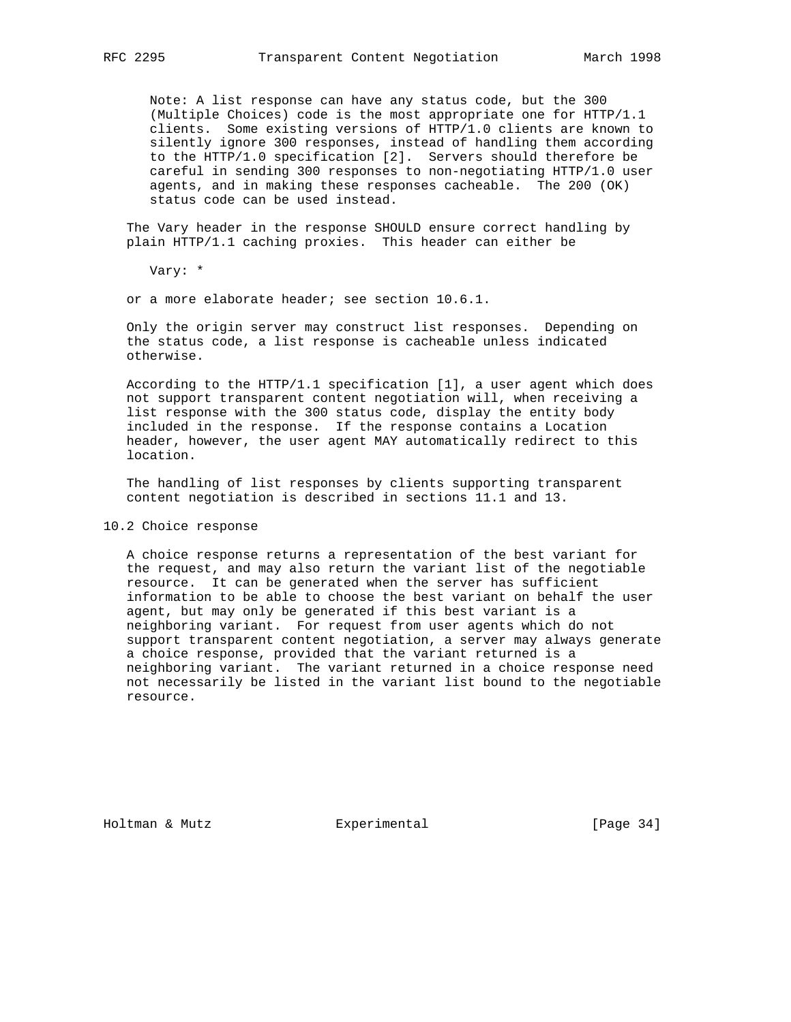Note: A list response can have any status code, but the 300 (Multiple Choices) code is the most appropriate one for HTTP/1.1 clients. Some existing versions of HTTP/1.0 clients are known to silently ignore 300 responses, instead of handling them according to the HTTP/1.0 specification [2]. Servers should therefore be careful in sending 300 responses to non-negotiating HTTP/1.0 user agents, and in making these responses cacheable. The 200 (OK) status code can be used instead.

 The Vary header in the response SHOULD ensure correct handling by plain HTTP/1.1 caching proxies. This header can either be

Vary: \*

or a more elaborate header; see section 10.6.1.

 Only the origin server may construct list responses. Depending on the status code, a list response is cacheable unless indicated otherwise.

 According to the HTTP/1.1 specification [1], a user agent which does not support transparent content negotiation will, when receiving a list response with the 300 status code, display the entity body included in the response. If the response contains a Location header, however, the user agent MAY automatically redirect to this location.

 The handling of list responses by clients supporting transparent content negotiation is described in sections 11.1 and 13.

## 10.2 Choice response

 A choice response returns a representation of the best variant for the request, and may also return the variant list of the negotiable resource. It can be generated when the server has sufficient information to be able to choose the best variant on behalf the user agent, but may only be generated if this best variant is a neighboring variant. For request from user agents which do not support transparent content negotiation, a server may always generate a choice response, provided that the variant returned is a neighboring variant. The variant returned in a choice response need not necessarily be listed in the variant list bound to the negotiable resource.

Holtman & Mutz **Experimental** Experimental [Page 34]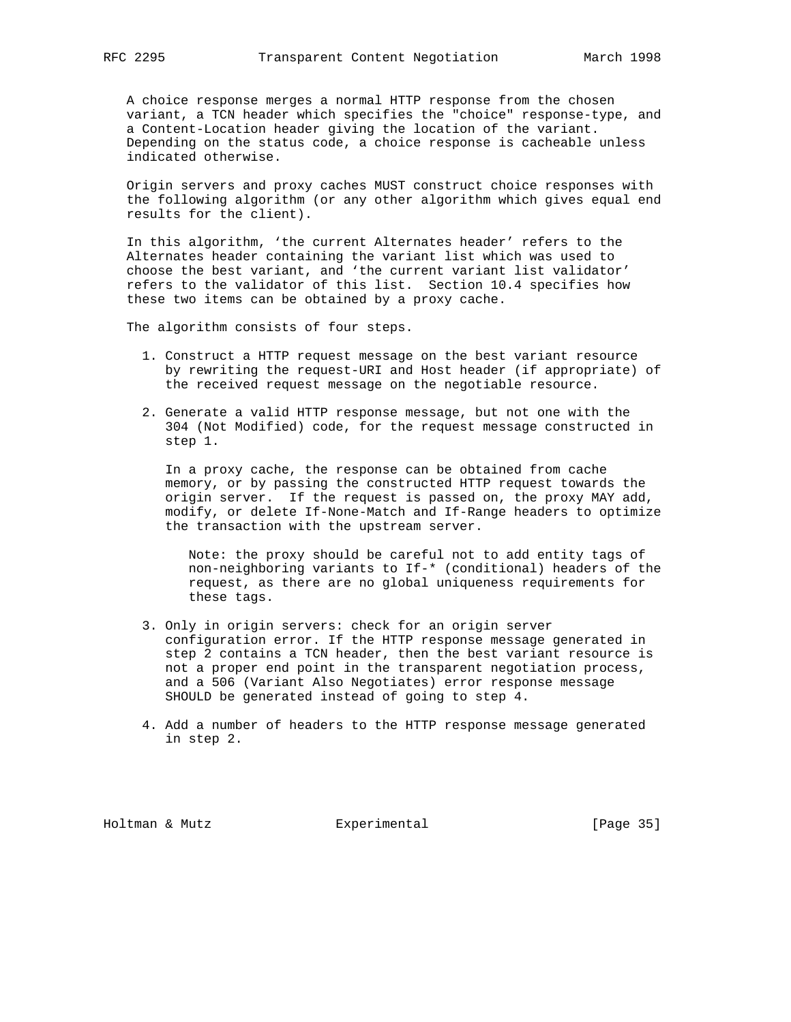A choice response merges a normal HTTP response from the chosen variant, a TCN header which specifies the "choice" response-type, and a Content-Location header giving the location of the variant. Depending on the status code, a choice response is cacheable unless indicated otherwise.

 Origin servers and proxy caches MUST construct choice responses with the following algorithm (or any other algorithm which gives equal end results for the client).

 In this algorithm, 'the current Alternates header' refers to the Alternates header containing the variant list which was used to choose the best variant, and 'the current variant list validator' refers to the validator of this list. Section 10.4 specifies how these two items can be obtained by a proxy cache.

The algorithm consists of four steps.

- 1. Construct a HTTP request message on the best variant resource by rewriting the request-URI and Host header (if appropriate) of the received request message on the negotiable resource.
- 2. Generate a valid HTTP response message, but not one with the 304 (Not Modified) code, for the request message constructed in step 1.

 In a proxy cache, the response can be obtained from cache memory, or by passing the constructed HTTP request towards the origin server. If the request is passed on, the proxy MAY add, modify, or delete If-None-Match and If-Range headers to optimize the transaction with the upstream server.

 Note: the proxy should be careful not to add entity tags of non-neighboring variants to If-\* (conditional) headers of the request, as there are no global uniqueness requirements for these tags.

- 3. Only in origin servers: check for an origin server configuration error. If the HTTP response message generated in step 2 contains a TCN header, then the best variant resource is not a proper end point in the transparent negotiation process, and a 506 (Variant Also Negotiates) error response message SHOULD be generated instead of going to step 4.
- 4. Add a number of headers to the HTTP response message generated in step 2.

Holtman & Mutz **Experimental** Experimental [Page 35]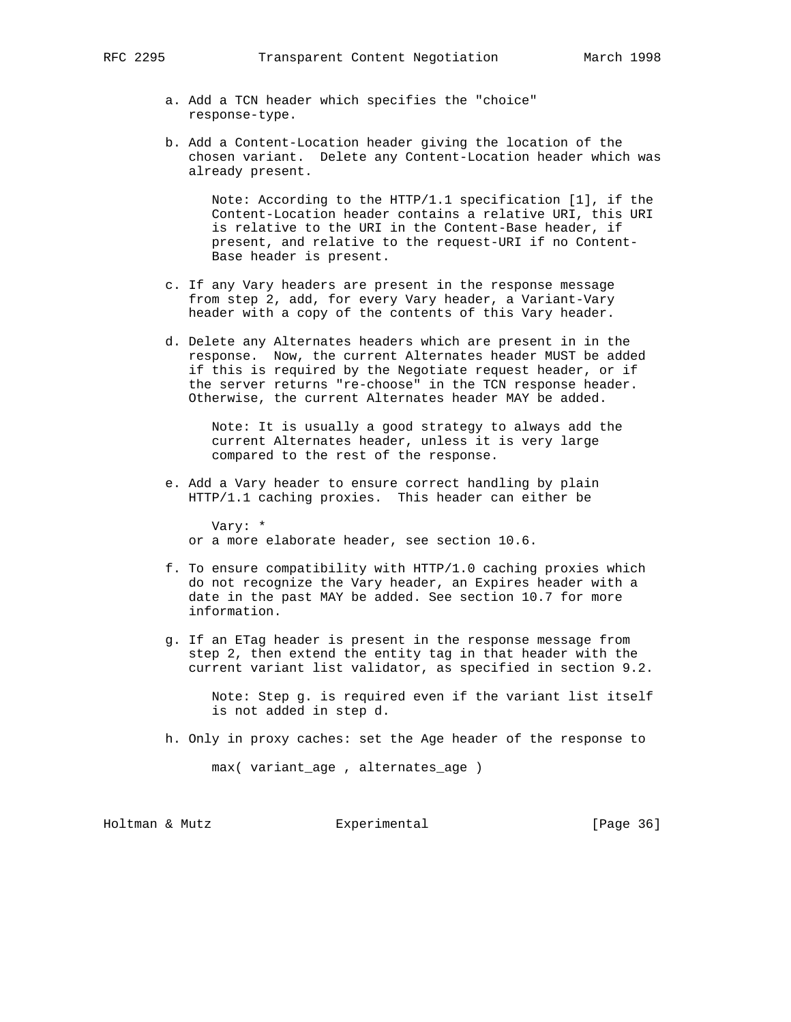- a. Add a TCN header which specifies the "choice" response-type.
- b. Add a Content-Location header giving the location of the chosen variant. Delete any Content-Location header which was already present.

 Note: According to the HTTP/1.1 specification [1], if the Content-Location header contains a relative URI, this URI is relative to the URI in the Content-Base header, if present, and relative to the request-URI if no Content- Base header is present.

- c. If any Vary headers are present in the response message from step 2, add, for every Vary header, a Variant-Vary header with a copy of the contents of this Vary header.
- d. Delete any Alternates headers which are present in in the response. Now, the current Alternates header MUST be added if this is required by the Negotiate request header, or if the server returns "re-choose" in the TCN response header. Otherwise, the current Alternates header MAY be added.

 Note: It is usually a good strategy to always add the current Alternates header, unless it is very large compared to the rest of the response.

 e. Add a Vary header to ensure correct handling by plain HTTP/1.1 caching proxies. This header can either be

 Vary: \* or a more elaborate header, see section 10.6.

- f. To ensure compatibility with HTTP/1.0 caching proxies which do not recognize the Vary header, an Expires header with a date in the past MAY be added. See section 10.7 for more information.
- g. If an ETag header is present in the response message from step 2, then extend the entity tag in that header with the current variant list validator, as specified in section 9.2.

 Note: Step g. is required even if the variant list itself is not added in step d.

h. Only in proxy caches: set the Age header of the response to

max( variant\_age , alternates\_age )

Holtman & Mutz **Experimental** Experimental [Page 36]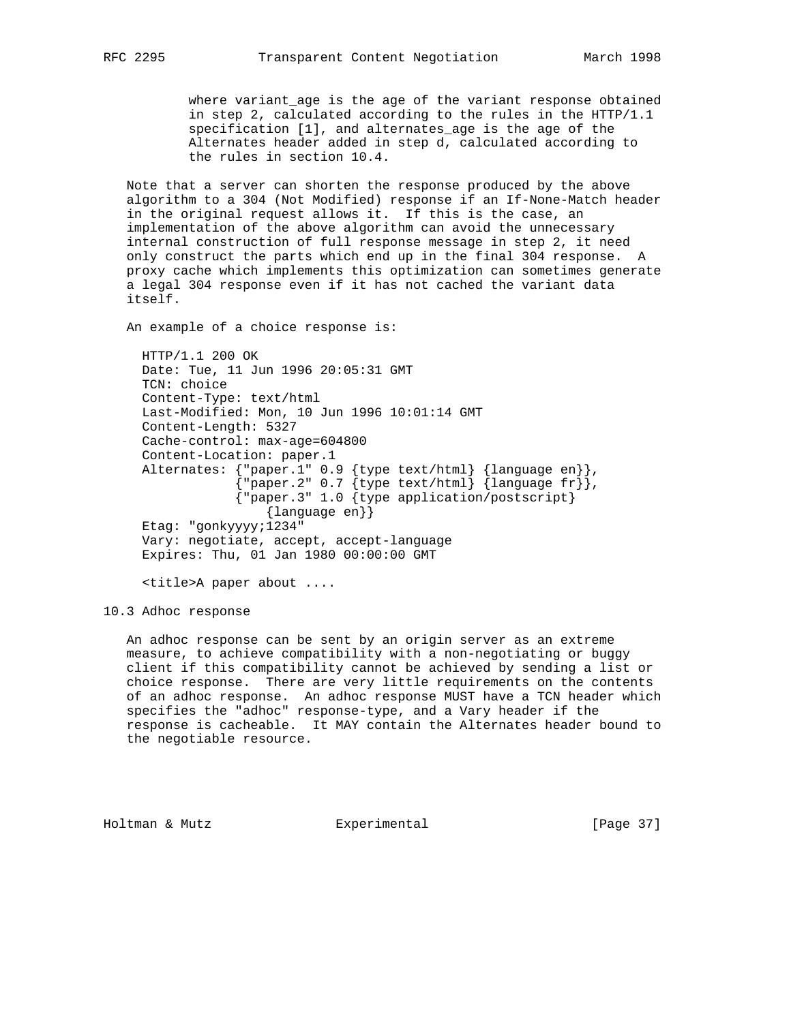where variant\_age is the age of the variant response obtained in step 2, calculated according to the rules in the HTTP/1.1 specification [1], and alternates\_age is the age of the Alternates header added in step d, calculated according to the rules in section 10.4.

 Note that a server can shorten the response produced by the above algorithm to a 304 (Not Modified) response if an If-None-Match header in the original request allows it. If this is the case, an implementation of the above algorithm can avoid the unnecessary internal construction of full response message in step 2, it need only construct the parts which end up in the final 304 response. A proxy cache which implements this optimization can sometimes generate a legal 304 response even if it has not cached the variant data itself.

An example of a choice response is:

 HTTP/1.1 200 OK Date: Tue, 11 Jun 1996 20:05:31 GMT TCN: choice Content-Type: text/html Last-Modified: Mon, 10 Jun 1996 10:01:14 GMT Content-Length: 5327 Cache-control: max-age=604800 Content-Location: paper.1 Alternates: {"paper.1" 0.9 {type text/html} {language en}},  ${ [$ "paper.2" 0.7  ${ [type text/html]} { [language fr]} ]$ , {"paper.3" 1.0 {type application/postscript} {language en}} Etag: "gonkyyyy;1234" Vary: negotiate, accept, accept-language Expires: Thu, 01 Jan 1980 00:00:00 GMT

<title>A paper about ....

10.3 Adhoc response

 An adhoc response can be sent by an origin server as an extreme measure, to achieve compatibility with a non-negotiating or buggy client if this compatibility cannot be achieved by sending a list or choice response. There are very little requirements on the contents of an adhoc response. An adhoc response MUST have a TCN header which specifies the "adhoc" response-type, and a Vary header if the response is cacheable. It MAY contain the Alternates header bound to the negotiable resource.

Holtman & Mutz Experimental [Page 37]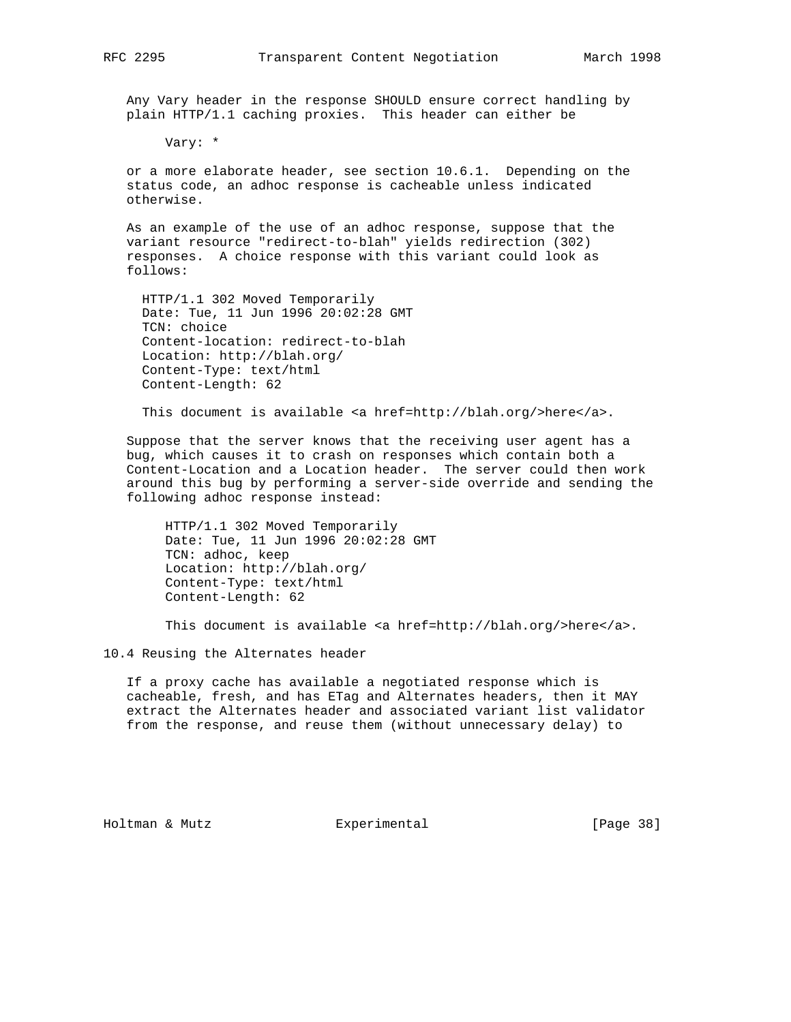Any Vary header in the response SHOULD ensure correct handling by plain HTTP/1.1 caching proxies. This header can either be

Vary: \*

 or a more elaborate header, see section 10.6.1. Depending on the status code, an adhoc response is cacheable unless indicated otherwise.

 As an example of the use of an adhoc response, suppose that the variant resource "redirect-to-blah" yields redirection (302) responses. A choice response with this variant could look as follows:

 HTTP/1.1 302 Moved Temporarily Date: Tue, 11 Jun 1996 20:02:28 GMT TCN: choice Content-location: redirect-to-blah Location: http://blah.org/ Content-Type: text/html Content-Length: 62

This document is available <a href=http://blah.org/>here</a>.

 Suppose that the server knows that the receiving user agent has a bug, which causes it to crash on responses which contain both a Content-Location and a Location header. The server could then work around this bug by performing a server-side override and sending the following adhoc response instead:

 HTTP/1.1 302 Moved Temporarily Date: Tue, 11 Jun 1996 20:02:28 GMT TCN: adhoc, keep Location: http://blah.org/ Content-Type: text/html Content-Length: 62

This document is available <a href=http://blah.org/>here</a>.

10.4 Reusing the Alternates header

 If a proxy cache has available a negotiated response which is cacheable, fresh, and has ETag and Alternates headers, then it MAY extract the Alternates header and associated variant list validator from the response, and reuse them (without unnecessary delay) to

Holtman & Mutz Experimental [Page 38]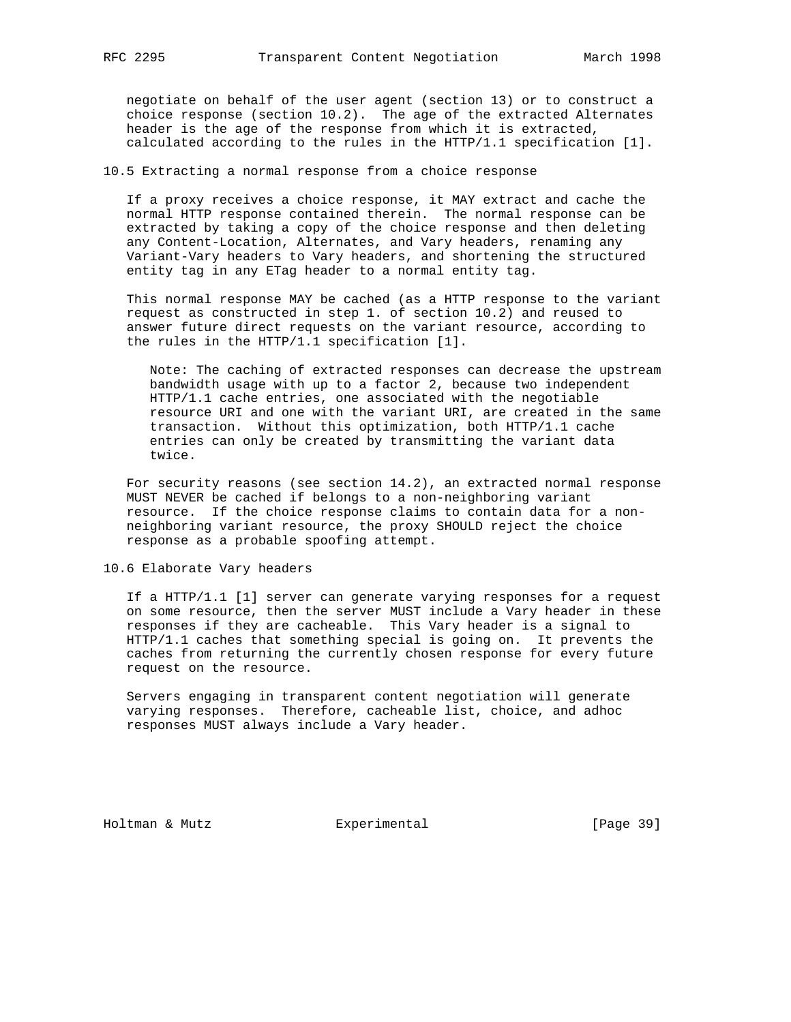negotiate on behalf of the user agent (section 13) or to construct a choice response (section 10.2). The age of the extracted Alternates header is the age of the response from which it is extracted, calculated according to the rules in the HTTP/1.1 specification [1].

# 10.5 Extracting a normal response from a choice response

 If a proxy receives a choice response, it MAY extract and cache the normal HTTP response contained therein. The normal response can be extracted by taking a copy of the choice response and then deleting any Content-Location, Alternates, and Vary headers, renaming any Variant-Vary headers to Vary headers, and shortening the structured entity tag in any ETag header to a normal entity tag.

 This normal response MAY be cached (as a HTTP response to the variant request as constructed in step 1. of section 10.2) and reused to answer future direct requests on the variant resource, according to the rules in the HTTP/1.1 specification [1].

 Note: The caching of extracted responses can decrease the upstream bandwidth usage with up to a factor 2, because two independent HTTP/1.1 cache entries, one associated with the negotiable resource URI and one with the variant URI, are created in the same transaction. Without this optimization, both HTTP/1.1 cache entries can only be created by transmitting the variant data twice.

 For security reasons (see section 14.2), an extracted normal response MUST NEVER be cached if belongs to a non-neighboring variant resource. If the choice response claims to contain data for a non neighboring variant resource, the proxy SHOULD reject the choice response as a probable spoofing attempt.

# 10.6 Elaborate Vary headers

 If a HTTP/1.1 [1] server can generate varying responses for a request on some resource, then the server MUST include a Vary header in these responses if they are cacheable. This Vary header is a signal to HTTP/1.1 caches that something special is going on. It prevents the caches from returning the currently chosen response for every future request on the resource.

 Servers engaging in transparent content negotiation will generate varying responses. Therefore, cacheable list, choice, and adhoc responses MUST always include a Vary header.

Holtman & Mutz **Experimental** Experimental [Page 39]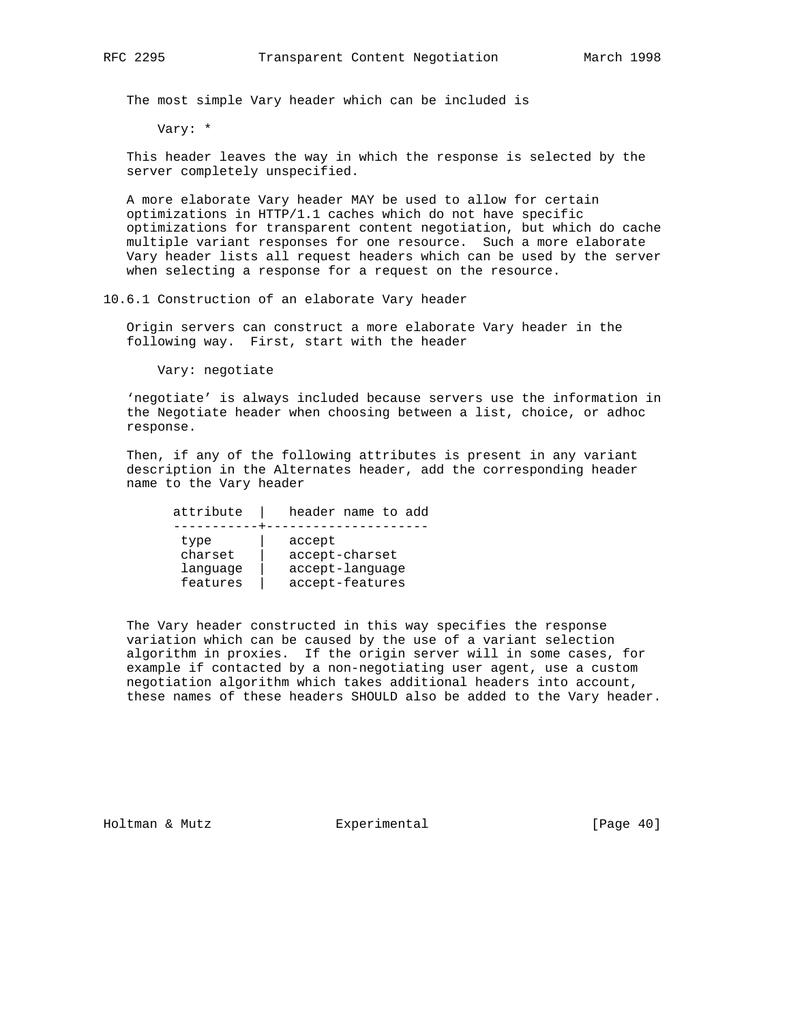The most simple Vary header which can be included is

Vary: \*

 This header leaves the way in which the response is selected by the server completely unspecified.

 A more elaborate Vary header MAY be used to allow for certain optimizations in HTTP/1.1 caches which do not have specific optimizations for transparent content negotiation, but which do cache multiple variant responses for one resource. Such a more elaborate Vary header lists all request headers which can be used by the server when selecting a response for a request on the resource.

10.6.1 Construction of an elaborate Vary header

 Origin servers can construct a more elaborate Vary header in the following way. First, start with the header

Vary: negotiate

 'negotiate' is always included because servers use the information in the Negotiate header when choosing between a list, choice, or adhoc response.

 Then, if any of the following attributes is present in any variant description in the Alternates header, add the corresponding header name to the Vary header

 attribute | header name to add -----------+-------------------- type | accept charset | accept-charset language | accept-language features | accept-features

 The Vary header constructed in this way specifies the response variation which can be caused by the use of a variant selection algorithm in proxies. If the origin server will in some cases, for example if contacted by a non-negotiating user agent, use a custom negotiation algorithm which takes additional headers into account, these names of these headers SHOULD also be added to the Vary header.

Holtman & Mutz **Experimental** Experimental [Page 40]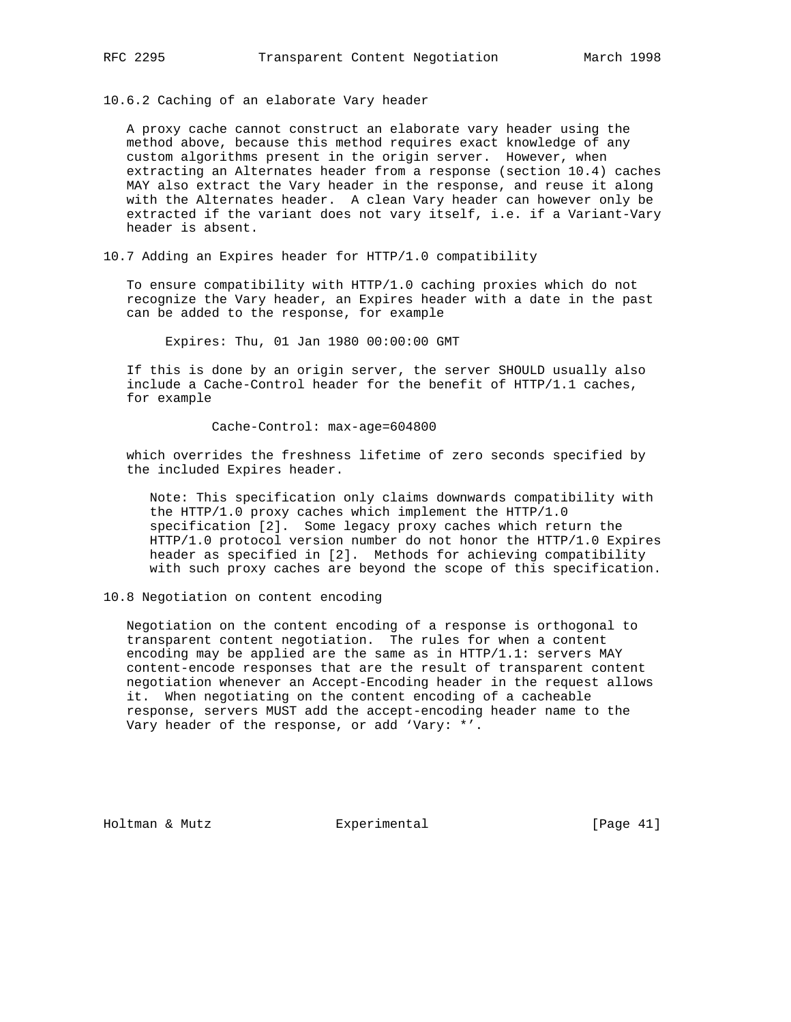10.6.2 Caching of an elaborate Vary header

 A proxy cache cannot construct an elaborate vary header using the method above, because this method requires exact knowledge of any custom algorithms present in the origin server. However, when extracting an Alternates header from a response (section 10.4) caches MAY also extract the Vary header in the response, and reuse it along with the Alternates header. A clean Vary header can however only be extracted if the variant does not vary itself, i.e. if a Variant-Vary header is absent.

10.7 Adding an Expires header for HTTP/1.0 compatibility

 To ensure compatibility with HTTP/1.0 caching proxies which do not recognize the Vary header, an Expires header with a date in the past can be added to the response, for example

Expires: Thu, 01 Jan 1980 00:00:00 GMT

 If this is done by an origin server, the server SHOULD usually also include a Cache-Control header for the benefit of HTTP/1.1 caches, for example

Cache-Control: max-age=604800

 which overrides the freshness lifetime of zero seconds specified by the included Expires header.

 Note: This specification only claims downwards compatibility with the HTTP/1.0 proxy caches which implement the HTTP/1.0 specification [2]. Some legacy proxy caches which return the HTTP/1.0 protocol version number do not honor the HTTP/1.0 Expires header as specified in [2]. Methods for achieving compatibility with such proxy caches are beyond the scope of this specification.

10.8 Negotiation on content encoding

 Negotiation on the content encoding of a response is orthogonal to transparent content negotiation. The rules for when a content encoding may be applied are the same as in HTTP/1.1: servers MAY content-encode responses that are the result of transparent content negotiation whenever an Accept-Encoding header in the request allows it. When negotiating on the content encoding of a cacheable response, servers MUST add the accept-encoding header name to the Vary header of the response, or add 'Vary: \*'.

Holtman & Mutz Experimental [Page 41]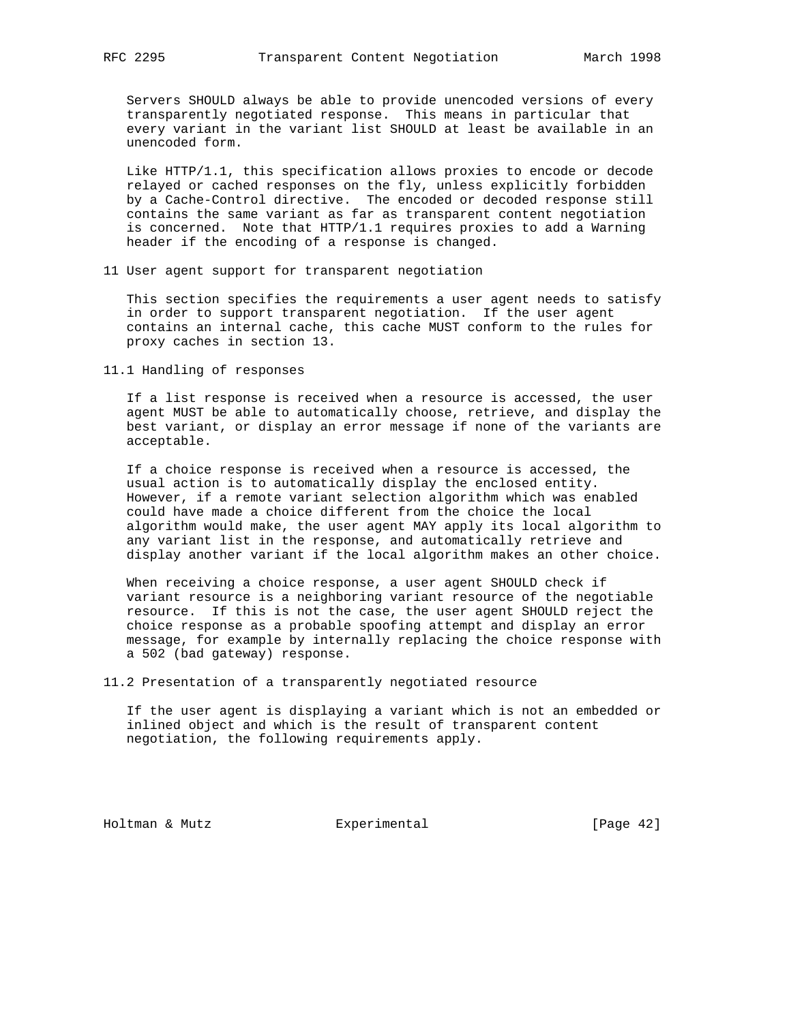Servers SHOULD always be able to provide unencoded versions of every transparently negotiated response. This means in particular that every variant in the variant list SHOULD at least be available in an unencoded form.

 Like HTTP/1.1, this specification allows proxies to encode or decode relayed or cached responses on the fly, unless explicitly forbidden by a Cache-Control directive. The encoded or decoded response still contains the same variant as far as transparent content negotiation is concerned. Note that HTTP/1.1 requires proxies to add a Warning header if the encoding of a response is changed.

11 User agent support for transparent negotiation

 This section specifies the requirements a user agent needs to satisfy in order to support transparent negotiation. If the user agent contains an internal cache, this cache MUST conform to the rules for proxy caches in section 13.

11.1 Handling of responses

 If a list response is received when a resource is accessed, the user agent MUST be able to automatically choose, retrieve, and display the best variant, or display an error message if none of the variants are acceptable.

 If a choice response is received when a resource is accessed, the usual action is to automatically display the enclosed entity. However, if a remote variant selection algorithm which was enabled could have made a choice different from the choice the local algorithm would make, the user agent MAY apply its local algorithm to any variant list in the response, and automatically retrieve and display another variant if the local algorithm makes an other choice.

When receiving a choice response, a user agent SHOULD check if variant resource is a neighboring variant resource of the negotiable resource. If this is not the case, the user agent SHOULD reject the choice response as a probable spoofing attempt and display an error message, for example by internally replacing the choice response with a 502 (bad gateway) response.

11.2 Presentation of a transparently negotiated resource

 If the user agent is displaying a variant which is not an embedded or inlined object and which is the result of transparent content negotiation, the following requirements apply.

Holtman & Mutz **Experimental** Experimental [Page 42]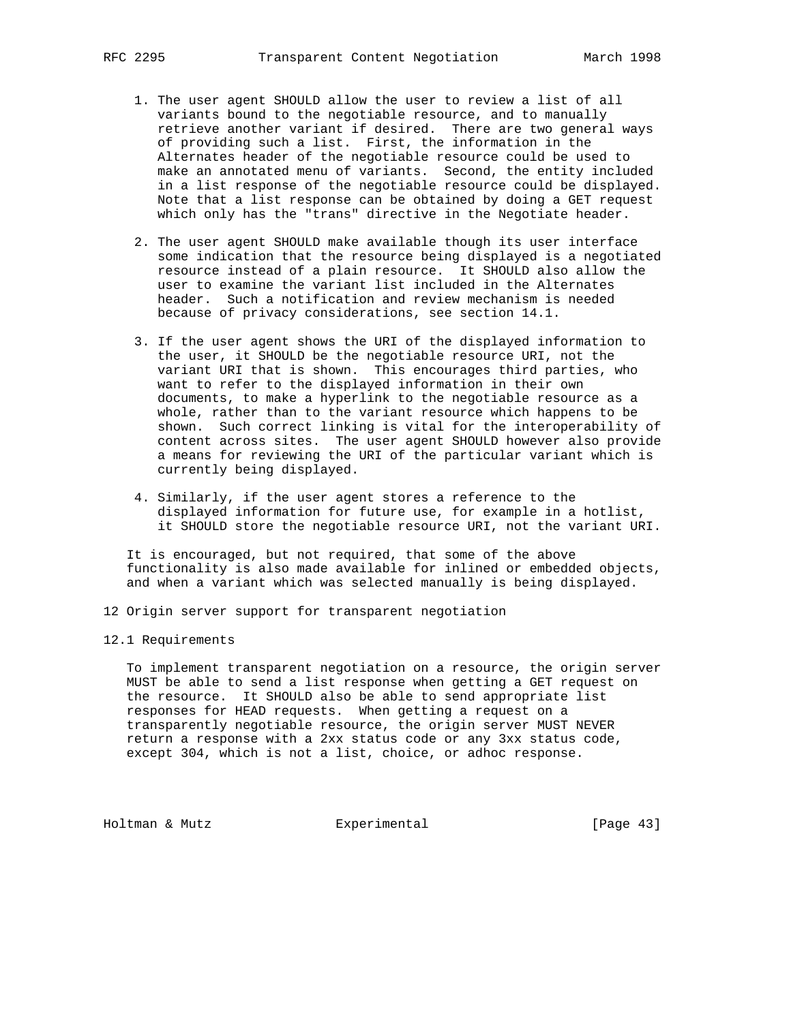- 1. The user agent SHOULD allow the user to review a list of all variants bound to the negotiable resource, and to manually retrieve another variant if desired. There are two general ways of providing such a list. First, the information in the Alternates header of the negotiable resource could be used to make an annotated menu of variants. Second, the entity included in a list response of the negotiable resource could be displayed. Note that a list response can be obtained by doing a GET request which only has the "trans" directive in the Negotiate header.
- 2. The user agent SHOULD make available though its user interface some indication that the resource being displayed is a negotiated resource instead of a plain resource. It SHOULD also allow the user to examine the variant list included in the Alternates header. Such a notification and review mechanism is needed because of privacy considerations, see section 14.1.
- 3. If the user agent shows the URI of the displayed information to the user, it SHOULD be the negotiable resource URI, not the variant URI that is shown. This encourages third parties, who want to refer to the displayed information in their own documents, to make a hyperlink to the negotiable resource as a whole, rather than to the variant resource which happens to be shown. Such correct linking is vital for the interoperability of content across sites. The user agent SHOULD however also provide a means for reviewing the URI of the particular variant which is currently being displayed.
- 4. Similarly, if the user agent stores a reference to the displayed information for future use, for example in a hotlist, it SHOULD store the negotiable resource URI, not the variant URI.

 It is encouraged, but not required, that some of the above functionality is also made available for inlined or embedded objects, and when a variant which was selected manually is being displayed.

- 12 Origin server support for transparent negotiation
- 12.1 Requirements

 To implement transparent negotiation on a resource, the origin server MUST be able to send a list response when getting a GET request on the resource. It SHOULD also be able to send appropriate list responses for HEAD requests. When getting a request on a transparently negotiable resource, the origin server MUST NEVER return a response with a 2xx status code or any 3xx status code, except 304, which is not a list, choice, or adhoc response.

Holtman & Mutz **Experimental** Experimental [Page 43]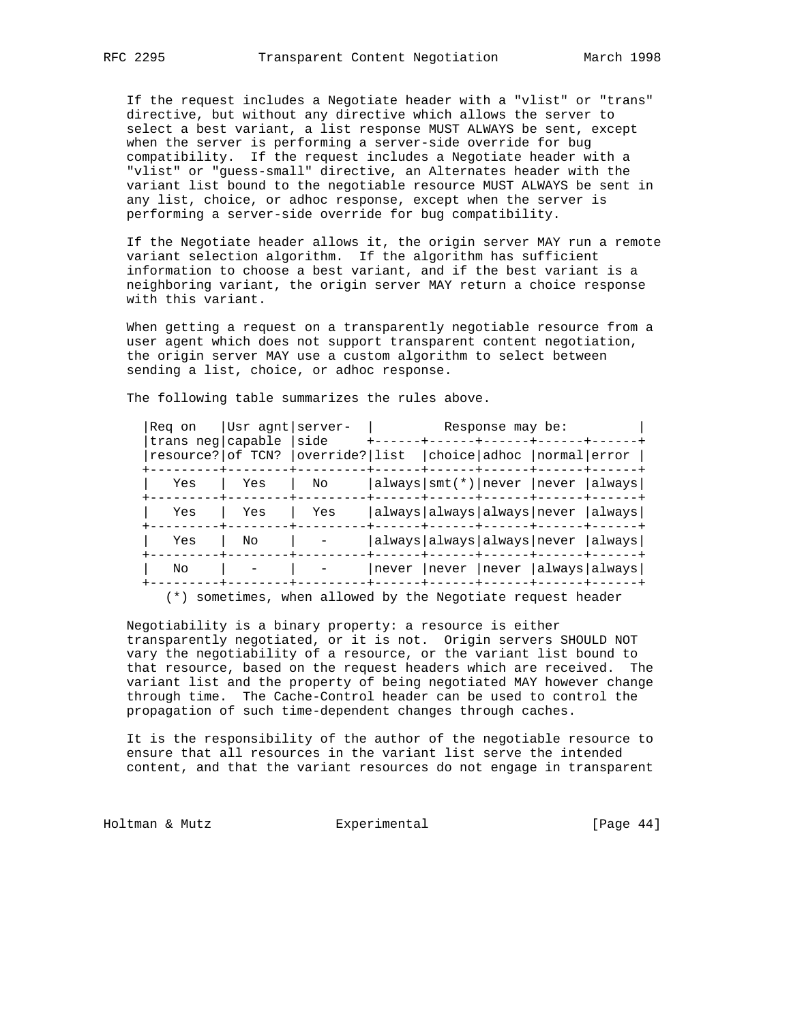If the request includes a Negotiate header with a "vlist" or "trans" directive, but without any directive which allows the server to select a best variant, a list response MUST ALWAYS be sent, except when the server is performing a server-side override for bug compatibility. If the request includes a Negotiate header with a "vlist" or "guess-small" directive, an Alternates header with the variant list bound to the negotiable resource MUST ALWAYS be sent in any list, choice, or adhoc response, except when the server is performing a server-side override for bug compatibility.

 If the Negotiate header allows it, the origin server MAY run a remote variant selection algorithm. If the algorithm has sufficient information to choose a best variant, and if the best variant is a neighboring variant, the origin server MAY return a choice response with this variant.

 When getting a request on a transparently negotiable resource from a user agent which does not support transparent content negotiation, the origin server MAY use a custom algorithm to select between sending a list, choice, or adhoc response.

| Reg on | Usr agnt server-<br>trans neg capable<br>resource? of TCN? | side<br>override? list | Response may be: |  |  |                             |                                    |
|--------|------------------------------------------------------------|------------------------|------------------|--|--|-----------------------------|------------------------------------|
|        |                                                            |                        |                  |  |  | choice adhoc   normal error |                                    |
| Yes    | Yes                                                        | No                     |                  |  |  |                             | always smt(*) never  never  always |
| Yes    | Yes                                                        | Yes                    |                  |  |  |                             | always always always never  always |
| Yes    | No                                                         |                        |                  |  |  |                             | always always always never  always |
| No     |                                                            |                        | never            |  |  |                             | never  never  always always        |
|        |                                                            |                        |                  |  |  |                             |                                    |

The following table summarizes the rules above.

(\*) sometimes, when allowed by the Negotiate request header

 Negotiability is a binary property: a resource is either transparently negotiated, or it is not. Origin servers SHOULD NOT vary the negotiability of a resource, or the variant list bound to that resource, based on the request headers which are received. The variant list and the property of being negotiated MAY however change through time. The Cache-Control header can be used to control the propagation of such time-dependent changes through caches.

 It is the responsibility of the author of the negotiable resource to ensure that all resources in the variant list serve the intended content, and that the variant resources do not engage in transparent

Holtman & Mutz **Experimental** Experimental [Page 44]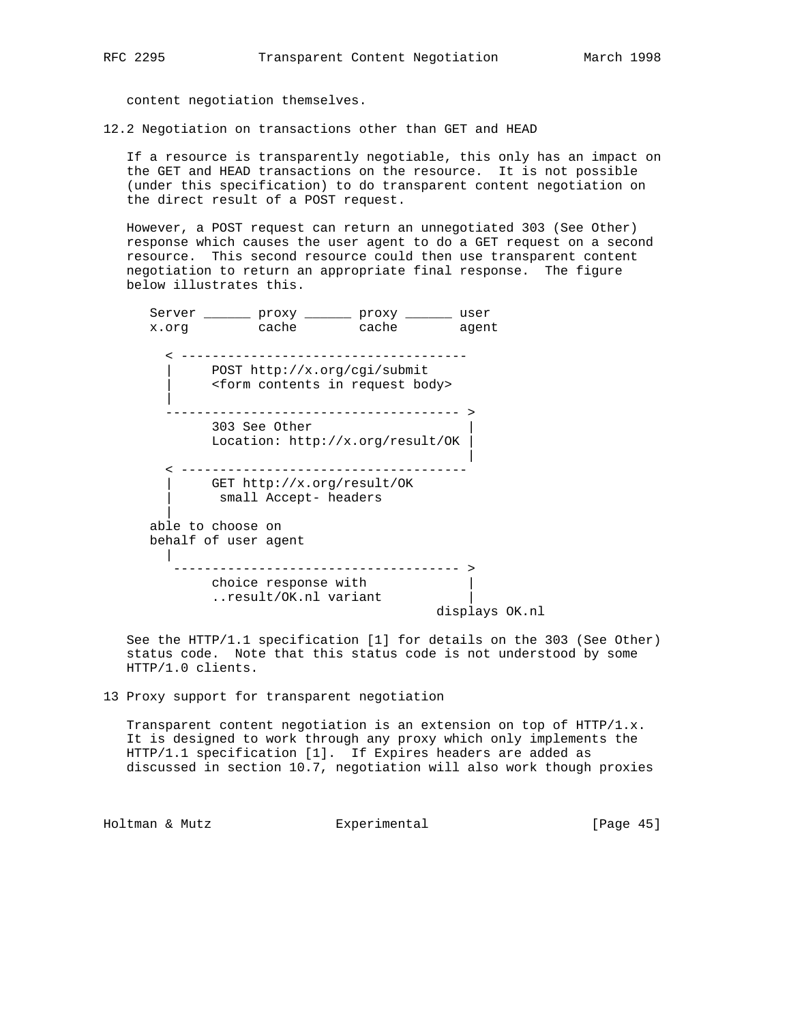content negotiation themselves.

12.2 Negotiation on transactions other than GET and HEAD

 If a resource is transparently negotiable, this only has an impact on the GET and HEAD transactions on the resource. It is not possible (under this specification) to do transparent content negotiation on the direct result of a POST request.

 However, a POST request can return an unnegotiated 303 (See Other) response which causes the user agent to do a GET request on a second resource. This second resource could then use transparent content negotiation to return an appropriate final response. The figure below illustrates this.

Server \_\_\_\_\_\_\_ proxy \_\_\_\_\_\_ proxy \_\_\_\_\_\_ user x.org cache cache agent < ------------------------------------- | POST http://x.org/cgi/submit | <form contents in request body> | -------------------------------------- > 303 See Other | Location: http://x.org/result/OK | | < ------------------------------------- | GET http://x.org/result/OK small Accept- headers | able to choose on behalf of user agent | ------------------------------------- > choice response with  $|$  $r$ ..result/OK.nl variant  $|$ displays OK.nl

 See the HTTP/1.1 specification [1] for details on the 303 (See Other) status code. Note that this status code is not understood by some HTTP/1.0 clients.

13 Proxy support for transparent negotiation

 Transparent content negotiation is an extension on top of HTTP/1.x. It is designed to work through any proxy which only implements the HTTP/1.1 specification [1]. If Expires headers are added as discussed in section 10.7, negotiation will also work though proxies

Holtman & Mutz Experimental [Page 45]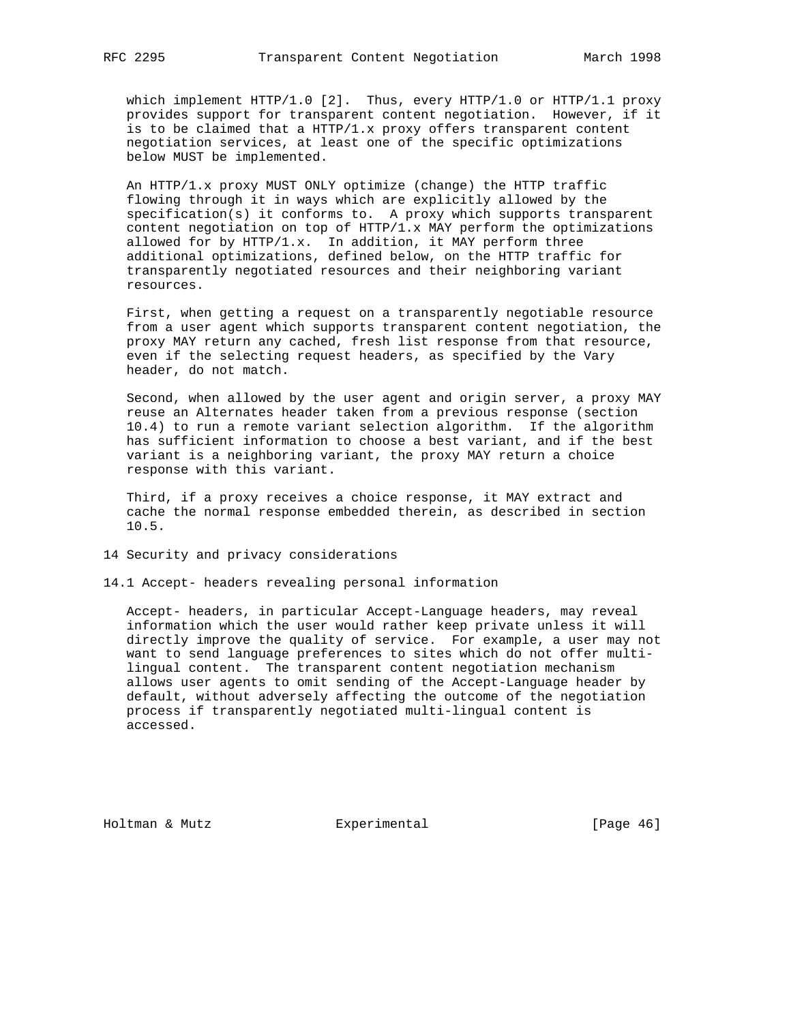which implement HTTP/1.0 [2]. Thus, every HTTP/1.0 or HTTP/1.1 proxy provides support for transparent content negotiation. However, if it is to be claimed that a HTTP/ $1.x$  proxy offers transparent content negotiation services, at least one of the specific optimizations below MUST be implemented.

 An HTTP/1.x proxy MUST ONLY optimize (change) the HTTP traffic flowing through it in ways which are explicitly allowed by the specification(s) it conforms to. A proxy which supports transparent content negotiation on top of  $HTTP/1.x$  MAY perform the optimizations allowed for by HTTP/1.x. In addition, it MAY perform three additional optimizations, defined below, on the HTTP traffic for transparently negotiated resources and their neighboring variant resources.

 First, when getting a request on a transparently negotiable resource from a user agent which supports transparent content negotiation, the proxy MAY return any cached, fresh list response from that resource, even if the selecting request headers, as specified by the Vary header, do not match.

 Second, when allowed by the user agent and origin server, a proxy MAY reuse an Alternates header taken from a previous response (section 10.4) to run a remote variant selection algorithm. If the algorithm has sufficient information to choose a best variant, and if the best variant is a neighboring variant, the proxy MAY return a choice response with this variant.

 Third, if a proxy receives a choice response, it MAY extract and cache the normal response embedded therein, as described in section 10.5.

14 Security and privacy considerations

14.1 Accept- headers revealing personal information

 Accept- headers, in particular Accept-Language headers, may reveal information which the user would rather keep private unless it will directly improve the quality of service. For example, a user may not want to send language preferences to sites which do not offer multi lingual content. The transparent content negotiation mechanism allows user agents to omit sending of the Accept-Language header by default, without adversely affecting the outcome of the negotiation process if transparently negotiated multi-lingual content is accessed.

Holtman & Mutz **Experimental** Experimental [Page 46]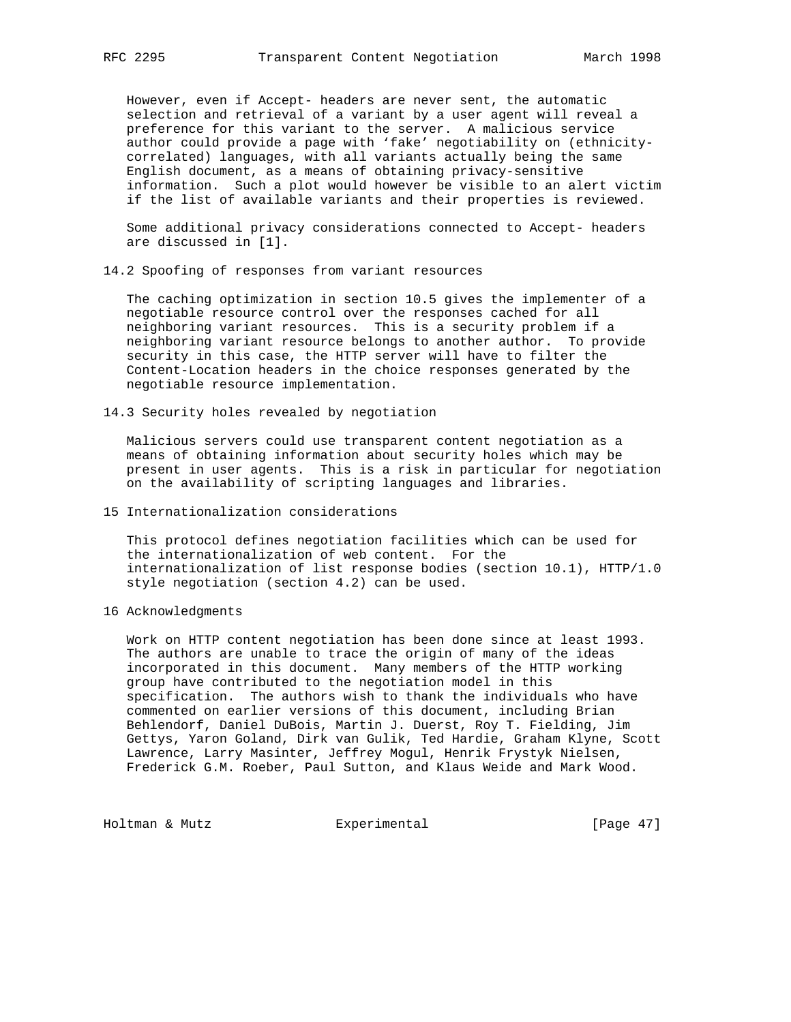However, even if Accept- headers are never sent, the automatic selection and retrieval of a variant by a user agent will reveal a preference for this variant to the server. A malicious service author could provide a page with 'fake' negotiability on (ethnicity correlated) languages, with all variants actually being the same English document, as a means of obtaining privacy-sensitive information. Such a plot would however be visible to an alert victim if the list of available variants and their properties is reviewed.

 Some additional privacy considerations connected to Accept- headers are discussed in [1].

14.2 Spoofing of responses from variant resources

 The caching optimization in section 10.5 gives the implementer of a negotiable resource control over the responses cached for all neighboring variant resources. This is a security problem if a neighboring variant resource belongs to another author. To provide security in this case, the HTTP server will have to filter the Content-Location headers in the choice responses generated by the negotiable resource implementation.

14.3 Security holes revealed by negotiation

 Malicious servers could use transparent content negotiation as a means of obtaining information about security holes which may be present in user agents. This is a risk in particular for negotiation on the availability of scripting languages and libraries.

15 Internationalization considerations

 This protocol defines negotiation facilities which can be used for the internationalization of web content. For the internationalization of list response bodies (section 10.1), HTTP/1.0 style negotiation (section 4.2) can be used.

16 Acknowledgments

 Work on HTTP content negotiation has been done since at least 1993. The authors are unable to trace the origin of many of the ideas incorporated in this document. Many members of the HTTP working group have contributed to the negotiation model in this specification. The authors wish to thank the individuals who have commented on earlier versions of this document, including Brian Behlendorf, Daniel DuBois, Martin J. Duerst, Roy T. Fielding, Jim Gettys, Yaron Goland, Dirk van Gulik, Ted Hardie, Graham Klyne, Scott Lawrence, Larry Masinter, Jeffrey Mogul, Henrik Frystyk Nielsen, Frederick G.M. Roeber, Paul Sutton, and Klaus Weide and Mark Wood.

Holtman & Mutz **Experimental** Experimental [Page 47]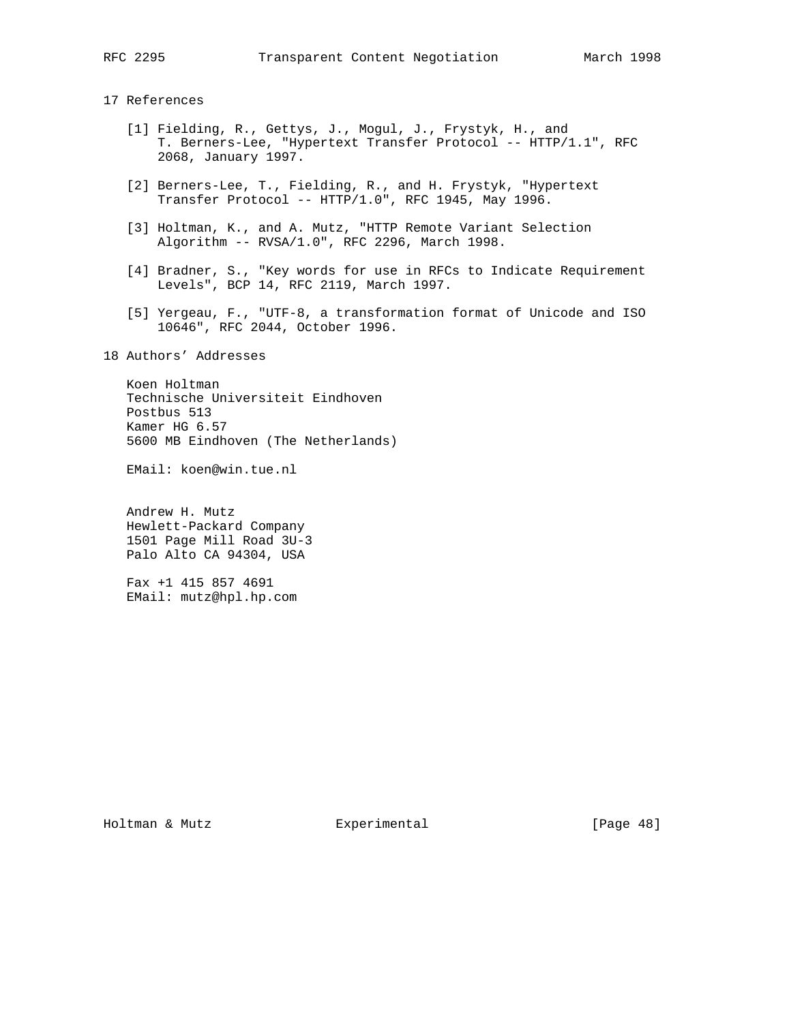## 17 References

- [1] Fielding, R., Gettys, J., Mogul, J., Frystyk, H., and T. Berners-Lee, "Hypertext Transfer Protocol -- HTTP/1.1", RFC 2068, January 1997.
- [2] Berners-Lee, T., Fielding, R., and H. Frystyk, "Hypertext Transfer Protocol -- HTTP/1.0", RFC 1945, May 1996.
- [3] Holtman, K., and A. Mutz, "HTTP Remote Variant Selection Algorithm -- RVSA/1.0", RFC 2296, March 1998.
- [4] Bradner, S., "Key words for use in RFCs to Indicate Requirement Levels", BCP 14, RFC 2119, March 1997.
- [5] Yergeau, F., "UTF-8, a transformation format of Unicode and ISO 10646", RFC 2044, October 1996.

18 Authors' Addresses

 Koen Holtman Technische Universiteit Eindhoven Postbus 513 Kamer HG 6.57 5600 MB Eindhoven (The Netherlands)

EMail: koen@win.tue.nl

 Andrew H. Mutz Hewlett-Packard Company 1501 Page Mill Road 3U-3 Palo Alto CA 94304, USA

 Fax +1 415 857 4691 EMail: mutz@hpl.hp.com

Holtman & Mutz Experimental [Page 48]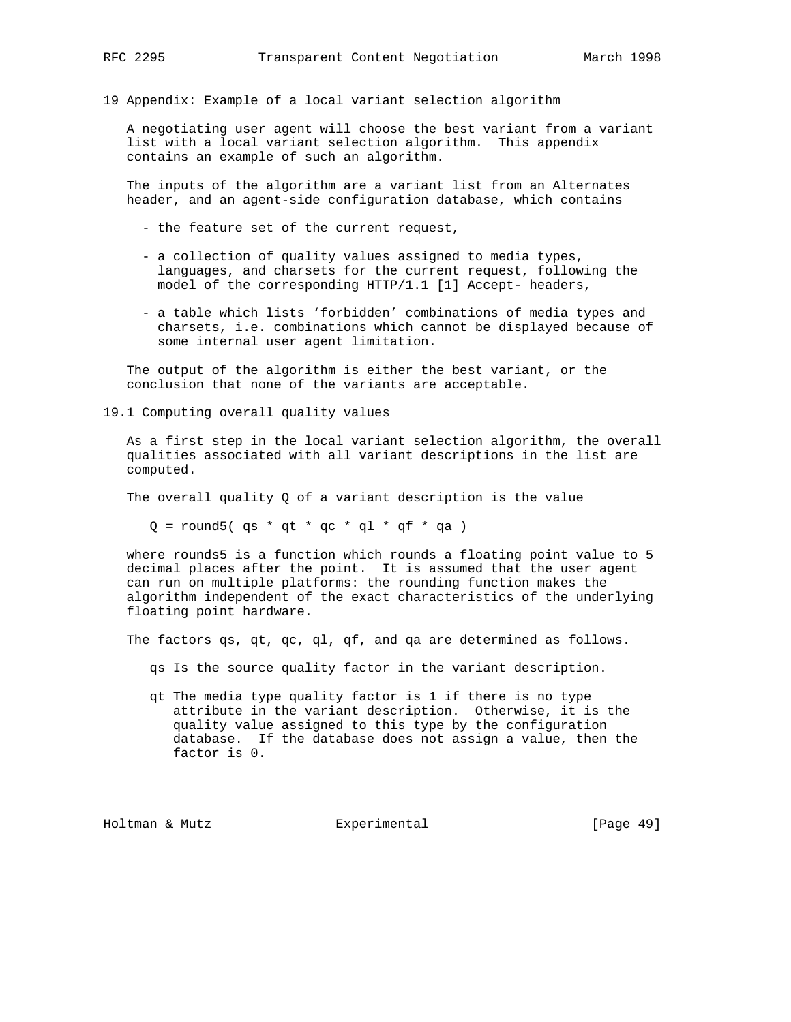19 Appendix: Example of a local variant selection algorithm

 A negotiating user agent will choose the best variant from a variant list with a local variant selection algorithm. This appendix contains an example of such an algorithm.

 The inputs of the algorithm are a variant list from an Alternates header, and an agent-side configuration database, which contains

- the feature set of the current request,
- a collection of quality values assigned to media types, languages, and charsets for the current request, following the model of the corresponding HTTP/1.1 [1] Accept- headers,
- a table which lists 'forbidden' combinations of media types and charsets, i.e. combinations which cannot be displayed because of some internal user agent limitation.

 The output of the algorithm is either the best variant, or the conclusion that none of the variants are acceptable.

19.1 Computing overall quality values

 As a first step in the local variant selection algorithm, the overall qualities associated with all variant descriptions in the list are computed.

The overall quality  $Q$  of a variant description is the value

 $Q =$  round5( qs \* qt \* qc \* ql \* qf \* qa )

 where rounds5 is a function which rounds a floating point value to 5 decimal places after the point. It is assumed that the user agent can run on multiple platforms: the rounding function makes the algorithm independent of the exact characteristics of the underlying floating point hardware.

The factors qs, qt, qc, ql, qf, and qa are determined as follows.

qs Is the source quality factor in the variant description.

 qt The media type quality factor is 1 if there is no type attribute in the variant description. Otherwise, it is the quality value assigned to this type by the configuration database. If the database does not assign a value, then the factor is 0.

Holtman & Mutz Experimental [Page 49]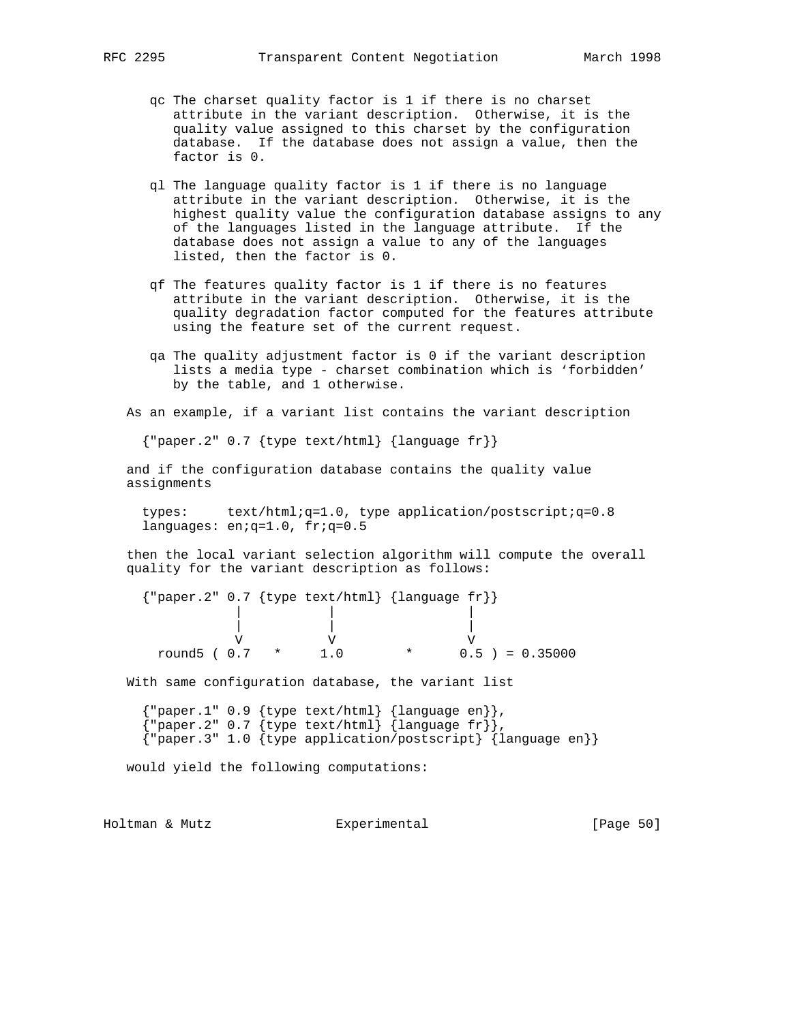- qc The charset quality factor is 1 if there is no charset attribute in the variant description. Otherwise, it is the quality value assigned to this charset by the configuration database. If the database does not assign a value, then the factor is 0.
- ql The language quality factor is 1 if there is no language attribute in the variant description. Otherwise, it is the highest quality value the configuration database assigns to any of the languages listed in the language attribute. If the database does not assign a value to any of the languages listed, then the factor is 0.
- qf The features quality factor is 1 if there is no features attribute in the variant description. Otherwise, it is the quality degradation factor computed for the features attribute using the feature set of the current request.
- qa The quality adjustment factor is 0 if the variant description lists a media type - charset combination which is 'forbidden' by the table, and 1 otherwise.

As an example, if a variant list contains the variant description

{"paper.2" 0.7 {type text/html} {language fr}}

 and if the configuration database contains the quality value assignments

 types: text/html;q=1.0, type application/postscript;q=0.8 languages: en;q=1.0, fr;q=0.5

 then the local variant selection algorithm will compute the overall quality for the variant description as follows:

 {"paper.2" 0.7 {type text/html} {language fr}} | | | | | | V V V round5 (  $0.7$  \* 1.0 \* 0.5 ) = 0.35000

With same configuration database, the variant list

```
 {"paper.1" 0.9 {type text/html} {language en}},
{\{\texttt{upper.2" 0.7 }\{\texttt{type text/html}\}\text{ \{language fr}\}, {"paper.3" 1.0 {type application/postscript} {language en}}
```
would yield the following computations:

Holtman & Mutz Experimental [Page 50]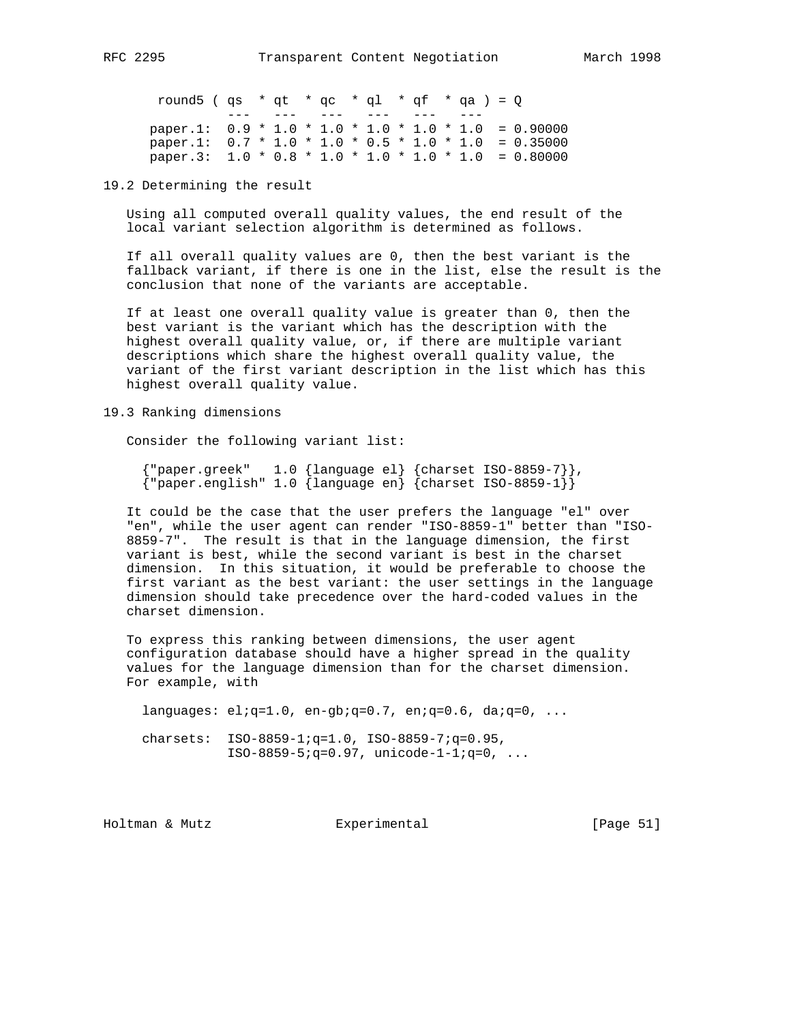round5 ( qs \* qt \* qc \* ql \* qf \* qa ) =  $Q$ --- --- --- --- --- -<sup>-</sup>-- -<sup>-</sup> paper.1:  $0.9 * 1.0 * 1.0 * 1.0 * 1.0 * 1.0 * 1.0 = 0.90000$  paper.1: 0.7 \* 1.0 \* 1.0 \* 0.5 \* 1.0 \* 1.0 = 0.35000 paper.3: 1.0 \* 0.8 \* 1.0 \* 1.0 \* 1.0 \* 1.0 = 0.80000

# 19.2 Determining the result

 Using all computed overall quality values, the end result of the local variant selection algorithm is determined as follows.

 If all overall quality values are 0, then the best variant is the fallback variant, if there is one in the list, else the result is the conclusion that none of the variants are acceptable.

 If at least one overall quality value is greater than 0, then the best variant is the variant which has the description with the highest overall quality value, or, if there are multiple variant descriptions which share the highest overall quality value, the variant of the first variant description in the list which has this highest overall quality value.

19.3 Ranking dimensions

Consider the following variant list:

 {"paper.greek" 1.0 {language el} {charset ISO-8859-7}}, {"paper.english" 1.0 {language en} {charset ISO-8859-1}}

 It could be the case that the user prefers the language "el" over "en", while the user agent can render "ISO-8859-1" better than "ISO- 8859-7". The result is that in the language dimension, the first variant is best, while the second variant is best in the charset dimension. In this situation, it would be preferable to choose the first variant as the best variant: the user settings in the language dimension should take precedence over the hard-coded values in the charset dimension.

 To express this ranking between dimensions, the user agent configuration database should have a higher spread in the quality values for the language dimension than for the charset dimension. For example, with

languages:  $eliq=1.0$ ,  $en-gbiq=0.7$ ,  $eniq=0.6$ ,  $daiq=0$ , ...

 charsets: ISO-8859-1;q=1.0, ISO-8859-7;q=0.95,  $ISO-8859-5; q=0.97$ ,  $unicode-1-1; q=0, ...$ 

Holtman & Mutz **Experimental** Experimental [Page 51]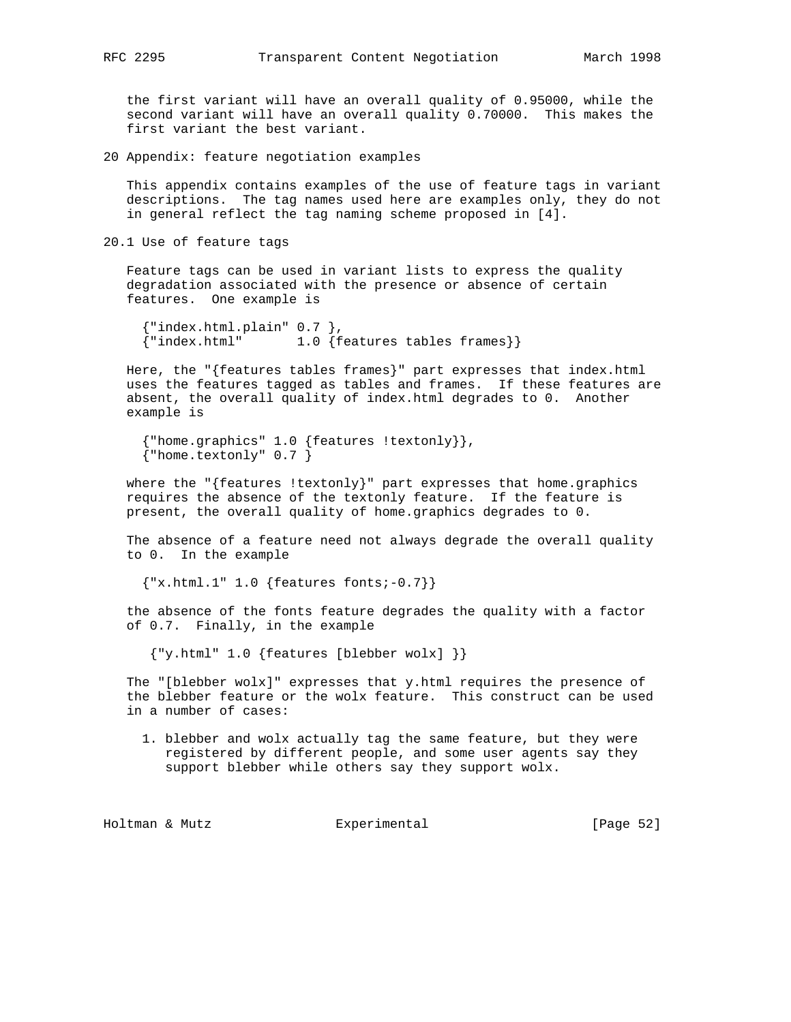the first variant will have an overall quality of 0.95000, while the second variant will have an overall quality 0.70000. This makes the first variant the best variant.

20 Appendix: feature negotiation examples

 This appendix contains examples of the use of feature tags in variant descriptions. The tag names used here are examples only, they do not in general reflect the tag naming scheme proposed in [4].

20.1 Use of feature tags

 Feature tags can be used in variant lists to express the quality degradation associated with the presence or absence of certain features. One example is

```
{'!\text{-index.html}}.plain" 0.7 },
 {"index.html" 1.0 {features tables frames}}
```
Here, the " ${features$  tables frames $}$ " part expresses that index.html uses the features tagged as tables and frames. If these features are absent, the overall quality of index.html degrades to 0. Another example is

```
 {"home.graphics" 1.0 {features !textonly}},
{\mathcal{B}} "home.textonly" 0.7 }
```
 where the "{features !textonly}" part expresses that home.graphics requires the absence of the textonly feature. If the feature is present, the overall quality of home.graphics degrades to 0.

 The absence of a feature need not always degrade the overall quality to 0. In the example

 ${ "x.html.1" 1.0 {features fonts:-0.7] }$ 

 the absence of the fonts feature degrades the quality with a factor of 0.7. Finally, in the example

{"y.html" 1.0 {features [blebber wolx] }}

 The "[blebber wolx]" expresses that y.html requires the presence of the blebber feature or the wolx feature. This construct can be used in a number of cases:

 1. blebber and wolx actually tag the same feature, but they were registered by different people, and some user agents say they support blebber while others say they support wolx.

Holtman & Mutz **Experimental** Experimental [Page 52]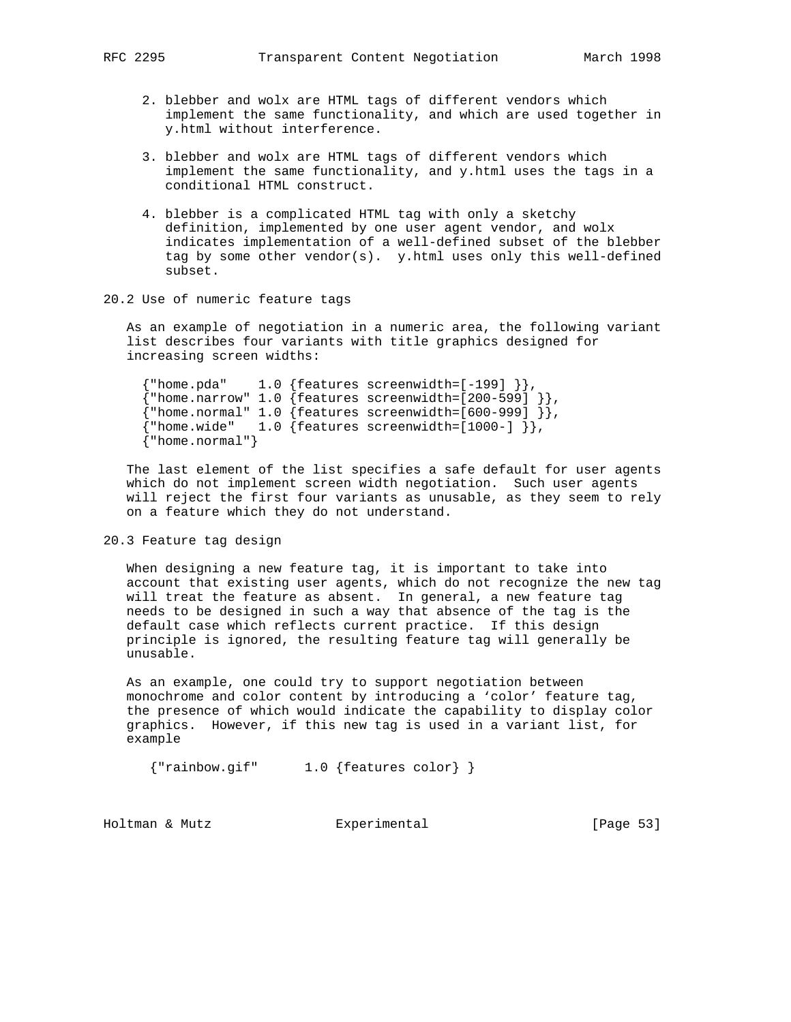- 2. blebber and wolx are HTML tags of different vendors which implement the same functionality, and which are used together in y.html without interference.
- 3. blebber and wolx are HTML tags of different vendors which implement the same functionality, and y.html uses the tags in a conditional HTML construct.
- 4. blebber is a complicated HTML tag with only a sketchy definition, implemented by one user agent vendor, and wolx indicates implementation of a well-defined subset of the blebber tag by some other vendor(s). y.html uses only this well-defined subset.
- 20.2 Use of numeric feature tags

 As an example of negotiation in a numeric area, the following variant list describes four variants with title graphics designed for increasing screen widths:

```
{\{\text{ "home.pdf}\}}, {1.0} {\{\text{features}\}} screenwidth=[-199] {\}\},
{\{ "home.narrow" 1.0 {\{}features screenwidth=[200-599] {\}\},
{\{\text{'}\text{home.normal'' 1.0 }\{\text{features screenwidth}=\text{[600-999] }\}\}, {"home.wide" 1.0 {features screenwidth=[1000-] }},
 {"home.normal"}
```
 The last element of the list specifies a safe default for user agents which do not implement screen width negotiation. Such user agents will reject the first four variants as unusable, as they seem to rely on a feature which they do not understand.

## 20.3 Feature tag design

 When designing a new feature tag, it is important to take into account that existing user agents, which do not recognize the new tag will treat the feature as absent. In general, a new feature tag needs to be designed in such a way that absence of the tag is the default case which reflects current practice. If this design principle is ignored, the resulting feature tag will generally be unusable.

 As an example, one could try to support negotiation between monochrome and color content by introducing a 'color' feature tag, the presence of which would indicate the capability to display color graphics. However, if this new tag is used in a variant list, for example

{"rainbow.gif" 1.0 {features color} }

Holtman & Mutz **Experimental** Experimental [Page 53]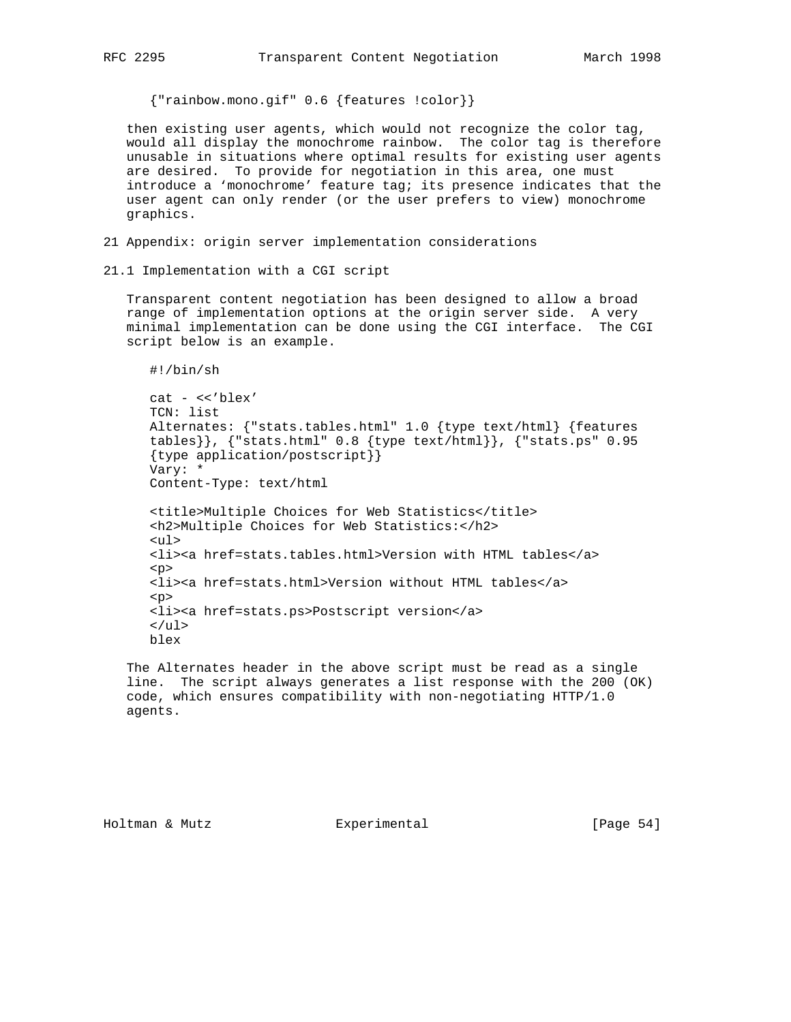{"rainbow.mono.gif" 0.6 {features !color}}

 then existing user agents, which would not recognize the color tag, would all display the monochrome rainbow. The color tag is therefore unusable in situations where optimal results for existing user agents are desired. To provide for negotiation in this area, one must introduce a 'monochrome' feature tag; its presence indicates that the user agent can only render (or the user prefers to view) monochrome graphics.

- 21 Appendix: origin server implementation considerations
- 21.1 Implementation with a CGI script

 Transparent content negotiation has been designed to allow a broad range of implementation options at the origin server side. A very minimal implementation can be done using the CGI interface. The CGI script below is an example.

#!/bin/sh

```
 cat - <<'blex'
 TCN: list
 Alternates: {"stats.tables.html" 1.0 {type text/html} {features
 tables}}, {"stats.html" 0.8 {type text/html}}, {"stats.ps" 0.95
 {type application/postscript}}
 Vary: *
 Content-Type: text/html
 <title>Multiple Choices for Web Statistics</title>
 <h2>Multiple Choices for Web Statistics:</h2>
 <ul>
 <li><a href=stats.tables.html>Version with HTML tables</a>
 <p>
 <li><a href=stats.html>Version without HTML tables</a>
< p > <li><a href=stats.ps>Postscript version</a>
\langle \text{ul}\rangle
```
blex

 The Alternates header in the above script must be read as a single line. The script always generates a list response with the 200 (OK) code, which ensures compatibility with non-negotiating HTTP/1.0 agents.

Holtman & Mutz Experimental [Page 54]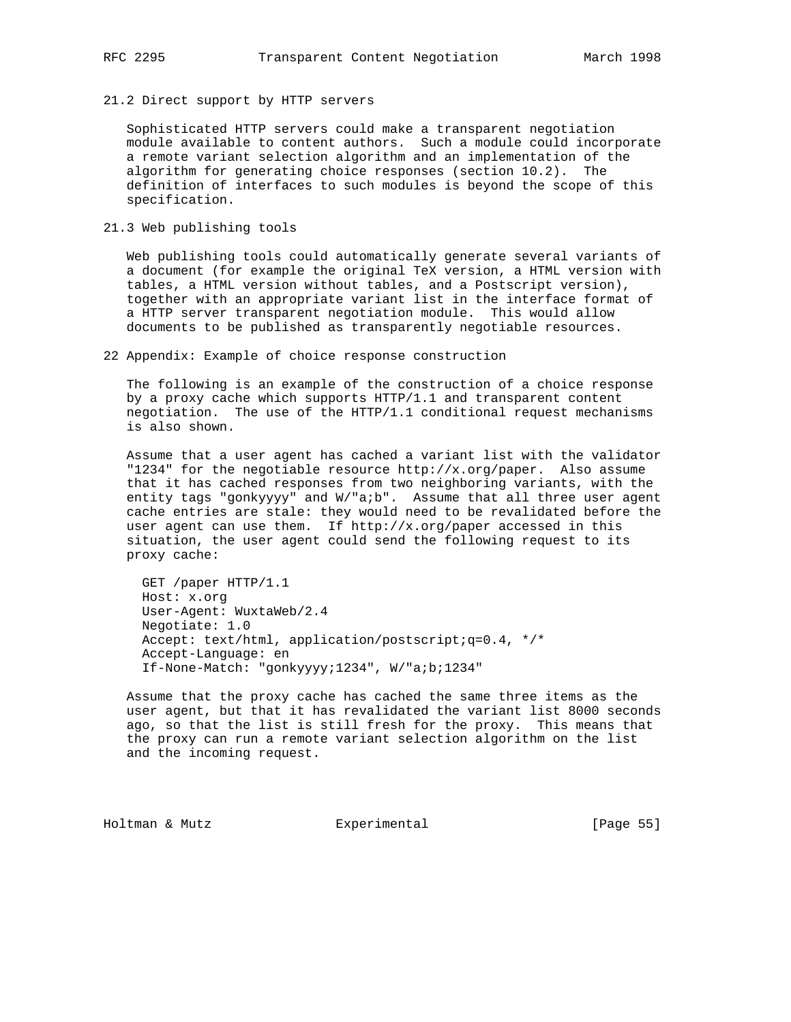21.2 Direct support by HTTP servers

 Sophisticated HTTP servers could make a transparent negotiation module available to content authors. Such a module could incorporate a remote variant selection algorithm and an implementation of the algorithm for generating choice responses (section 10.2). The definition of interfaces to such modules is beyond the scope of this specification.

21.3 Web publishing tools

 Web publishing tools could automatically generate several variants of a document (for example the original TeX version, a HTML version with tables, a HTML version without tables, and a Postscript version), together with an appropriate variant list in the interface format of a HTTP server transparent negotiation module. This would allow documents to be published as transparently negotiable resources.

22 Appendix: Example of choice response construction

 The following is an example of the construction of a choice response by a proxy cache which supports HTTP/1.1 and transparent content negotiation. The use of the HTTP/1.1 conditional request mechanisms is also shown.

 Assume that a user agent has cached a variant list with the validator "1234" for the negotiable resource  $http://x.org/paper.$  Also assume that it has cached responses from two neighboring variants, with the entity tags "gonkyyyy" and W/"a;b". Assume that all three user agent cache entries are stale: they would need to be revalidated before the user agent can use them. If http://x.org/paper accessed in this situation, the user agent could send the following request to its proxy cache:

 GET /paper HTTP/1.1 Host: x.org User-Agent: WuxtaWeb/2.4 Negotiate: 1.0 Accept: text/html, application/postscript;q=0.4, \*/\* Accept-Language: en If-None-Match: "gonkyyyy;1234", W/"a;b;1234"

 Assume that the proxy cache has cached the same three items as the user agent, but that it has revalidated the variant list 8000 seconds ago, so that the list is still fresh for the proxy. This means that the proxy can run a remote variant selection algorithm on the list and the incoming request.

Holtman & Mutz Experimental [Page 55]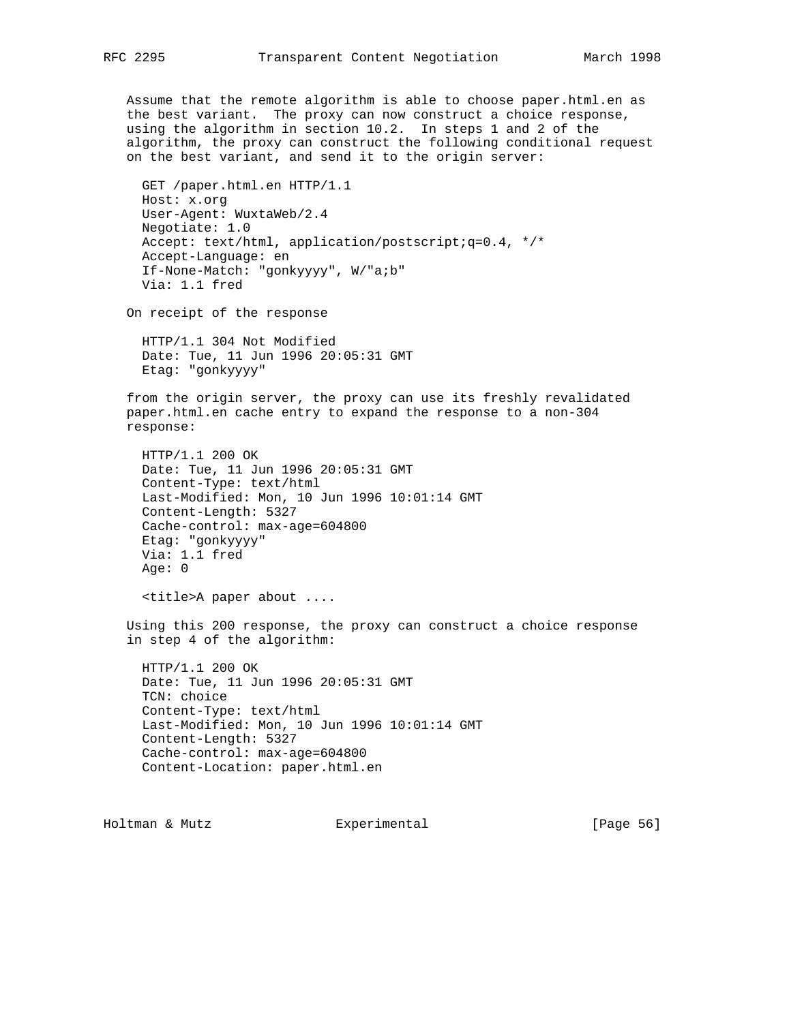Assume that the remote algorithm is able to choose paper.html.en as the best variant. The proxy can now construct a choice response, using the algorithm in section 10.2. In steps 1 and 2 of the algorithm, the proxy can construct the following conditional request on the best variant, and send it to the origin server:

 GET /paper.html.en HTTP/1.1 Host: x.org User-Agent: WuxtaWeb/2.4 Negotiate: 1.0 Accept: text/html, application/postscript;q=0.4, \*/\* Accept-Language: en If-None-Match: "gonkyyyy", W/"a;b" Via: 1.1 fred

On receipt of the response

 HTTP/1.1 304 Not Modified Date: Tue, 11 Jun 1996 20:05:31 GMT Etag: "gonkyyyy"

 from the origin server, the proxy can use its freshly revalidated paper.html.en cache entry to expand the response to a non-304 response:

 HTTP/1.1 200 OK Date: Tue, 11 Jun 1996 20:05:31 GMT Content-Type: text/html Last-Modified: Mon, 10 Jun 1996 10:01:14 GMT Content-Length: 5327 Cache-control: max-age=604800 Etag: "gonkyyyy" Via: 1.1 fred Age: 0

<title>A paper about ....

 Using this 200 response, the proxy can construct a choice response in step 4 of the algorithm:

 HTTP/1.1 200 OK Date: Tue, 11 Jun 1996 20:05:31 GMT TCN: choice Content-Type: text/html Last-Modified: Mon, 10 Jun 1996 10:01:14 GMT Content-Length: 5327 Cache-control: max-age=604800 Content-Location: paper.html.en

Holtman & Mutz Experimental [Page 56]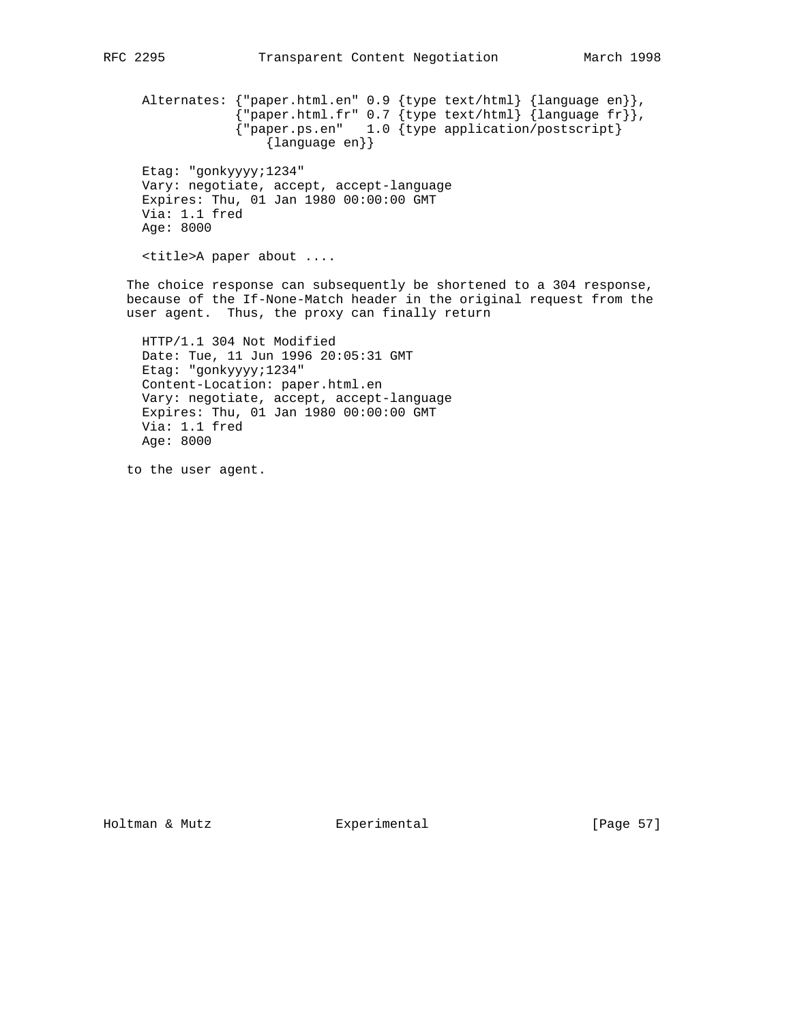Alternates: {"paper.html.en" 0.9 {type text/html} {language en}},  $\{$  "paper.html.fr" 0.7  $\{$  type text/html $\}$   $\{$  language fr $\}$   $\}$  , {"paper.ps.en" 1.0 {type application/postscript} {language en}} Etag: "gonkyyyy;1234" Vary: negotiate, accept, accept-language Expires: Thu, 01 Jan 1980 00:00:00 GMT Via: 1.1 fred Age: 8000 <title>A paper about .... The choice response can subsequently be shortened to a 304 response, because of the If-None-Match header in the original request from the user agent. Thus, the proxy can finally return HTTP/1.1 304 Not Modified Date: Tue, 11 Jun 1996 20:05:31 GMT Etag: "gonkyyyy;1234" Content-Location: paper.html.en Vary: negotiate, accept, accept-language Expires: Thu, 01 Jan 1980 00:00:00 GMT Via: 1.1 fred

to the user agent.

Age: 8000